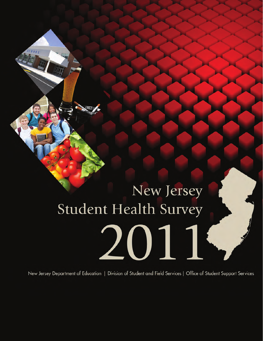# New Jersey Student Health Survey 2011.

New Jersey Department of Education | Division of Student and Field Services | Office of Student Support Services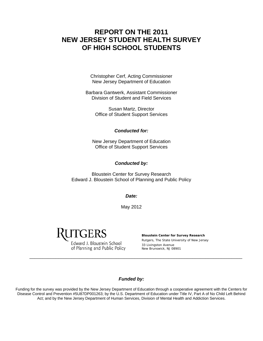## **REPORT ON THE 2011 NEW JERSEY STUDENT HEALTH SURVEY OF HIGH SCHOOL STUDENTS**

Christopher Cerf, Acting Commissioner New Jersey Department of Education

Barbara Gantwerk, Assistant Commissioner Division of Student and Field Services

> Susan Martz, Director Office of Student Support Services

#### *Conducted for:*

New Jersey Department of Education Office of Student Support Services

#### *Conducted by:*

Bloustein Center for Survey Research Edward J. Bloustein School of Planning and Public Policy

*Date:* 

May 2012

ITGERS

Edward J. Bloustein School of Planning and Public Policy

**Bloustein Center for Survey Research**  Rutgers, The State University of New Jersey 33 Livingston Avenue New Brunswick, NJ 08901

#### *Funded by:*

\_\_\_\_\_\_\_\_\_\_\_\_\_\_\_\_\_\_\_\_\_\_\_\_\_\_\_\_\_\_\_\_\_\_\_\_\_\_\_\_\_\_\_\_\_\_\_\_\_\_\_\_\_\_\_\_\_\_\_\_\_\_\_\_\_\_\_\_\_\_\_\_\_\_\_\_\_\_\_\_\_

Funding for the survey was provided by the New Jersey Department of Education through a cooperative agreement with the Centers for Disease Control and Prevention #5U87DP001263; by the U.S. Department of Education under Title IV, Part A of No Child Left Behind Act; and by the New Jersey Department of Human Services, Division of Mental Health and Addiction Services.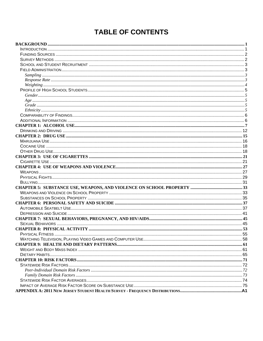# **TABLE OF CONTENTS**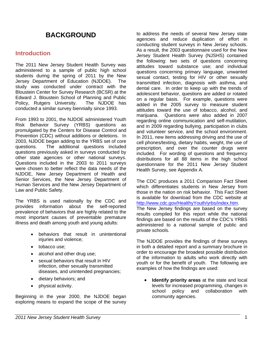# **BACKGROUND**

## **Introduction**

The 2011 New Jersey Student Health Survey was administered to a sample of public high school students during the spring of 2011 by the New Jersey Department of Education (NJDOE). The study was conducted under contract with the Bloustein Center for Survey Research (BCSR) at the Edward J. Bloustein School of Planning and Public Policy, Rutgers University. The NJDOE has conducted a similar survey biennially since 1993.

From 1993 to 2001, the NJDOE administered Youth Risk Behavior Survey (YRBS) questions as promulgated by the Centers for Disease Control and Prevention (CDC) without additions or deletions. In 2003, NJDOE began adding to the YRBS set of core questions. The additional questions included questions previously asked in surveys conducted by other state agencies or other national surveys. Questions included in the 2003 to 2011 surveys were chosen to better reflect the data needs of the NJDOE, New Jersey Department of Health and Senior Services, the New Jersey Department of Human Services and the New Jersey Department of Law and Public Safety.

The YRBS is used nationally by the CDC and provides information about the self-reported prevalence of behaviors that are highly related to the most important causes of preventable premature illness and death among youth and young adults:

- behaviors that result in unintentional injuries and violence;
- tobacco use;
- alcohol and other drug use;
- sexual behaviors that result in HIV infection, other sexually transmitted diseases, and unintended pregnancies;
- dietary behaviors; and
- physical activity.

Beginning in the year 2000, the NJDOE began exploring means to expand the scope of the survey to address the needs of several New Jersey state agencies and reduce duplication of effort in conducting student surveys in New Jersey schools. As a result, the 2003 questionnaire used for the New Jersey Student Health Survey (NJSHS) contained the following: two sets of questions concerning attitudes toward substance use; and individual questions concerning primary language, unwanted sexual contact, testing for HIV or other sexually transmitted infection, diagnosis with asthma, and dental care. In order to keep up with the trends of adolescent behavior, questions are added or rotated on a regular basis. For example, questions were added in the 2005 survey to measure student attitudes toward the use of tobacco, alcohol, and marijuana. Questions were also added in 2007 regarding online communication and self-mutilation, and in 2009 regarding bullying, participation in clubs and volunteer service, and the school environment. In 2011, new items addressing driving and the use of cell phones/texting, dietary habits, weight, the use of prescription, and over the counter drugs were included. For wording of questions and frequency distributions for all 88 items in the high school questionnaire for the 2011 New Jersey Student Health Survey, see Appendix A.

The CDC produces a 2011 Comparison Fact Sheet which differentiates students in New Jersey from those in the nation on risk behavior. This Fact Sheet is available for download from the CDC website at http://www.cdc.gov/HealthyYouth/yrbs/index.htm.

The New Jersey findings are based on the survey results compiled for this report while the national findings are based on the results of the CDC's YRBS administered to a national sample of public and private schools.

The NJDOE provides the findings of these surveys in both a detailed report and a summary brochure in order to encourage the broadest possible distribution of the information to adults who work directly with youth or for the benefit of youth. The following are examples of how the findings are used:

• **Identify priority areas** at the state and local levels for increased programming, changes in school policy and collaboration with community agencies.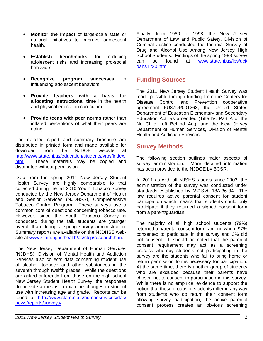- **Monitor the impact** of large-scale state or national initiatives to improve adolescent health.
- **Establish benchmarks** for reducing adolescent risks and increasing pro-social behaviors.
- **Recognize program successes** in influencing adolescent behaviors.
- **Provide teachers with a basis for allocating instructional time** in the health and physical education curriculum.
- **Provide teens with peer norms** rather than inflated perceptions of what their peers are doing.

The detailed report and summary brochure are distributed in printed form and made available for download from the NJDOE website at http://www.state.nj.us/education/students/yrbs/index. html. These materials may be copied and distributed without permission.

Data from the spring 2011 New Jersey Student Health Survey are highly comparable to that collected during the fall 2010 Youth Tobacco Survey conducted by the New Jersey Department of Health and Senior Services (NJDHSS), Comprehensive Tobacco Control Program. These surveys use a common core of questions concerning tobacco use. However, since the Youth Tobacco Survey is conducted during the fall, students are younger overall than during a spring survey administration. Summary reports are available on the NJDHSS website at www.state.nj.us/health/as/ctcp/research.htm.

The New Jersey Department of Human Services (NJDHS), Division of Mental Health and Addiction Services also collects data concerning student use of alcohol, tobacco and other substances in the seventh through twelfth grades. While the questions are asked differently from those on the high school New Jersey Student Health Survey, the responses do provide a means to examine changes in student use with increasing age and grade. Reports can be found at http://www.state.nj.us/humanservices/das/ news/reports/surveys/.

Finally, from 1980 to 1998, the New Jersey Department of Law and Public Safety, Division of Criminal Justice conducted the triennial Survey of Drug and Alcohol Use Among New Jersey High School Students. Findings of the spring 1998 survey can be found at www.state.nj.us/lps/dcj/ dahs1230.htm.

## **Funding Sources**

The 2011 New Jersey Student Health Survey was made possible through funding from the Centers for Disease Control and Prevention cooperative agreement 5U87DP001263, the United States Department of Education Elementary and Secondary Education Act, as amended (Title IV, Part A of the No Child Left Behind Act); and the New Jersey Department of Human Services, Division of Mental Health and Addiction Services.

## **Survey Methods**

The following section outlines major aspects of survey administration. More detailed information has been provided to the NJDOE by BCSR.

In 2011 as with all NJSHS studies since 2003, the administration of the survey was conducted under standards established by *N.J.S.A.* 18A:36-34. The law requires active parental consent for student participation which means that students could only participate if they returned a signed consent form from a parent/guardian.

The majority of all high school students (79%) returned a parental consent form, among whom 97% consented to participate in the survey and 3% did not consent. It should be noted that the parental consent requirement may act as a screening process whereby students not participating in the survey are the students who fail to bring home or return permission forms necessary for participation. At the same time, there is another group of students who are excluded because their parents have chosen not to consent to participation in this survey. While there is no empirical evidence to support the notion that these groups of students differ in any way from students who do return their consent form allowing survey participation, the active parental consent process creates an obvious screening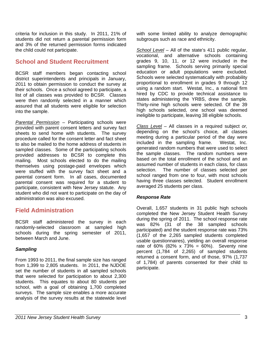criteria for inclusion in this study. In 2011, 21% of students did not return a parental permission form and 3% of the returned permission forms indicated the child could not participate.

## **School and Student Recruitment**

BCSR staff members began contacting school district superintendents and principals in January, 2011 to obtain permission to conduct the survey at their schools. Once a school agreed to participate, a list of all classes was provided to BCSR. Classes were then randomly selected in a manner which assured that all students were eligible for selection into the sample.

*Parental Permission* – Participating schools were provided with parent consent letters and survey fact sheets to send home with students. The survey procedure called for the consent letter and fact sheet to also be mailed to the home address of students in sampled classes. Some of the participating schools provided addresses to BCSR to complete this mailing. Most schools elected to do the mailing themselves using postage-paid envelopes which were stuffed with the survey fact sheet and a parental consent form. In all cases, documented parental consent was required for a student to participate, consistent with New Jersey statute. Any student who did not want to participate on the day of administration was also excused.

## **Field Administration**

BCSR staff administered the survey in each randomly-selected classroom at sampled high schools during the spring semester of 2011, between March and June.

## *Sampling*

From 1993 to 2011, the final sample size has ranged from 1,399 to 2,805 students. In 2011, the NJDOE set the number of students in all sampled schools that were selected for participation to about 2,300 students. This equates to about 80 students per school, with a goal of obtaining 1,700 completed surveys. The sample size enables a more accurate analysis of the survey results at the statewide level

with some limited ability to analyze demographic subgroups such as race and ethnicity.

*School Level* – All of the state's 411 public regular, vocational, and alternative schools containing grades 9, 10, 11, or 12 were included in the sampling frame. Schools serving primarily special education or adult populations were excluded. Schools were selected systematically with probability proportional to enrollment in grades 9 through 12 using a random start. Westat, Inc., a national firm hired by CDC to provide technical assistance to states administering the YRBS, drew the sample. Thirty-nine high schools were selected. Of the 39 high schools selected, one school was deemed ineligible to participate, leaving 38 eligible schools.

*Class Level* – All classes in a required subject *or,*  depending on the school's choice*,* all classes meeting during a particular period of the day were included in the sampling frame. Westat, Inc. generated random numbers that were used to select the sample classes. The random numbers were based on the total enrollment of the school and an assumed number of students in each class, for class selection. The number of classes selected per school ranged from one to four, with most schools having three classes selected. Student enrollment averaged 25 students per class.

## *Response Rate*

Overall, 1,657 students in 31 public high schools completed the New Jersey Student Health Survey during the spring of 2011. The school response rate was 82% (31 of the 38 sampled schools participated) and the student response rate was 73% (1,657 of the 2,265 sampled students completed usable questionnaires), yielding an overall response rate of 60% (82% x 73% = 60%). Seventy nine percent (1,784 of 2,265) of sampled students returned a consent form, and of those, 97% (1,737 of 1,784) of parents consented for their child to participate.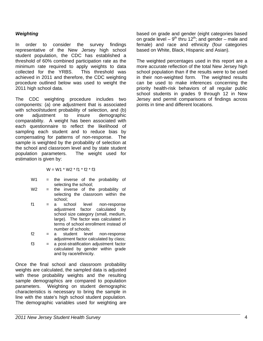## *Weighting*

In order to consider the survey findings representative of the New Jersey high school student population, the CDC has established a threshold of 60% combined participation rate as the minimum rate required to apply weights to data collected for the YRBS. This threshold was achieved in 2011 and therefore, the CDC weighting procedure outlined below was used to weight the 2011 high school data.

The CDC weighting procedure includes two components: (a) one adjustment that is associated with school/student probability of selection, and (b) one adjustment to insure demographic comparability. A weight has been associated with each questionnaire to reflect the likelihood of sampling each student and to reduce bias by compensating for patterns of non-response. The sample is weighted by the probability of selection at the school and classroom level and by state student population parameters. The weight used for estimation is given by:

 $W = W1 * W2 * f1 * f2 * f3$ 

- W1 = the inverse of the probability of selecting the school;
- $W2 =$  the inverse of the probability of selecting the classroom within the school;
- f1 = a school level non-response adjustment factor calculated by school size category (small, medium, large). The factor was calculated in terms of school enrollment instead of number of schools;
- f2 = a student level non-response adjustment factor calculated by class;

f3 = a post-stratification adjustment factor calculated by gender within grade and by race/ethnicity.

Once the final school and classroom probability weights are calculated, the sampled data is adjusted with these probability weights and the resulting sample demographics are compared to population parameters. Weighting on student demographic characteristics is necessary to bring the sample in line with the state's high school student population. The demographic variables used for weighting are

based on grade and gender (eight categories based on grade level –  $9<sup>th</sup>$  thru 12<sup>th</sup>; and gender – male and female) and race and ethnicity (four categories based on White, Black, Hispanic and Asian).

The weighted percentages used in this report are a more accurate reflection of the total New Jersey high school population than if the results were to be used in their non-weighted form. The weighted results can be used to make inferences concerning the priority health-risk behaviors of all regular public school students in grades 9 through 12 in New Jersey and permit comparisons of findings across points in time and different locations.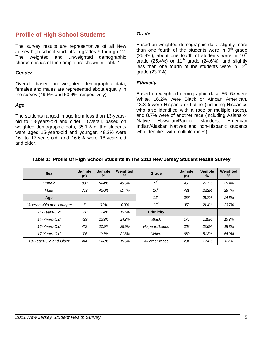## **Profile of High School Students**

The survey results are representative of all New Jersey high school students in grades 9 through 12. The weighted and unweighted demographic characteristics of the sample are shown in Table 1.

#### *Gender*

Overall, based on weighted demographic data, females and males are represented about equally in the survey (49.6% and 50.4%, respectively).

#### *Age*

The students ranged in age from less than 13-yearsold to 18-years-old and older. Overall, based on weighted demographic data, 35.1% of the students were aged 15-years-old and younger, 48.2% were 16- to 17-years-old, and 16.6% were 18-years-old and older.

#### *Grade*

Based on weighted demographic data, slightly more than one fourth of the students were in 9<sup>th</sup> grade  $(26.4\%)$ , about one fourth of students were in  $10^{th}$ grade  $(25.4\%)$  or 11<sup>th</sup> grade  $(24.6\%)$ , and slightly less than one fourth of the students were in  $12<sup>th</sup>$ grade (23.7%).

#### *Ethnicity*

Based on weighted demographic data, 56.9% were White, 16.2% were Black or African American, 18.3% were Hispanic or Latino (including Hispanics who also identified with a race or multiple races), and 8.7% were of another race (including Asians or<br>Native Hawaiian/Pacific Islanders. American Native Hawaiian/Pacific Islanders, Indian/Alaskan Natives and non-Hispanic students who identified with multiple races).

| <b>Sex</b>               | <b>Sample</b><br>(n) | <b>Sample</b><br>$\%$ | Weighted<br>℅ | Grade            | <b>Sample</b><br>(n) | <b>Sample</b><br>% | Weighted<br>℅ |
|--------------------------|----------------------|-----------------------|---------------|------------------|----------------------|--------------------|---------------|
| Female                   | 900                  | 54.4%                 | 49.6%         | $g^{th}$         | 457                  | 27.7%              | 26.4%         |
| Male                     | 753                  | 45.6%                 | 50.4%         | $10^{th}$        | 481                  | 29.2%              | 25.4%         |
| Age                      |                      |                       |               | $11^{th}$        | 357                  | 21.7%              | 24.6%         |
| 13-Years-Old and Younger | 5                    | 0.3%                  | 0.3%          | $12^{th}$        | 353                  | 21.4%              | 23.7%         |
| 14-Years-Old             | 188                  | 11.4%                 | 10.6%         | <b>Ethnicity</b> |                      |                    |               |
| 15-Years-Old             | 429                  | 25.9%                 | 24.2%         | Black            | 176                  | 10.8%              | 16.2%         |
| 16-Years-Old             | 462                  | 27.9%                 | 26.9%         | Hispanic/Latino  | 368                  | 22.6%              | 18.3%         |
| 17-Years-Old             | 326                  | 19.7%                 | 21.3%         | White            | 880                  | 54.2%              | 56.9%         |
| 18-Years-Old and Older   | 244                  | 14.8%                 | 16.6%         | All other races  | 201                  | 12.4%              | 8.7%          |

#### **Table 1: Profile Of High School Students In The 2011 New Jersey Student Health Survey**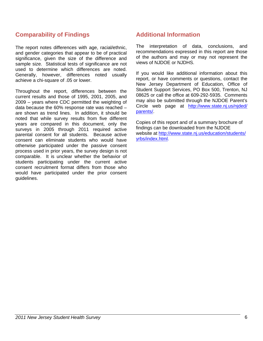## **Comparability of Findings**

The report notes differences with age, racial/ethnic, and gender categories that appear to be of practical significance, given the size of the difference and sample size. Statistical tests of significance are not used to determine which differences are noted. Generally, however, differences noted usually achieve a chi-square of .05 or lower.

Throughout the report, differences between the current results and those of 1995, 2001, 2005, and 2009 – years where CDC permitted the weighting of data because the 60% response rate was reached – are shown as trend lines. In addition, it should be noted that while survey results from five different years are compared in this document, only the surveys in 2005 through 2011 required active parental consent for all students. Because active consent can eliminate students who would have otherwise participated under the passive consent process used in prior years, the survey design is not comparable. It is unclear whether the behavior of students participating under the current active consent recruitment format differs from those who would have participated under the prior consent guidelines.

## **Additional Information**

The interpretation of data, conclusions, and recommendations expressed in this report are those of the authors and may or may not represent the views of NJDOE or NJDHS.

If you would like additional information about this report, or have comments or questions, contact the New Jersey Department of Education, Office of Student Support Services, PO Box 500, Trenton, NJ 08625 or call the office at 609-292-5935. Comments may also be submitted through the NJDOE Parent's Circle web page at http://www.state.nj.us/njded/ parents/.

Copies of this report and of a summary brochure of findings can be downloaded from the NJDOE website at http://www.state.nj.us/education/students/ yrbs/index.html.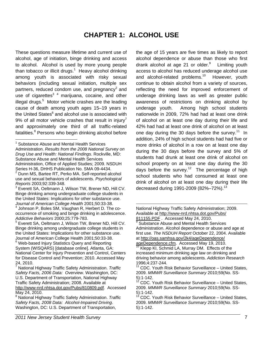# **CHAPTER 1: ALCOHOL USE**

 $\overline{a}$ 

These questions measure lifetime and current use of alcohol, age of initiation, binge drinking and access to alcohol. Alcohol is used by more young people than tobacco or illicit drugs. $1$  Heavy alcohol drinking among youth is associated with risky sexual behaviors (including sexual initiation, multiple sex partners, reduced condom use, and pregnancy<sup>2</sup> and use of cigarettes<sup>34</sup> marijuana, cocaine, and other illegal drugs.<sup>5</sup> Motor vehicle crashes are the leading cause of death among youth ages 15–19 years in the United States<sup>6</sup> and alcohol use is associated with 9% of all motor vehicle crashes that result in injury<sup>7</sup> and approximately one third of all traffic-related fatalities.<sup>8</sup> Persons who begin drinking alcohol before

3 Everett SA, Oeltmann J, Wilson TW, Brener ND, Hill CV. Binge drinking among undergraduate college students in the United States: Implications for other substance use. *Journal of American College Health* 2001;50:33-38. 4

5 Everett SA, Oeltmann J, Wilson TW, Brener ND, Hill CV. Binge drinking among undergraduate college students in the United States: Implications for other substance use. Journal of American College Health 2001;50:33-38. <sup>6</sup> Web-based Injury Statistics Query and Reporting System (WISQARS) [database online]. Atlanta, GA: National Center for Injury Prevention and Control, Centers for Disease Control and Prevention; 2010. Accessed May 24, 2010.

7 National Highway Traffic Safety Administration. *Traffic Safety Facts, 2006 Data: Overview*. Washington, DC: U.S. Department of Transportation, National Highway Traffic Safety Administration; 2008. Available at http://www-nrd.nhtsa.dot.gov/Pubs/810809.pdf. Accessed May 24, 2010.

the age of 15 years are five times as likely to report alcohol dependence or abuse than those who first drank alcohol at age 21 or older.<sup>9</sup> Limiting youth access to alcohol has reduced underage alcohol use and alcohol-related problems.<sup>10</sup> However, youth continue to obtain alcohol from a variety of sources, reflecting the need for improved enforcement of underage drinking laws as well as greater public awareness of restrictions on drinking alcohol by underage youth. Among high school students nationwide in 2009, 72% had had at least one drink of alcohol on at least one day during their life and 42% had had at least one drink of alcohol on at least one day during the 30 days before the survey.<sup>11</sup> In addition, 24% of high school students had had five or more drinks of alcohol in a row on at least one day during the 30 days before the survey and 5% of students had drunk at least one drink of alcohol on school property on at least one day during the 30 days before the survey.<sup>12</sup> The percentage of high school students who had consumed at least one drink of alcohol on at least one day during their life decreased during 1991-2009 (82%–72%).<sup>13</sup>

<sup>&</sup>lt;sup>1</sup> Substance Abuse and Mental Health Services Administration. *Results from the 2008 National Survey on Drug Use and Health: National Findings*. Rockville, MD: Substance Abuse and Mental Health Services Administration, Office of Applied Studies; 2009. NSDUH Series H-36, DHHS Publication No. SMA 09-4434. 2 Dunn MS, Bartee RT, Perko MA. Self-reported alcohol

use and sexual behaviors of adolescents. *Psychological Reports* 2003;92:339-348.

Johnson P, Boles SM, Vaughan R, Herbert D. The cooccurrence of smoking and binge drinking in adolescence. *Addictive Behaviors* 2000;25:779-783.

<sup>8</sup> National Highway Traffic Safety Administration. *Traffic Safety Facts, 2008 Data: Alcohol-Impaired Driving*. Washington, DC: U.S. Department of Transportation,

National Highway Traffic Safety Administration; 2009. Available at http://www-nrd.nhtsa.dot.gov/Pubs/ 811155.PDF . Accessed May 24, 2010.<br><sup>9</sup> Substance Abuse and Mental Health Services

Administration. Alcohol dependence or abuse and age at first use. *The NSDUH Report* October 22, 2004. Available at http://oas.samhsa.gov/2k4/ageDependence/ ageDependence.cfm. Accessed May 19, 2010.<br><sup>10</sup> Klepp KI, Schmid LA, Murray DM. Effects of the

increased minimum drinking age law on drinking and driving behavior among adolescents. *Addiction Research* 1996;4:237-244.

 $11$  CDC. Youth Risk Behavior Surveillance – United States, 2009. *MMWR Surveillance Summary* 2010;59(No. SS-5):1-142.

<sup>12</sup> CDC. Youth Risk Behavior Surveillance – United States, 2009. *MMWR Surveillance Summary* 2010;59(No. SS-5):1-142.

<sup>&</sup>lt;sup>13</sup> CDC. Youth Risk Behavior Surveillance – United States, 2009. *MMWR Surveillance Summary* 2010;59(No. SS-5):1-142.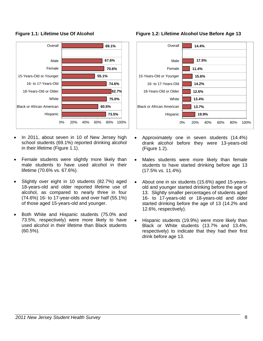

## **Figure 1.1: Lifetime Use Of Alcohol**

- In 2011, about seven in 10 of New Jersey high school students (69.1%) reported drinking alcohol in their lifetime (Figure 1.1).
- Female students were slightly more likely than male students to have used alcohol in their lifetime (70.6% vs. 67.6%).
- Slightly over eight in 10 students (82.7%) aged 18-years-old and older reported lifetime use of alcohol, as compared to nearly three in four (74.6%) 16- to 17-year-olds and over half (55.1%) of those aged 15-years-old and younger.
- Both White and Hispanic students (75.0% and 73.5%, respectively) were more likely to have used alcohol in their lifetime than Black students (60.5%).





- Approximately one in seven students (14.4%) drank alcohol before they were 13-years-old (Figure 1.2).
- Males students were more likely than female students to have started drinking before age 13 (17.5% vs. 11.4%).
- About one in six students (15.6%) aged 15-yearsold and younger started drinking before the age of 13. Slightly smaller percentages of students aged 16- to 17-years-old or 18-years-old and older started drinking before the age of 13 (14.2% and 12.6%, respectively).
- Hispanic students (19.9%) were more likely than Black or White students (13.7% and 13.4%, respectively) to indicate that they had their first drink before age 13.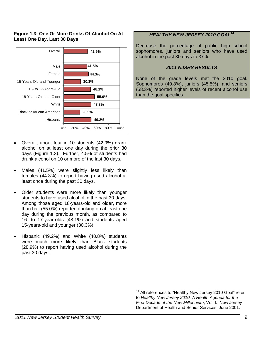## **Figure 1.3: One Or More Drinks Of Alcohol On At Least One Day, Last 30 Days**



- Overall, about four in 10 students (42.9%) drank alcohol on at least one day during the prior 30 days (Figure 1.3). Further, 4.5% of students had drunk alcohol on 10 or more of the last 30 days.
- Males (41.5%) were slightly less likely than females (44.3%) to report having used alcohol at least once during the past 30 days.
- Older students were more likely than younger students to have used alcohol in the past 30 days. Among those aged 18-years-old and older, more than half (55.0%) reported drinking on at least one day during the previous month, as compared to 16- to 17-year-olds (48.1%) and students aged 15-years-old and younger (30.3%).
- Hispanic (49.2%) and White (48.8%) students were much more likely than Black students (28.9%) to report having used alcohol during the past 30 days.

## *HEALTHY NEW JERSEY 2010 GOAL<sup>14</sup>*

Decrease the percentage of public high school sophomores, juniors and seniors who have used alcohol in the past 30 days to 37%.

#### *2011 NJSHS RESULTS*

None of the grade levels met the 2010 goal. Sophomores (40.8%), juniors (45.5%), and seniors (58.3%) reported higher levels of recent alcohol use than the goal specifies.

<sup>&</sup>lt;sup>14</sup> All references to "Healthy New Jersey 2010 Goal" refer to *Healthy New Jersey 2010: A Health Agenda for the First Decade of the New Millennium*, Vol. I. New Jersey Department of Health and Senior Services, June 2001.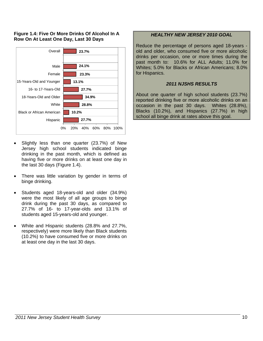## **Figure 1.4: Five Or More Drinks Of Alcohol In A Row On At Least One Day, Last 30 Days**



- Slightly less than one quarter (23.7%) of New Jersey high school students indicated binge drinking in the past month, which is defined as having five or more drinks on at least one day in the last 30 days (Figure 1.4).
- There was little variation by gender in terms of binge drinking.
- Students aged 18-years-old and older (34.9%) were the most likely of all age groups to binge drink during the past 30 days, as compared to 27.7% of 16- to 17-year-olds and 13.1% of students aged 15-years-old and younger.
- White and Hispanic students (28.8% and 27.7%, respectively) were more likely than Black students (10.2%) to have consumed five or more drinks on at least one day in the last 30 days.

## *HEALTHY NEW JERSEY 2010 GOAL*

Reduce the percentage of persons aged 18-years old and older, who consumed five or more alcoholic drinks per occasion, one or more times during the past month to: 10.6% for ALL Adults; 11.0% for Whites; 5.0% for Blacks or African Americans; 8.0% for Hispanics.

## *2011 NJSHS RESULTS*

About one quarter of high school students (23.7%) reported drinking five or more alcoholic drinks on an occasion in the past 30 days. Whites (28.8%), Blacks (10.2%), and Hispanics (27.7%) in high **school all binge drink at rates above this goal. 27.7%**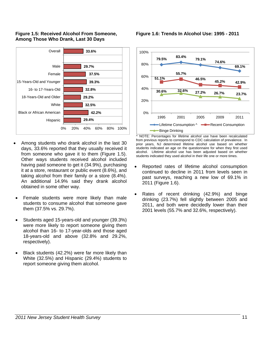



- Among students who drank alcohol in the last 30 days, 33.6% reported that they usually received it from someone who gave it to them (Figure 1.5). Other ways students received alcohol included having paid someone to get it (34.9%), purchasing it at a store, restaurant or public event (8.6%), and taking alcohol from their family or a store (8.4%). An additional 14.9% said they drank alcohol obtained in some other way.
- Female students were more likely than male students to consume alcohol that someone gave them (37.5% vs. 29.7%).
- Students aged 15-years-old and younger (39.3%) were more likely to report someone giving them alcohol than 16- to 17-year-olds and those aged 18-years-old and above (32.8% and 29.2%, respectively).
- Black students (42.2%) were far more likely than White (32.5%) and Hispanic (29.4%) students to report someone giving them alcohol.

**Figure 1.6: Trends In Alcohol Use: 1995 - 2011** 



^ NOTE: Percentages for lifetime alcohol use have been recalculated from previous reports to correspond to CDC calculation of prevalence. In prior years, NJ determined lifetime alcohol use based on whether students indicated an age on the questionnaire for when they first used alcohol. Lifetime alcohol use has been adjusted based on whether students indicated they used alcohol in their life one or more times.

- Reported rates of lifetime alcohol consumption continued to decline in 2011 from levels seen in past surveys, reaching a new low of 69.1% in 2011 (Figure 1.6).
- Rates of recent drinking (42.9%) and binge drinking (23.7%) fell slightly between 2005 and 2011, and both were decidedly lower than their 2001 levels (55.7% and 32.6%, respectively).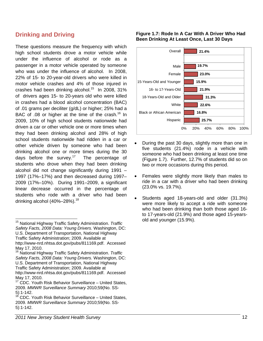## **Drinking and Driving**

These questions measure the frequency with which high school students drove a motor vehicle while under the influence of alcohol or rode as a passenger in a motor vehicle operated by someone who was under the influence of alcohol. In 2008, 22% of 15- to 20-year-old drivers who were killed in motor vehicle crashes and 4% of those injured in crashes had been drinking alcohol.<sup>15</sup> In 2008, 31% of drivers ages 15- to 20-years old who were killed in crashes had a blood alcohol concentration (BAC) of .01 grams per deciliter (g/dL) or higher; 25% had a BAC of .08 or higher at the time of the crash.<sup>16</sup> In 2009, 10% of high school students nationwide had driven a car or other vehicle one or more times when they had been drinking alcohol and 28% of high school students nationwide had ridden in a car or other vehicle driven by someone who had been drinking alcohol one or more times during the 30 days before the survey. $17$  The percentage of students who drove when they had been drinking alcohol did not change significantly during 1991 – 1997 (17%–17%) and then decreased during 1997– 2009 (17%–10%). During 1991–2009, a significant linear decrease occurred in the percentage of students who rode with a driver who had been drinking alcohol  $(40\% - 28\%)$ .<sup>18</sup>

## **Figure 1.7: Rode In A Car With A Driver Who Had Been Drinking At Least Once, Last 30 Days**



- During the past 30 days, slightly more than one in five students (21.4%) rode in a vehicle with someone who had been drinking at least one time (Figure 1.7). Further, 12.7% of students did so on two or more occasions during this period.
- Females were slightly more likely than males to ride in a car with a driver who had been drinking (23.0% vs. 19.7%).
- Students aged 18-years-old and older (31.3%) were more likely to accept a ride with someone who had been drinking than both those aged 16 to 17-years-old (21.9%) and those aged 15-yearsold and younger (15.9%).

<sup>15</sup> National Highway Traffic Safety Administration. *Traffic Safety Facts, 2008 Data: Young Drivers.* Washington, DC: U.S. Department of Transportation, National Highway Traffic Safety Administration; 2009. Available at http://www-nrd.nhtsa.dot.gov/pubs/811169.pdf. Accessed May 17, 2010.

<sup>16</sup> National Highway Traffic Safety Administration. *Traffic Safety Facts, 2008 Data: Young Drivers.* Washington, DC: U.S. Department of Transportation, National Highway Traffic Safety Administration; 2009. Available at http://www-nrd.nhtsa.dot.gov/pubs/811169.pdf. Accessed May 17, 2010.

 $17$  CDC. Youth Risk Behavior Surveillance – United States, 2009. *MMWR Surveillance Summary* 2010;59(No. SS-5):1-142.

<sup>&</sup>lt;sup>18</sup> CDC. Youth Risk Behavior Surveillance – United States, 2009. *MMWR Surveillance Summary* 2010;59(No. SS-5):1-142.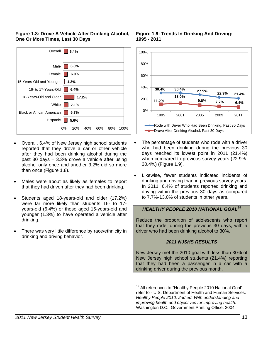



- Overall, 6.4% of New Jersey high school students reported that they drove a car or other vehicle after they had been drinking alcohol during the past 30 days – 3.3% drove a vehicle after using alcohol only once and another 3.2% did so more than once (Figure 1.8).
- Males were about as likely as females to report that they had driven after they had been drinking.
- Students aged 18-years-old and older (17.2%) were far more likely than students 16- to 17 years-old (6.4%) or those aged 15-years-old and younger (1.3%) to have operated a vehicle after drinking.
- There was very little difference by race/ethnicity in drinking and driving behavior.





- The percentage of students who rode with a driver who had been drinking during the previous 30 days reached its lowest point in 2011 (21.4%) when compared to previous survey years (22.9%- 30.4%) (Figure 1.9).
- Likewise, fewer students indicated incidents of drinking and driving than in previous survey years. In 2011, 6.4% of students reported drinking and driving within the previous 30 days as compared to 7.7%-13.0% of students in other years.

## *HEALTHY PEOPLE 2010 NATIONAL GOAL*<sup>19</sup>

Reduce the proportion of adolescents who report that they rode, during the previous 30 days, with a driver who had been drinking alcohol to 30%.

#### *2011 NJSHS RESULTS*

New Jersey met the 2010 goal with less than 30% of New Jersey high school students (21.4%) reporting that they had been a passenger in a car with a drinking driver during the previous month.

 <sup>19</sup> All references to "Healthy People 2010 National Goal" refer to - U.S. Department of Health and Human Services. *Healthy People 2010. 2nd ed. With understanding and improving health and objectives for improving health*. Washington D.C., Government Printing Office, 2004.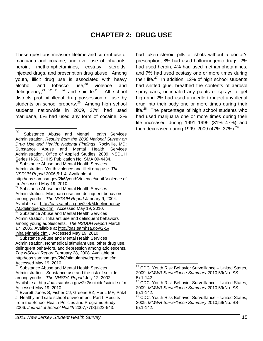# **CHAPTER 2: DRUG USE**

These questions measure lifetime and current use of marijuana and cocaine, and ever use of inhalants, heroin, methamphetamines, ecstasy, steroids, injected drugs, and prescription drug abuse. Among youth, illicit drug use is associated with heavy alcohol and tobacco use, $20$  violence and delinquency,  $21 \t 22 \t 23 \t 24$  and suicide.<sup>25</sup> All school districts prohibit illegal drug possession or use by students on school property.<sup>26</sup> Among high school students nationwide in 2009, 37% had used marijuana, 6% had used any form of cocaine, 3%

 $21$  Substance Abuse and Mental Health Services Administration. Youth violence and illicit drug use. *The NSDUH Report* 2006;5:1-4. Available at http://oas.samhsa.gov/2k6/youthViolence/youthViolence.cf m. Accessed May 19, 2010.<br><sup>22</sup> Substance Abuse and Mental Health Services

 $\frac{23}{23}$  Substance Abuse and Mental Health Services Administration. Inhalant use and delinquent behaviors among young adolescents. *The NSDUH Report* March 17, 2005. Available at http://oas.samhsa.gov/2k5/  $\frac{\text{inhale/inhale.cfm}}{\text{24}}$ . Accessed May 19, 2010.<br><sup>24</sup> Substance Abuse and Mental Health Services

Administration. Nonmedical stimulant use, other drug use, delinquent behaviors, and depression among adolescents. *The NSDUH Report* February 28, 2008. Available at http://oas.samhsa.gov/2k8/stimulants/depression.cfm . Accessed May 19, 2010.

<sup>25</sup> Substance Abuse and Mental Health Services Administration. Substance use and the risk of suicide among youths. *The NHSDA Report* July 12, 2002. Available at http://oas.samhsa.gov/2k2/suicide/suicide.cfm Accessed May 19, 2010.

had taken steroid pills or shots without a doctor's prescription, 8% had used hallucinogenic drugs, 2% had used heroin, 4% had used methamphetamines, and 7% had used ecstasy one or more times during their life. $27$  In addition, 12% of high school students had sniffed glue, breathed the contents of aerosol spray cans, or inhaled any paints or sprays to get high and 2% had used a needle to inject any illegal drug into their body one or more times during their life. $28$  The percentage of high school students who had used marijuana one or more times during their life increased during 1991–1999 (31%–47%) and then decreased during 1999–2009 (47%–37%).<sup>29</sup>

<sup>20</sup> Substance Abuse and Mental Health Services Administration. *Results from the 2008 National Survey on Drug Use and Health: National Findings*. Rockville, MD: Substance Abuse and Mental Health Services Administration, Office of Applied Studies; 2009. NSDUH Series H-36, DHHS Publication No. SMA 09-4434.

Administration. Marijuana use and delinquent behaviors among youths. *The NSDUH Report* January 9, 2004. Available at http://oas.samhsa.gov/2k4/MJdelinquency<br>/MJdelinquency.cfm. Accessed May 19, 2010.

<sup>26</sup> Everett Jones S, Fisher CJ, Greene BZ, Hertz MF, Pritzl J. Healthy and safe school environment, Part I: Results from the School Health Policies and Programs Study 2006. *Journal of School Health* 2007;77(8):522-543.

  $27$  CDC. Youth Risk Behavior Surveillance – United States, 2009. *MMWR Surveillance Summary* 2010;59(No. SS-5):1-142.

<sup>28</sup> CDC. Youth Risk Behavior Surveillance – United States, 2009. *MMWR Surveillance Summary* 2010;59(No. SS-5):1-142.

<sup>&</sup>lt;sup>29</sup> CDC. Youth Risk Behavior Surveillance – United States, 2009. *MMWR Surveillance Summary* 2010;59(No. SS-5):1-142.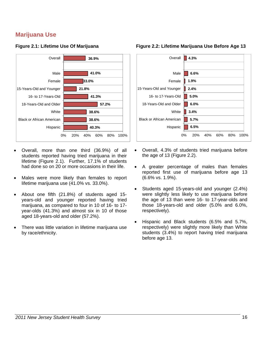## **Marijuana Use**



## **Figure 2.1: Lifetime Use Of Marijuana**

- Overall, more than one third (36.9%) of all students reported having tried marijuana in their lifetime (Figure 2.1). Further, 17.1% of students had done so on 20 or more occasions in their life.
- Males were more likely than females to report lifetime marijuana use (41.0% vs. 33.0%).
- About one fifth (21.8%) of students aged 15 years-old and younger reported having tried marijuana, as compared to four in 10 of 16- to 17 year-olds (41.3%) and almost six in 10 of those aged 18-years-old and older (57.2%).
- There was little variation in lifetime marijuana use by race/ethnicity.





- Overall, 4.3% of students tried marijuana before the age of 13 (Figure 2.2).
- A greater percentage of males than females reported first use of marijuana before age 13 (6.6% vs. 1.9%).
- Students aged 15-years-old and younger (2.4%) were slightly less likely to use marijuana before the age of 13 than were 16- to 17-year-olds and those 18-years-old and older (5.0% and 6.0%, respectively).
- Hispanic and Black students (6.5% and 5.7%, respectively) were slightly more likely than White students (3.4%) to report having tried marijuana before age 13.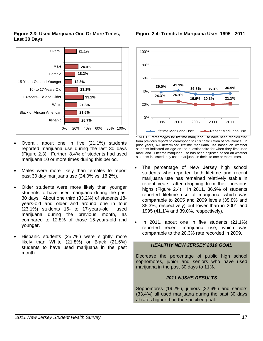## **Figure 2.3: Used Marijuana One Or More Times, Last 30 Days**



- Overall, about one in five (21.1%) students reported marijuana use during the last 30 days (Figure 2.3). Further, 8.4% of students had used marijuana 10 or more times during this period.
- Males were more likely than females to report past 30 day marijuana use (24.0% vs. 18.2%).
- Older students were more likely than younger students to have used marijuana during the past 30 days. About one third (33.2%) of students 18 years-old and older and around one in four (23.1%) students 16- to 17-years-old used marijuana during the previous month, as compared to 12.8% of those 15-years-old and younger.
- Hispanic students (25.7%) were slightly more likely than White (21.8%) or Black (21.6%) students to have used marijuana in the past month.



^ NOTE: Percentages for lifetime marijuana use have been recalculated Lifetime Marijuana Use^ **-B**Recent Marijuana Use

from previous reports to correspond to CDC calculation of prevalence. In prior years, NJ determined lifetime marijuana use based on whether students indicated an age on the questionnaire for when they first used marijuana. Lifetime marijuana use has been adjusted based on whether students indicated they used marijuana in their life one or more times.

- The percentage of New Jersey high school students who reported both lifetime and recent marijuana use has remained relatively stable in recent years, after dropping from their previous highs (Figure 2.4). In 2011, 36.9% of students reported lifetime use of marijuana, which was comparable to 2005 and 2009 levels (35.8% and 35.3%, respectively) but lower than in 2001 and 1995 (41.1% and 39.0%, respectively).
- In 2011, about one in five students (21.1%) reported recent marijuana use, which was comparable to the 20.3% rate recorded in 2009.

## *HEALTHY NEW JERSEY 2010 GOAL*

Decrease the percentage of public high school sophomores, junior and seniors who have used marijuana in the past 30 days to 11%.

## *2011 NJSHS RESULTS*

Sophomores (19.2%), juniors (22.6%) and seniors (33.4%) all used marijuana during the past 30 days at rates higher than the specified goal.

**Figure 2.4: Trends In Marijuana Use: 1995 - 2011**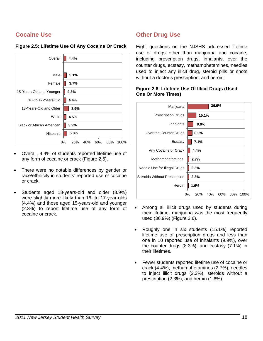## **Cocaine Use**



## **Figure 2.5: Lifetime Use Of Any Cocaine Or Crack**

- Overall, 4.4% of students reported lifetime use of any form of cocaine or crack (Figure 2.5).
- There were no notable differences by gender or race/ethnicity in students' reported use of cocaine or crack.
- Students aged 18-years-old and older (8.9%) were slightly more likely than 16- to 17-year-olds (4.4%) and those aged 15-years-old and younger (2.3%) to report lifetime use of any form of cocaine or crack.

## **Other Drug Use**

Eight questions on the NJSHS addressed lifetime use of drugs other than marijuana and cocaine, including prescription drugs, inhalants, over the counter drugs, ecstasy, methamphetamines, needles used to inject any illicit drug, steroid pills or shots without a doctor's prescription, and heroin.

| Marijuana                            | 36.9%                                  |
|--------------------------------------|----------------------------------------|
| <b>Prescription Drugs</b>            | 15.1%                                  |
| Inhalants                            | 9.9%                                   |
| Over the Counter Drugs               | 8.3%                                   |
| Ecstasy                              | 7.1%                                   |
| Any Cocaine or Crack                 | 4.4%                                   |
| Methamphetamines                     | 2.7%                                   |
| Needle Use for Illegal Drugs         | 2.3%                                   |
| <b>Steroids Without Prescription</b> | 2.3%                                   |
| Heroin                               | 1.6%                                   |
|                                      | 0%<br>20%<br>40%<br>60%<br>80%<br>100% |

## **Figure 2.6: Lifetime Use Of Illicit Drugs (Used One Or More Times)**

- Among all illicit drugs used by students during their lifetime, marijuana was the most frequently used (36.9%) (Figure 2.6).
- Roughly one in six students (15.1%) reported lifetime use of prescription drugs and less than one in 10 reported use of inhalants (9.9%), over the counter drugs (8.3%), and ecstasy (7.1%) in their lifetimes.
- Fewer students reported lifetime use of cocaine or crack (4.4%), methamphetamines (2.7%), needles to inject illicit drugs (2.3%), steroids without a prescription (2.3%), and heroin (1.6%).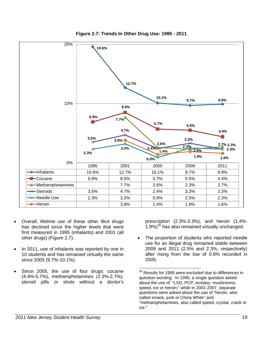

**Figure 2.7: Trends In Other Drug Use: 1995 - 2011** 

- Overall, lifetime use of these other illicit drugs has declined since the higher levels that were first measured in 1995 (inhalants) and 2001 (all other drugs) (Figure 2.7).
- In 2011, use of inhalants was reported by one in 10 students and has remained virtually the same since 2005 (9.7%-10.1%).
- Since 2005, the use of four drugs: cocaine (4.4%-5.7%), methamphetamines (2.3%-2.7%), steroid pills or shots without a doctor's

prescription (2.3%-3.3%), and heroin (1.4%-  $(1.9\%)^{30}$  has also remained virtually unchanged.

• The proportion of students who reported needle use for an illegal drug remained stable between 2009 and 2011 (2.5% and 2.3%, respectively) after rising from the low of 0.9% recorded in 2005.

<sup>-</sup> $30$  Results for 1995 were excluded due to differences in question wording. In 1995, a single question asked about the use of "LSD, PCP, ecstasy, mushrooms, speed, ice or heroin;" while in 2001-2007, separate questions were asked about the use of "heroin, also called smack, junk or China White" and "methamphetamines, also called speed, crystal, crank or ice."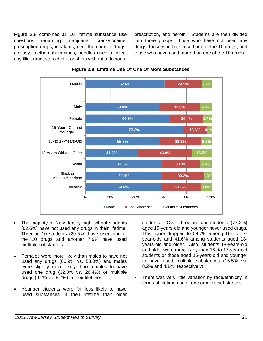Figure 2.8 combines all 10 lifetime substance use questions regarding marijuana, crack/cocaine, prescription drugs, inhalants, over the counter drugs, ecstasy, methamphetamines, needles used to inject any illicit drug, steroid pills or shots without a doctor's

prescription, and heroin. Students are then divided into three groups: those who have not used any drugs, those who have used one of the 10 drugs, and those who have used more than one of the 10 drugs.



## **Figure 2.8: Lifetime Use Of One Or More Substances**

- The majority of New Jersey high school students (62.6%) have not used any drugs in their lifetime. Three in 10 students (29.5%) have used one of the 10 drugs and another 7.9% have used multiple substances.
- Females were more likely than males to have not used any drugs (66.9% vs. 58.0%) and males were slightly more likely than females to have used one drug (32.8% vs. 26.4%) or multiple drugs (9.2% vs. 6.7%) in their lifetimes.
- Younger students were far less likely to have used substances in their lifetime than older

students. Over three in four students (77.2%) aged 15-years-old and younger never used drugs. This figure dropped to 58.7% among 16- to 17 year-olds and 41.6% among students aged 18 years-old and older. Also, students 18-years-old and older were more likely than 16- to 17-year-old students or those aged 15-years-old and younger to have used multiple substances (15.5% vs. 8.2% and 4.1%, respectively).

There was very little variation by race/ethnicity in terms of lifetime use of one or more substances.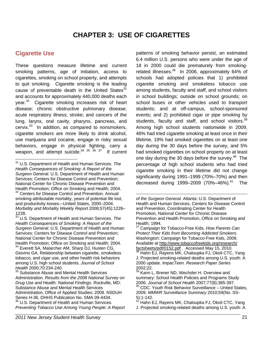# **CHAPTER 3: USE OF CIGARETTES**

## **Cigarette Use**

These questions measure lifetime and current smoking patterns, age of initiation, access to cigarettes, smoking on school property, and attempts to quit smoking. Cigarette smoking is the leading cause of preventable death in the United States $31$ and accounts for approximately 440,000 deaths each year.<sup>32</sup> Cigarette smoking increases risk of heart disease; chronic obstructive pulmonary disease; acute respiratory illness; stroke; and cancers of the lung, larynx, oral cavity, pharynx, pancreas, and  $c$ ervix. $33$  In addition, as compared to nonsmokers, cigarette smokers are more likely to drink alcohol, use marijuana and cocaine, engage in risky sexual behaviors, engage in physical fighting, carry a weapon, and attempt suicide. $34 \times 35 \times 36 \times 37$  If current

patterns of smoking behavior persist, an estimated 6.4 million U.S. persons who were under the age of 18 in 2000 could die prematurely from smokingrelated illnesses.<sup>38</sup> In 2006, approximately 64% of schools had adopted policies that 1) prohibited cigarette smoking and smokeless tobacco use among students, faculty and staff, and school visitors in school buildings; outside on school grounds; on school buses or other vehicles used to transport students; and at off-campus, school-sponsored events; and 2) prohibited cigar or pipe smoking by students, faculty and staff, and school visitors.<sup>39</sup> Among high school students nationwide in 2009, 46% had tried cigarette smoking at least once in their lifetime, 19% had smoked cigarettes on at least one day during the 30 days before the survey, and 5% had smoked cigarettes on school property on at least one day during the 30 days before the survey.<sup>40</sup> The percentage of high school students who had tried cigarette smoking in their lifetime did not change significantly during 1991–1999 (70%–70%) and then decreased during 1999–2009 (70%–46%). $41$  The

 $\overline{\phantom{a}}$ 31 U.S. Department of Health and Human Services. *The Health Consequences of Smoking: A Report of the Surgeon General.* U.S. Department of Health and Human Services; Centers for Disease Control and Prevention; National Center for Chronic Disease Prevention and Health Promotion; Office on Smoking and Health; 2004. <sup>32</sup> Centers for Disease Control and Prevention. Annual smoking-attributable mortality, years of potential life lost, and productivity losses—United States, 2000–2004. *Morbidity and Mortality Weekly Report* 2008;57(45):1226– 1228.

<sup>33</sup> U.S. Department of Health and Human Services. *The Health Consequences of Smoking: A Report of the Surgeon General.* U.S. Department of Health and Human Services; Centers for Disease Control and Prevention; National Center for Chronic Disease Prevention and Health Promotion; Office on Smoking and Health; 2004. Everett SA, Malarcher AM, Sharp DJ, Husten CG, Giovino GA. Relationship between cigarette, smokeless tobacco, and cigar use, and other health risk behaviors among U.S. high school students. *Journal of School Health* 2000;70:234-240.

<sup>&</sup>lt;sup>35</sup> Substance Abuse and Mental Health Services Administration. *Results from the 2008 National Survey on Drug Use and Health: National Findings*. Rockville, MD: Substance Abuse and Mental Health Services Administration, Office of Applied Studies; 2009. NSDUH Series H-36, DHHS Publication No. SMA 09-4434. <sup>36</sup> U.S. Department of Health and Human Services. *Preventing Tobacco Use Among Young People: A Report* 

*of the Surgeon General.* Atlanta: U.S. Department of Health and Human Services, Centers for Disease Control and Prevention, Coordinating Center for Health Promotion, National Center for Chronic Disease Prevention and Health Promotion, Office on Smoking and Health; 1994.

<sup>37</sup> Campaign for Tobacco-Free Kids. *How Parents Can Protect Their Kids from Becoming Addicted Smokers*. Washington: Campaign for Tobacco-Free Kids, 2009. Available at http://www.tobaccofreekids.org/research/ factsheets/pdf/0152.pdf . Accessed May 15, 2010.<br><sup>38</sup> Hahn EJ, Rayens MK, Chaloupka FJ, Okoli CTC, Yang

J. Projected smoking-related deaths among U.S. youth: A 2000 update. *ImpacTeen. Research Paper Series*  2002;22.

 $39$  Kann L, Brener ND, Wechsler H. Overview and summary: School Health Policies and Programs Study 2006. *Journal of School Health* 2007;77(8):385-397. 40 CDC. Youth Risk Behavior Surveillance – United States, 2009. *MMWR Surveillance Summary* 2010;59(No. SS- $\frac{5}{41}$ :1-142.

Hahn EJ, Rayens MK, Chaloupka FJ, Okoli CTC, Yang J. Projected smoking-related deaths among U.S. youth: A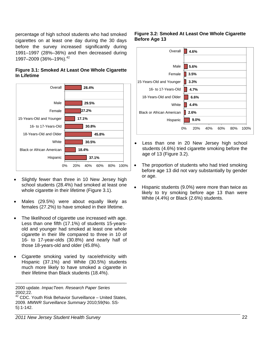percentage of high school students who had smoked cigarettes on at least one day during the 30 days before the survey increased significantly during 1991–1997 (28%–36%) and then decreased during 1997–2009 (36%–19%).<sup>42</sup>

## **Figure 3.1: Smoked At Least One Whole Cigarette In Lifetime**



- Slightly fewer than three in 10 New Jersey high school students (28.4%) had smoked at least one whole cigarette in their lifetime (Figure 3.1).
- Males (29.5%) were about equally likely as females (27.2%) to have smoked in their lifetime.
- The likelihood of cigarette use increased with age. Less than one fifth (17.1%) of students 15-yearsold and younger had smoked at least one whole cigarette in their life compared to three in 10 of 16- to 17-year-olds (30.8%) and nearly half of those 18-years-old and older (45.8%).
- Cigarette smoking varied by race/ethnicity with Hispanic (37.1%) and White (30.5%) students much more likely to have smoked a cigarette in their lifetime than Black students (18.4%).

2000 update. *ImpacTeen. Research Paper Series*  2002;22.

-

## **Figure 3.2: Smoked At Least One Whole Cigarette Before Age 13**

| Overall                          | 4.6%                                      |
|----------------------------------|-------------------------------------------|
|                                  |                                           |
| Male                             | 5.6%                                      |
| Female                           | 3.5%                                      |
| 15-Years-Old and Younger         | 3.3%                                      |
| 16- to 17-Years-Old              | 4.7%                                      |
| 18-Years-Old and Older           | 6.6%                                      |
| White                            | 4.4%                                      |
| <b>Black or African American</b> | 2.6%                                      |
| Hispanic                         | 9.0%                                      |
|                                  | $0\%$<br>20%<br>40%<br>60%<br>80%<br>100% |

- Less than one in 20 New Jersey high school students (4.6%) tried cigarette smoking before the age of 13 (Figure 3.2).
- The proportion of students who had tried smoking before age 13 did not vary substantially by gender or age.
- Hispanic students (9.0%) were more than twice as likely to try smoking before age 13 than were White (4.4%) or Black (2.6%) students.

 $42$  CDC. Youth Risk Behavior Surveillance – United States, 2009. *MMWR Surveillance Summary* 2010;59(No. SS-5):1-142.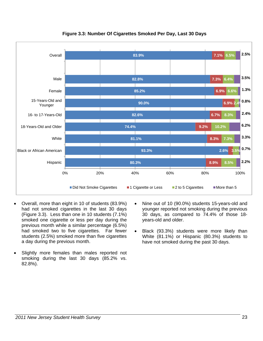

**Figure 3.3: Number Of Cigarettes Smoked Per Day, Last 30 Days** 

- Overall, more than eight in 10 of students (83.9%) had not smoked cigarettes in the last 30 days (Figure 3.3). Less than one in 10 students (7.1%) smoked one cigarette or less per day during the previous month while a similar percentage (6.5%) had smoked two to five cigarettes. Far fewer students (2.5%) smoked more than five cigarettes a day during the previous month.
- Slightly more females than males reported not smoking during the last 30 days (85.2% vs. 82.8%).
- Nine out of 10 (90.0%) students 15-years-old and younger reported not smoking during the previous 30 days, as compared to 74.4% of those 18 years-old and older.
- Black (93.3%) students were more likely than White (81.1%) or Hispanic (80.3%) students to have not smoked during the past 30 days.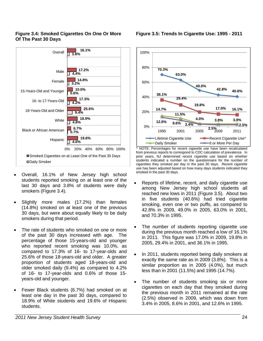## **Figure 3.4: Smoked Cigarettes On One Or More Of The Past 30 Days**



- Overall, 16.1% of New Jersey high school students reported smoking on at least one of the last 30 days and 3.8% of students were daily smokers (Figure 3.4).
- Slightly more males (17.2%) than females (14.8%) smoked on at least one of the previous 30 days, but were about equally likely to be daily smokers during that period.
- The rate of students who smoked on one or more of the past 30 days increased with age. The percentage of those 15-years-old and younger who reported recent smoking was 10.0%, as compared to 17.3% of 16- to 17-year-olds and 25.6% of those 18-years-old and older. A greater proportion of students aged 18-years-old and older smoked daily (9.4%) as compared to 4.2% of 16- to 17-year-olds and 0.6% of those 15 years-old and younger.
- Fewer Black students (6.7%) had smoked on at least one day in the past 30 days, compared to 18.9% of White students and 19.6% of Hispanic students.





^ NOTE: Percentages for recent cigarette use have been recalculated from previous reports to correspond to CDC calculation of prevalence. In prior years, NJ determined recent cigarette use based on whether students indicated a number on the questionnaire for the number of cigarettes they smoked per day in the past 30 days. Recent cigarette use has been adjusted based on how many days students indicated they smoked in the past 30 days.

- Reports of lifetime, recent, and daily cigarette use among New Jersey high school students all reached new lows in 2011 (Figure 3.5). About two in five students (40.6%) had tried cigarette smoking, even one or two puffs, as compared to 42.8% in 2009, 49.0% in 2005, 63.0% in 2001, and 70.3% in 1995.
- The number of students reporting cigarette use during the previous month reached a low of 16.1% in 2011. This figure was 17.0% in 2009, 19.8% in 2005, 29.4% in 2001, and 36.1% in 1995.
- In 2011, students reported being daily smokers at exactly the same rate as in 2009 (3.8%). This is a similar proportion as in 2005 (4.0%), but much less than in 2001 (11.5%) and 1995 (14.7%).
- The number of students smoking six or more cigarettes on each day that they smoked during the previous month in 2011 remained at the rate (2.5%) observed in 2009, which was down from 3.4% in 2005, 8.6% in 2001, and 12.6% in 1995.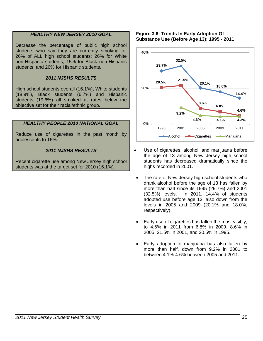## *HEALTHY NEW JERSEY 2010 GOAL*

Decrease the percentage of public high school students who say they are currently smoking to: 26% of ALL high school students; 26% for White non-Hispanic students; 15% for Black non-Hispanic students; and 26% for Hispanic students.

## *2011 NJSHS RESULTS*

High school students overall (16.1%), White students (18.9%), Black students (6.7%) and Hispanic students (19.6%) all smoked at rates below the objective set for their racial/ethnic group.

## *HEALTHY PEOPLE 2010 NATIONAL GOAL*

Reduce use of cigarettes in the past month by adolescents to 16%.

## *2011 NJSHS RESULTS*

Recent cigarette use among New Jersey high school students was at the target set for 2010 (16.1%).

#### **Figure 3.6: Trends In Early Adoption Of Substance Use (Before Age 13): 1995 - 2011**



- Use of cigarettes, alcohol, and marijuana before the age of 13 among New Jersey high school students has decreased dramatically since the highs recorded in 2001.
- The rate of New Jersey high school students who drank alcohol before the age of 13 has fallen by more than half since its 1995 (29.7%) and 2001 (32.5%) levels. In 2011, 14.4% of students adopted use before age 13, also down from the levels in 2005 and 2009 (20.1% and 18.0%, respectively).
- Early use of cigarettes has fallen the most visibly, to 4.6% in 2011 from 6.8% in 2009, 8.6% in 2005, 21.5% in 2001, and 20.5% in 1995.
- Early adoption of marijuana has also fallen by more than half, down from 9.2% in 2001 to between 4.1%-4.6% between 2005 and 2011.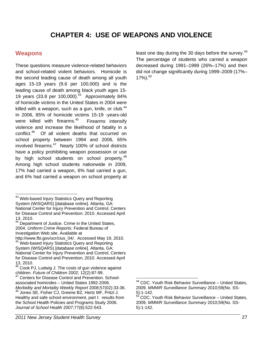# **CHAPTER 4: USE OF WEAPONS AND VIOLENCE**

## **Weapons**

-

These questions measure violence-related behaviors and school-related violent behaviors. Homicide is the second leading cause of death among all youth ages 15-19 years (9.6 per 100,000) and is the leading cause of death among black youth ages 15- 19 years (33.8 per 100,000).<sup>43</sup> Approximately 84% of homicide victims in the United States in 2004 were killed with a weapon, such as a gun, knife, or club. $44$ In 2006, 85% of homicide victims 15-19 -years-old were killed with firearms. $45$  Firearms intensify violence and increase the likelihood of fatality in a conflict.46 Of all violent deaths that occurred on school property between 1994 and 2006, 65% involved firearms.<sup>47</sup> Nearly 100% of school districts have a policy prohibiting weapon possession or use by high school students on school property.<sup>48</sup> Among high school students nationwide in 2009, 17% had carried a weapon, 6% had carried a gun, and 6% had carried a weapon on school property at least one day during the 30 days before the survey.<sup>49</sup> The percentage of students who carried a weapon decreased during 1991–1999 (26%–17%) and then did not change significantly during 1999–2009 (17%–  $17\%$ ).<sup>50</sup>

<sup>&</sup>lt;sup>43</sup> Web-based Injury Statistics Query and Reporting System (WISQARS) [database online]. Atlanta, GA: National Center for Injury Prevention and Control, Centers for Disease Control and Prevention; 2010. Accessed April 13, 2010.

<sup>&</sup>lt;sup>44</sup> Department of Justice. Crime in the United States, 2004. *Uniform Crime Reports*. Federal Bureau of Investigation Web site. Available at

http://www.fbi.gov/ucr/cius\_04/. Accessed May 19, 2010. <sup>45</sup> Web-based Injury Statistics Query and Reporting System (WISQARS) [database online]. Atlanta, GA: National Center for Injury Prevention and Control, Centers for Disease Control and Prevention; 2010. Accessed April 13, 2010.

<sup>&</sup>lt;sup>46</sup> Cook PJ, Ludwig J. The costs of gun violence against children. *Future of Children* 2002; 12(2):87-99. 47 Centers for Disease Control and Prevention. School-

associated homicides – United States 1992-2006. *Morbidity and Mortality Weekly Report* 2008;57(02):33-36.<br><sup>48</sup> Jones SE, Fisher CJ, Greene BZ, Hertz MF, Pritzl J. Healthy and safe school environment, part I: results from the School Health Policies and Programs Study 2006. *Journal of School Health* 2007;77(8):522-543.

  $49$  CDC. Youth Risk Behavior Surveillance – United States, 2009. *MMWR Surveillance Summary* 2010;59(No. SS-5):1-142.

 $50$  CDC. Youth Risk Behavior Surveillance – United States, 2009. *MMWR Surveillance Summary* 2010;59(No. SS-5):1-142.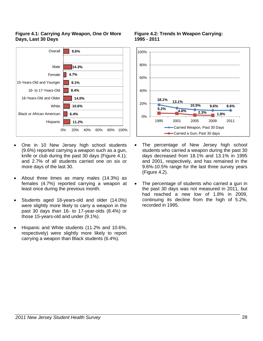## **Figure 4.1: Carrying Any Weapon, One Or More Days, Last 30 Days**



- One in 10 New Jersey high school students (9.6%) reported carrying a weapon such as a gun, knife or club during the past 30 days (Figure 4.1); and 2.7% of all students carried one on six or more days of the last 30.
- About three times as many males (14.3%) as females (4.7%) reported carrying a weapon at least once during the previous month.
- Students aged 18-years-old and older (14.0%) were slightly more likely to carry a weapon in the past 30 days than 16- to 17-year-olds (8.4%) or those 15-years-old and under (9.1%).
- Hispanic and White students (11.2% and 10.6%, respectively) were slightly more likely to report carrying a weapon than Black students (6.4%).

#### **Figure 4.2: Trends In Weapon Carrying: 1995 - 2011**



- The percentage of New Jersey high school students who carried a weapon during the past 30 days decreased from 18.1% and 13.1% in 1995 and 2001, respectively, and has remained in the 9.6%-10.5% range for the last three survey years (Figure 4.2).
- The percentage of students who carried a gun in the past 30 days was not measured in 2011, but had reached a new low of 1.8% in 2009, continuing its decline from the high of 5.2%, recorded in 1995.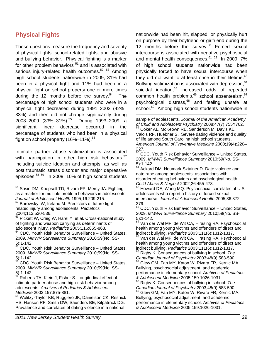## **Physical Fights**

These questions measure the frequency and severity of physical fights, school-related fights, and abusive and bullying behavior. Physical fighting is a marker for other problem behaviors <sup>51</sup> and is associated with serious injury-related health outcomes.<sup>52 53</sup> Among high school students nationwide in 2009, 31% had been in a physical fight and 11% had been in a physical fight on school property one or more times during the 12 months before the survey. $54$  The percentage of high school students who were in a physical fight decreased during 1991–2003 (42%– 33%) and then did not change significantly during 2003–2009 (33%–31%).<sup>55</sup> During 1993–2009, a significant linear decrease occurred in the percentage of students who had been in a physical fight on school property  $(16\% - 11\%)$ .<sup>56</sup>

Intimate partner abuse victimization is associated with participation in other high risk behaviors,  $57$ including suicide ideation and attempts, as well as post traumatic stress disorder and major depressive episodes.58 59 In 2009, 10% of high school students

- 52 Borowsky IW, Ireland M. Predictors of future fightrelated injury among adolescents. *Pediatrics* 2004;113:530-536.
- <sup>53</sup> Pickett W, Craig W, Harel Y, et al. Cross-national study of fighting and weapon carrying as determinants of adolescent injury. *Pediatrics* 2005;116:855-863.
- 54 CDC. Youth Risk Behavior Surveillance United States, 2009. *MMWR Surveillance Summary* 2010;59(No. SS- $\frac{5}{55}$ :1-142.
- 55 CDC. Youth Risk Behavior Surveillance United States, 2009. *MMWR Surveillance Summary* 2010;59(No. SS- $5)$ :1-142.
- 56 CDC. Youth Risk Behavior Surveillance United States, 2009. *MMWR Surveillance Summary* 2010;59(No. SS- $\frac{5}{57}$ :1-142.
- 57 Roberts TA, Klein J, Fisher S. Longitudinal effect of intimate partner abuse and high-risk behavior among adolescents. *Archives of Pediatrics & Adolescent Medicine* 2003;157:875-881.

nationwide had been hit, slapped, or physically hurt on purpose by their boyfriend or girlfriend during the 12 months before the survey. $60$  Forced sexual intercourse is associated with negative psychosocial and mental health consequences. $61$   $62$  In 2009, 7% of high school students nationwide had been physically forced to have sexual intercourse when they did not want to at least once in their lifetime.<sup>63</sup> Bullying victimization is associated with depression, <sup>64</sup> suicidal ideation,<sup>65</sup> increased odds of repeated common health problems,<sup>66</sup> school absenteeism, 67 psychological distress, $68$  and feeling unsafe at school.<sup>69</sup> Among high school students nationwide in

sample of adolescents*. Journal of the American Academy*  of Child and Adolescent Psychiatry 2008;47(7):755Y762.<br><sup>59</sup> Coker AL, McKeown RE, Sanderson M, Davis KE, Valois RF, Huebner S. Severe dating violence and quality of life among South Carolina high school students,

 $\overline{a}$ 

*American Journal of Preventive Medicine* 2000;19(4):220– 227.

 $\frac{60}{60}$  CDC. Youth Risk Behavior Surveillance – United States, 2009. *MMWR Surveillance Summary* 2010;59(No. SS- $\frac{5}{61}$ : 1-142.

Ackard DM, Neumark-Sztainer D. Date violence and date rape among adolescents: associations with disordered eating behaviors and psychological health. *Child Abuse & Neglect* 2002;26:455-473.

62 Howard DE, Wang MQ. Psychosocial correlates of U.S. adolescents who report a history of forced sexual intercourse. *Journal of Adolescent Health* 2005;36:372- 379.

 $63$  CDC. Youth Risk Behavior Surveillance - United States, 2009. *MMWR Surveillance Summary* 2010;59(No. SS-5):1-142.

<sup>64</sup> Van der Wal MF, de Wit CA, Hirasing RA. Psychosocial health among young victims and offenders of direct and indirect bullying. *Pediatrics* 2003;111(6):1312-1317.<br><sup>65</sup> Van der Wal MF, de Wit CA, Hirasing RA, Psychosocial

health among young victims and offenders of direct and indirect bullying. Pediatrics 2003;111(6):1312-1317. <sup>66</sup> Rigby K. Consequences of bullying in school. *The* 

*Canadian Journal of Psychiatry* 2003;48(9):583-590. 67 Glew GM, Fan MY, Katon W, Rivara FR, Kernic MA. Bullying, psychosocial adjustment, and academic

performance in elementary school. *Archives of Pediatrics & Adolescent Medicine* 2005;159:1026-1031.

68 Rigby K. Consequences of bullying in school. *The*

*Canadian Journal of Psychiatry* 2003;48(9):583-590.<br><sup>69</sup> Glew GM, Fan MY, Katon W, Rivara FR, Kernic MA. Bullying, psychosocial adjustment, and academic performance in elementary school. *Archives of Pediatrics & Adolescent Medicine* 2005;159:1026-1031.

<sup>&</sup>lt;sup>51</sup> Sosin DM, Koepsell TD, Rivara FP, Mercy JA. Fighting as a marker for multiple problem behaviors in adolescents. *Journal of Adolescent Health* 1995;16:209-215.

<sup>&</sup>lt;sup>58</sup> Wolitzy-Taylor KB, Ruggiero JK, Danielson CK, Resnick HS, Hanson RF, Smith DW, Saunders BE, Kilpatrrick DG. Prevalence and correlates of dating violence in a national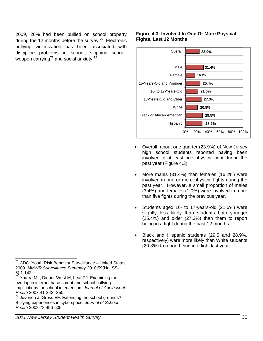2009, 20% had been bullied on school property during the 12 months before the survey.<sup>70</sup> Electronic bullying victimization has been associated with discipline problems in school, skipping school, weapon carrying<sup>71</sup> and social anxiety.<sup>72</sup>

## **Figure 4.3: Involved In One Or More Physical Fights, Last 12 Months**



- Overall, about one quarter (23.9%) of New Jersey high school students reported having been involved in at least one physical fight during the past year (Figure 4.3).
- More males (31.4%) than females (16.2%) were involved in one or more physical fights during the past year. However, a small proportion of males (3.4%) and females (1.0%) were involved in more than five fights during the previous year.
- Students aged 16- to 17-years-old (21.6%) were slightly less likely than students both younger (25.4%) and older (27.3%) than them to report being in a fight during the past 12 months.
- Black and Hispanic students (29.5 and 28.9%, respectively) were more likely than White students (20.8%) to report being in a fight last year.

<sup>-</sup> $70$  CDC. Youth Risk Behavior Surveillance – United States, 2009. *MMWR Surveillance Summary* 2010;59(No. SS- $\frac{5}{71}$ : 1-142.

Ybarra ML, Diener-West M, Leaf PJ. Examining the overlap in internet harassment and school bullying: Implications for school intervention. *Journal of Adolescent Health* 2007;41:S42–S50.

 $72$  Juvonen J, Gross EF. Extending the school grounds? Bullying experiences in cyberspace. *Journal of School Health* 2008;78:496-505.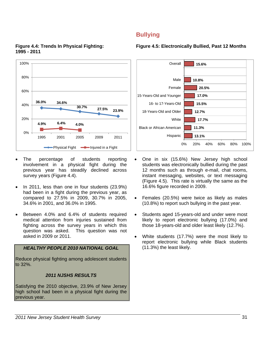

## **Figure 4.4: Trends In Physical Fighting: 1995 - 2011**

- The percentage of students reporting involvement in a physical fight during the previous year has steadily declined across survey years (Figure 4.4).
- In 2011, less than one in four students (23.9%) had been in a fight during the previous year, as compared to 27.5% in 2009, 30.7% in 2005, 34.6% in 2001, and 36.0% in 1995.
- Between 4.0% and 6.4% of students required medical attention from injuries sustained from fighting across the survey years in which this question was asked. This question was not asked in 2009 or 2011.

## *HEALTHY PEOPLE 2010 NATIONAL GOAL*

Reduce physical fighting among adolescent students to 32%.

## *2011 NJSHS RESULTS*

Satisfying the 2010 objective, 23.9% of New Jersey high school had been in a physical fight during the previous year.

## **Bullying**

## **Figure 4.5: Electronically Bullied, Past 12 Months**



- One in six (15.6%) New Jersey high school students was electronically bullied during the past 12 months such as through e-mail, chat rooms, instant messaging, websites, or text messaging (Figure 4.5). This rate is virtually the same as the 16.6% figure recorded in 2009.
- Females (20.5%) were twice as likely as males (10.8%) to report such bullying in the past year.
- Students aged 15-years-old and under were most likely to report electronic bullying (17.0%) and those 18-years-old and older least likely (12.7%).
- White students (17.7%) were the most likely to report electronic bullying while Black students (11.3%) the least likely.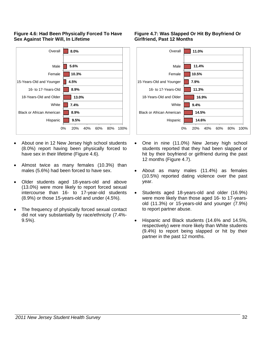## **Figure 4.6: Had Been Physically Forced To Have Sex Against Their Will, In Lifetime**



- About one in 12 New Jersey high school students (8.0%) report having been physically forced to have sex in their lifetime (Figure 4.6).
- Almost twice as many females (10.3%) than males (5.6%) had been forced to have sex.
- Older students aged 18-years-old and above (13.0%) were more likely to report forced sexual intercourse than 16- to 17-year-old students (8.9%) or those 15-years-old and under (4.5%).
- The frequency of physically forced sexual contact did not vary substantially by race/ethnicity (7.4%- 9.5%).

## **Figure 4.7: Was Slapped Or Hit By Boyfriend Or Girlfriend, Past 12 Months**



- One in nine (11.0%) New Jersey high school students reported that they had been slapped or hit by their boyfriend or girlfriend during the past 12 months (Figure 4.7).
- About as many males (11.4%) as females (10.5%) reported dating violence over the past year.
- Students aged 18-years-old and older (16.9%) were more likely than those aged 16- to 17-yearsold (11.3%) or 15-years-old and younger (7.9%) to report partner abuse.
- Hispanic and Black students (14.6% and 14.5%, respectively) were more likely than White students (9.4%) to report being slapped or hit by their partner in the past 12 months.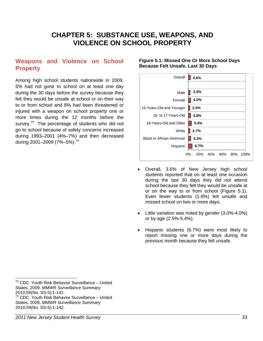# **CHAPTER 5: SUBSTANCE USE, WEAPONS, AND VIOLENCE ON SCHOOL PROPERTY**

## **Weapons and Violence on School Property**

Among high school students nationwide in 2009, 5% had not gone to school on at least one day during the 30 days before the survey because they felt they would be unsafe at school or on their way to or from school and 8% had been threatened or injured with a weapon on school property one or more times during the 12 months before the survey.<sup>73</sup> The percentage of students who did not go to school because of safety concerns increased during 1993–2001 (4%–7%) and then decreased during 2001–2009 (7%–5%).<sup>74</sup>

## **Figure 5.1: Missed One Or More School Days Because Felt Unsafe, Last 30 Days**



- Overall, 3.6% of New Jersey high school students reported that on at least one occasion during the last 30 days they did not attend school because they felt they would be unsafe at or on the way to or from school (Figure 5.1). Even fewer students (1.8%) felt unsafe and missed school on two or more days.
- Little variation was noted by gender (3.0%-4.0%) or by age (2.5%-5.4%).
- Hispanic students (6.7%) were most likely to report missing one or more days during the previous month because they felt unsafe.

 $\overline{a}$ 

<sup>&</sup>lt;sup>73</sup> CDC. Youth Risk Behavior Surveillance - United States, 2009. *MMWR Surveillance Summary*  2010;59(No. SS-5):1-142.

<sup>74</sup> CDC. Youth Risk Behavior Surveillance – United

States, 2009. *MMWR Surveillance Summary* 

<sup>2010;59(</sup>No. SS-5):1-142.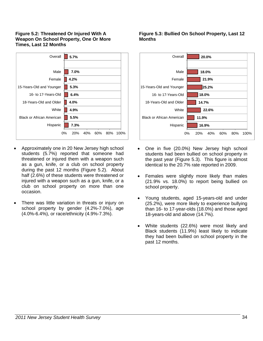### **Figure 5.2: Threatened Or Injured With A Weapon On School Property, One Or More Times, Last 12 Months**



- Approximately one in 20 New Jersey high school students (5.7%) reported that someone had threatened or injured them with a weapon such as a gun, knife, or a club on school property during the past 12 months (Figure 5.2). About half (2.6%) of these students were threatened or injured with a weapon such as a gun, knife, or a club on school property on more than one occasion.
- There was little variation in threats or injury on school property by gender (4.2%-7.0%), age (4.0%-6.4%), or race/ethnicity (4.9%-7.3%).

## **Figure 5.3: Bullied On School Property, Last 12 Months**



- One in five (20.0%) New Jersey high school students had been bullied on school property in the past year (Figure 5.3). This figure is almost identical to the 20.7% rate reported in 2009.
- Females were slightly more likely than males (21.9% vs. 18.0%) to report being bullied on school property.
- Young students, aged 15-years-old and under (25.2%), were more likely to experience bullying than 16- to 17-year-olds (18.0%) and those aged 18-years-old and above (14.7%).
- White students (22.6%) were most likely and Black students (11.9%) least likely to indicate they had been bullied on school property in the past 12 months.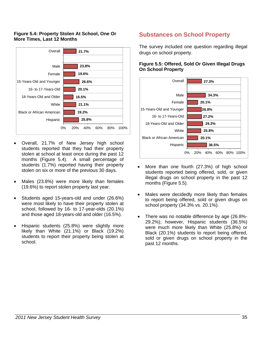## **Figure 5.4: Property Stolen At School, One Or More Times, Last 12 Months**



- Overall, 21.7% of New Jersey high school students reported that they had their property stolen at school at least once during the past 12 months (Figure 5.4). A small percentage of students (1.7%) reported having their property stolen on six or more of the previous 30 days.
- Males (23.8%) were more likely than females (19.6%) to report stolen property last year.
- Students aged 15-years-old and under (26.6%) were most likely to have their property stolen at school, followed by 16- to 17-year-olds (20.1%) and those aged 18-years-old and older (16.5%).
- Hispanic students (25.8%) were slightly more likely than White (21.1%) or Black (19.2%) students to report their property being stolen at school.

## **Substances on School Property**

The survey included one question regarding illegal drugs on school property.

## **Figure 5.5: Offered, Sold Or Given Illegal Drugs On School Property**



- More than one fourth (27.3%) of high school students reported being offered, sold, or given illegal drugs on school property in the past 12 months (Figure 5.5).
- Males were decidedly more likely than females to report being offered, sold or given drugs on school property (34.3% vs. 20.1%).
- There was no notable difference by age (26.8%- 29.2%); however, Hispanic students (36.5%) were much more likely than White (25.8%) or Black (20.1%) students to report being offered, sold or given drugs on school property in the past 12 months.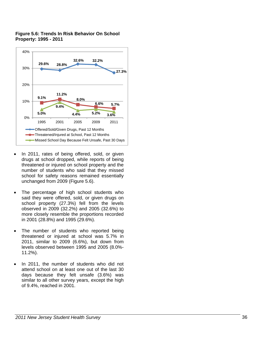

## **Figure 5.6: Trends In Risk Behavior On School Property: 1995 - 2011**

- In 2011, rates of being offered, sold, or given drugs at school dropped, while reports of being threatened or injured on school property and the number of students who said that they missed school for safety reasons remained essentially unchanged from 2009 (Figure 5.6).
- The percentage of high school students who said they were offered, sold, or given drugs on school property (27.3%) fell from the levels observed in 2009 (32.2%) and 2005 (32.6%) to more closely resemble the proportions recorded in 2001 (28.8%) and 1995 (29.6%).
- The number of students who reported being threatened or injured at school was 5.7% in 2011, similar to 2009 (6.6%), but down from levels observed between 1995 and 2005 (8.0%- 11.2%).
- In 2011, the number of students who did not attend school on at least one out of the last 30 days because they felt unsafe (3.6%) was similar to all other survey years, except the high of 9.4%, reached in 2001.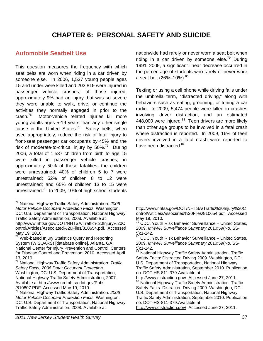# **CHAPTER 6: PERSONAL SAFETY AND SUICIDE**

## **Automobile Seatbelt Use**

This question measures the frequency with which seat belts are worn when riding in a car driven by someone else. In 2006, 1,537 young people ages 15 and under were killed and 203,819 were injured in passenger vehicle crashes; of those injured, approximately 9% had an injury that was so severe they were unable to walk, drive, or continue the activities they normally engaged in prior to the crash.75 Motor-vehicle related injuries kill more young adults ages 5-19 years than any other single cause in the United States.<sup>76</sup> Safety belts, when used appropriately, reduce the risk of fatal injury to front-seat passenger car occupants by 45% and the risk of moderate-to-critical injury by  $50\%$ <sup>77</sup> During 2006, a total of 1,537 children from birth to age 15 were killed in passenger vehicle crashes; in approximately 50% of these fatalities, the children were unrestrained: 40% of children 5 to 7 were unrestrained; 52% of children 8 to 12 were unrestrained; and 65% of children 13 to 15 were unrestrained.<sup>78</sup> In 2009, 10% of high school students

-

nationwide had rarely or never worn a seat belt when riding in a car driven by someone else.<sup>79</sup> During 1991–2009, a significant linear decrease occurred in the percentage of students who rarely or never wore a seat belt  $(26\% - 10\%)$ .<sup>80</sup>

Texting or using a cell phone while driving falls under the umbrella term, "distracted driving," along with behaviors such as eating, grooming, or tuning a car radio. In 2009, 5,474 people were killed in crashes involving driver distraction, and an estimated 448,000 were injured. $81$  Teen drivers are more likely than other age groups to be involved in a fatal crash where distraction is reported. In 2009, 16% of teen drivers involved in a fatal crash were reported to have been distracted.<sup>82</sup>

<sup>75</sup> National Highway Traffic Safety Administration. *2006 Motor Vehicle Occupant Protection Facts.* Washington, DC: U.S. Department of Transportation, National Highway Traffic Safety Administration; 2008. Available at http://www.nhtsa.gov/DOT/NHTSA/Traffic%20Injury%20C ontrol/Articles/Associated%20Files/810654.pdf. Accessed May 19, 2010.

<sup>&</sup>lt;sup>76</sup> Web-based Injury Statistics Query and Reporting System (WISQARS) [database online]. Atlanta, GA: National Center for Injury Prevention and Control, Centers for Disease Control and Prevention; 2010. Accessed April 13, 2010.

<sup>77</sup> National Highway Traffic Safety Administration. *Traffic Safety Facts, 2006 Data: Occupant Protection.* Washington, DC: U.S. Department of Transportation, National Highway Traffic Safety Administration; 2007. Available at http://www-nrd.nhtsa.dot.gov/Pubs

<sup>/810807.</sup>PDF. Accessed May 19, 2010.

<sup>78</sup> National Highway Traffic Safety Administration. *2006 Motor Vehicle Occupant Protection Facts.* Washington, DC: U.S. Department of Transportation, National Highway Traffic Safety Administration; 2008. Available at

 $\overline{a}$ http://www.nhtsa.gov/DOT/NHTSA/Traffic%20Injury%20C ontrol/Articles/Associated%20Files/810654.pdf. Accessed May 19, 2010.

 $79$  CDC. Youth Risk Behavior Surveillance – United States, 2009. *MMWR Surveillance Summary* 2010;59(No. SS-5):1-142.

<sup>80</sup> CDC. Youth Risk Behavior Surveillance – United States, 2009. *MMWR Surveillance Summary* 2010;59(No. SS-5):1-142.

National Highway Traffic Safety Administration. Traffic Safety Facts: Distracted Driving 2009. Washington, DC: U.S. Department of Transportation, National Highway Traffic Safety Administration, September 2010. Publication no. DOT-HS-811-379.Available at

http://www.distraction.gov/ Accessed June 27, 2011. National Highway Traffic Safety Administration. Traffic Safety Facts: Distracted Driving 2009. Washington, DC: U.S. Department of Transportation, National Highway Traffic Safety Administration, September 2010. Publication no. DOT-HS-811-379.Available at

http://www.distraction.gov/ Accessed June 27, 2011.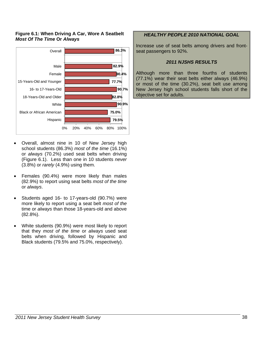## **Figure 6.1: When Driving A Car, Wore A Seatbelt**  *Most Of The Time* **Or** *Always*



- Overall, almost nine in 10 of New Jersey high school students (86.3%) *most of the time* (16.1%) or *always* (70.2%) used seat belts when driving (Figure 6.1). Less than one in 10 students *never* (3.8%) or *rarely* (4.9%) using them.
- Females (90.4%) were more likely than males (82.9%) to report using seat belts *most of the time* or *always*.
- Students aged 16- to 17-years-old (90.7%) were more likely to report using a seat belt *most of the*  time or *always* than those 18-years-old and above (82.8%).
- White students (90.9%) were most likely to report that they *most of the time* or *always* used seat belts when driving, followed by Hispanic and Black students (79.5% and 75.0%, respectively).

## *HEALTHY PEOPLE 2010 NATIONAL GOAL*

Increase use of seat belts among drivers and frontseat passengers to 92%.

## *2011 NJSHS RESULTS*

Although more than three fourths of students (77.1%) wear their seat belts either always (46.9%) or most of the time (30.2%), seat belt use among New Jersey high school students falls short of the objective set for adults.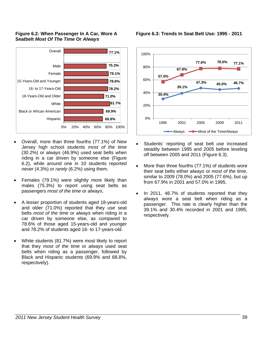



- Overall, more than three fourths (77.1%) of New Jersey high school students *most of the time* (30.2%) or *always* (46.9%) used seat belts when riding in a car driven by someone else (Figure 6.2), while around one in 10 students reported *never* (4.3%) or *rarely* (6.2%) using them.
- Females (79.1%) were slightly more likely than males (75.3%) to report using seat belts as passengers *most of the time* or *always*.
- A lesser proportion of students aged 18-years-old and older (71.0%) reported that they use seat belts *most of the time* or *always* when riding in a car driven by someone else, as compared to 78.6% of those aged 15-years-old and younger and 78.2% of students aged 16- to 17-years-old.
- White students (81.7%) were most likely to report that they *most of the time* or *always* used seat belts when riding as a passenger, followed by Black and Hispanic students (69.9% and 68.8%, respectively).

**Figure 6.3: Trends In Seat Belt Use: 1995 - 2011** 



- Students' reporting of seat belt use increased steadily between 1995 and 2005 before leveling off between 2005 and 2011 (Figure 6.3).
- More than three fourths (77.1%) of students wore their seat belts either *always* or *most of the time*, similar to 2009 (78.0%) and 2005 (77.6%), but up from 67.9% in 2001 and 57.0% in 1995.
- In 2011, 46.7% of students reported that they *always* wore a seat belt when riding as a passenger. This rate is clearly higher than the 39.1% and 30.4% recorded in 2001 and 1995, respectively.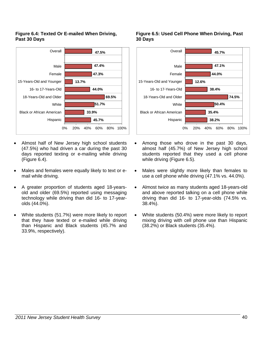## **Figure 6.4: Texted Or E-mailed When Driving, Past 30 Days**



- Almost half of New Jersey high school students (47.5%) who had driven a car during the past 30 days reported texting or e-mailing while driving (Figure 6.4).
- Males and females were equally likely to text or email while driving.
- A greater proportion of students aged 18-yearsold and older (69.5%) reported using messaging technology while driving than did 16- to 17-yearolds (44.0%).
- White students (51.7%) were more likely to report that they have texted or e-mailed while driving than Hispanic and Black students (45.7% and 33.9%, respectively).

## **Figure 6.5: Used Cell Phone When Driving, Past 30 Days**



- Among those who drove in the past 30 days, almost half (45.7%) of New Jersey high school students reported that they used a cell phone while driving (Figure 6.5).
- Males were slightly more likely than females to use a cell phone while driving (47.1% vs. 44.0%).
- Almost twice as many students aged 18-years-old and above reported talking on a cell phone while driving than did 16- to 17-year-olds (74.5% vs. 38.4%).
- White students (50.4%) were more likely to report mixing driving with cell phone use than Hispanic (38.2%) or Black students (35.4%).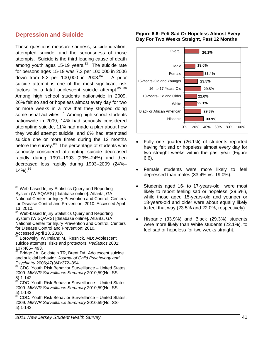## **Depression and Suicide**

These questions measure sadness, suicide ideation, attempted suicide, and the seriousness of those attempts. Suicide is the third leading cause of death among youth ages 15-19 years. $83$  The suicide rate for persons ages 15-19 was 7.3 per 100,000 in 2006 down from 8.2 per 100,000 in  $2003.^{84}$  A prior suicide attempt is one of the most significant risk factors for a fatal adolescent suicide attempt.<sup>85</sup> 86</sup> Among high school students nationwide in 2009, 26% felt so sad or hopeless almost every day for two or more weeks in a row that they stopped doing some usual activities.<sup>87</sup> Among high school students nationwide in 2009, 14% had seriously considered attempting suicide, 11% had made a plan about how they would attempt suicide, and 6% had attempted suicide one or more times during the 12 months before the survey.<sup>88</sup> The percentage of students who seriously considered attempting suicide decreased rapidly during 1991–1993 (29%–24%) and then decreased less rapidly during 1993–2009 (24%–  $14\%$ ).  $89$ 

<sup>83</sup> Web-based Injury Statistics Query and Reporting System (WISQARS) [database online]. Atlanta, GA: National Center for Injury Prevention and Control, Centers for Disease Control and Prevention; 2010. Accessed April 13, 2010.

-

84 Web-based Injury Statistics Query and Reporting System (WISQARS) [database online]. Atlanta, GA: National Center for Injury Prevention and Control, Centers for Disease Control and Prevention; 2010. Accessed April 13, 2010.

## **Figure 6.6: Felt Sad Or Hopeless Almost Every Day For Two Weeks Straight, Past 12 Months**



- Fully one quarter (26.1%) of students reported having felt sad or hopeless almost every day for two straight weeks within the past year (Figure 6.6).
- Female students were more likely to feel depressed than males (33.4% vs. 19.0%).
- Students aged 16- to 17-years-old were most likely to report feeling sad or hopeless (29.5%), while those aged 15-years-old and younger or 18-years-old and older were about equally likely to feel that way (23.5% and 22.0%, respectively).
- Hispanic (33.9%) and Black (29.3%) students were more likely than White students (22.1%), to feel sad or hopeless for two weeks straight.

Borowsky IW, Ireland M, Resnick, MD; Adolescent suicide attempts: risks and protectors. *Pediatrics* 2001; 107:485– 493.

<sup>&</sup>lt;sup>86</sup> Bridge JA, Goldstein TR, Brent DA. Adolescent suicide and suicidal behavior. *Journal of Child Psychology and* 

<sup>&</sup>lt;sup>87</sup> CDC. Youth Risk Behavior Surveillance – United States, 2009. *MMWR Surveillance Summary* 2010;59(No. SS-5):1-142.

<sup>88</sup> CDC. Youth Risk Behavior Surveillance – United States, 2009. *MMWR Surveillance Summary* 2010;59(No. SS- $\frac{5}{89}$ . 1-142.

<sup>89</sup> CDC. Youth Risk Behavior Surveillance – United States, 2009. *MMWR Surveillance Summary* 2010;59(No. SS-5):1-142.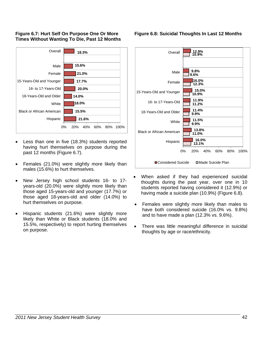## **Figure 6.7: Hurt Self On Purpose One Or More Times Without Wanting To Die, Past 12 Months**



- Less than one in five (18.3%) students reported having hurt themselves on purpose during the past 12 months (Figure 6.7).
- Females (21.0%) were slightly more likely than males (15.6%) to hurt themselves.
- New Jersey high school students 16- to 17 years-old (20.0%) were slightly more likely than those aged 15-years-old and younger (17.7%) or those aged 18-years-old and older (14.0%) to hurt themselves on purpose.
- Hispanic students (21.6%) were slightly more likely than White or Black students (18.0% and 15.5%, respectively) to report hurting themselves on purpose.

## **Figure 6.8: Suicidal Thoughts In Last 12 Months**



- When asked if they had experienced suicidal thoughts during the past year, over one in 10 students reported having considered it (12.9%) or having made a suicide plan (10.9%) (Figure 6.8).
- Females were slightly more likely than males to have both considered suicide (16.0% vs. 9.8%) and to have made a plan (12.3% vs. 9.6%).
- There was little meaningful difference in suicidal thoughts by age or race/ethnicity.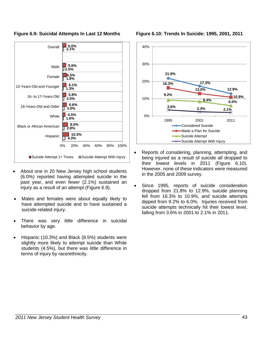

## **Figure 6.9: Suicidal Attempts In Last 12 Months**

- About one in 20 New Jersey high school students (6.0%) reported having attempted suicide in the past year, and even fewer (2.1%) sustained an injury as a result of an attempt (Figure 6.9).
- Males and females were about equally likely to have attempted suicide and to have sustained a suicide-related injury.
- There was very little difference in suicidal behavior by age.
- Hispanic (10.3%) and Black (8.5%) students were slightly more likely to attempt suicide than White students (4.5%), but there was little difference in terms of injury by race/ethnicity.



**Figure 6.10: Trends In Suicide: 1995, 2001, 2011** 

- Reports of considering, planning, attempting, and being injured as a result of suicide all dropped to their lowest levels in 2011 (Figure 6.10). However, none of these indicators were measured in the 2005 and 2009 survey.
- Since 1995, reports of suicide consideration dropped from 21.8% to 12.9%, suicide planning fell from 16.3% to 10.9%, and suicide attempts dipped from 9.2% to 6.0%. Injuries received from suicide attempts technically hit their lowest level, falling from 3.6% in 2001 to 2.1% in 2011.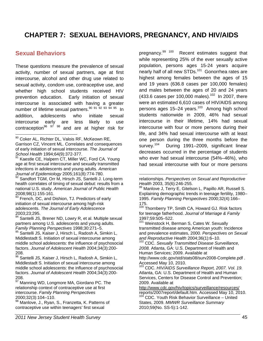# **CHAPTER 7: SEXUAL BEHAVIORS, PREGNANCY, AND HIV/AIDS**

-

## **Sexual Behaviors**

-

These questions measure the prevalence of sexual activity, number of sexual partners, age at first intercourse, alcohol and other drug use related to sexual activity, condom use, contraceptive use, and whether high school students received HIV prevention education. Early initiation of sexual intercourse is associated with having a greater number of lifetime sexual partners.<sup>90 91 92</sup> 93 94 95 In addition, adolescents who initiate sexual intercourse early are less likely to use contraception<sup>96 97</sup> 98 and are at higher risk for

<sup>90</sup> Coker AL, Richter DL, Valois RF, McKeown RE, Garrison CZ, Vincent ML. Correlates and consequences of early initiation of sexual intercourse. *The Journal of* School Health 1994;64(9):372-377.

Kaestle CE, Halpern CT, Miller WC, Ford CA. Young age at first sexual intercourse and sexually transmitted infections in adolescents and young adults. *American*  Journal of Epidemiology 2005;161(8):774-780.<br><sup>92</sup> Sandfort TGM, Orr M, Hirsch JS, Santelli J. Long-term

health correlates of timing of sexual debut: results from a national U.S. study. *American Journal of Public Health*  2008;98(1):155-161.

French, DC, and Dishion, TJ. Predictors of early initiation of sexual intercourse among high-risk adolescents. *The Journal of Early Adolescence*  2003;23;295.

Santelli JS, Brener ND, Lowry R, et al. Multiple sexual partners among U.S. adolescents and young adults. *Family Planning Perspectives* 1998;30:271–5.

Santelli JS, Kaiser J, Hirsch L, Radosh A, Simkin L, Middlestadt S. Initiation of sexual intercourse among middle school adolescents: the influence of psychosocial factors. *Journal of Adolescent Health* 2004;34(3):200- 208.

96 Santelli JS, Kaiser J, Hirsch L, Radosh A, Simkin L, Middlestadt S. Initiation of sexual intercourse among middle school adolescents: the influence of psychosocial factors. *Journal of Adolescent Health* 2004;34(3):200- 208.

<sup>97</sup> Manning WD, Longmore MA, Giordano PC. The relationship context of contraceptive use at first intercourse. *Family Planning Perspectives*  2000;32(3):104–110.

Manlove, J., Ryan, S., Franzetta, K. Patterns of contraceptive use within teenagers' first sexual

pregnancy.<sup>99 100</sup> Recent estimates suggest that while representing 25% of the ever sexually active population, persons ages 15-24 years acquire nearly half of all new STDs.<sup>101</sup> Gonorrhea rates are highest among females between the ages of 15 and 19 years (636.8 cases per 100,000 females) and males between the ages of 20 and 24 years (433.6 cases per 100,000 males).<sup>102</sup> In 2007, there were an estimated 6,610 cases of HIV/AIDS among persons ages 15–24 years.<sup>103</sup> Among high school students nationwide in 2009, 46% had sexual intercourse in their lifetime, 14% had sexual intercourse with four or more persons during their life, and 34% had sexual intercourse with at least one person during the three months before the survey.<sup>104</sup> During 1991-2009, significant linear decreases occurred in the percentage of students who ever had sexual intercourse (54%–46%), who had sexual intercourse with four or more persons

Explaining demographic trends in teenage fertility, 1980– 1995. *Family Planning Perspectives* 2000;32(4):166– 175.

100 Thornberry TP, Smith CA, Howard GJ. Risk factors for teenage fatherhood. *Journal of Marriage & Family*  1997;59:505–522.

<sup>101</sup> Weinstock H, Berman S, Cates W. Sexually transmitted disease among American youth: Incidence and prevalence estimates, 2000. *Perspectives on Sexual* 

<sup>102</sup> CDC. Sexually Transmitted Disease Surveillance, *2008.* Atlanta, GA: U.S. Department of Health and Human Services; 2009. Available at

http://www.cdc.gov/std/stats08/surv2008-Complete.pdf . Accessed May 10, 2010.

103 CDC. *HIV/AIDS Surveillance Report, 2007. Vol. 19.*  Atlanta, GA: U.S. Department of Health and Human Services, Centers for Disease Control and Prevention; 2009. Available at

http://www.cdc.gov/hiv/topics/surveillance/resources/<br>reports/2007report/default.htm. Accessed May 10, 2010.  $104$  CDC. Youth Risk Behavior Surveillance – United

States, 2009. *MMWR Surveillance Summary*  2010;59(No. SS-5):1-142.

relationships. *Perspectives on Sexual and Reproductive Health* 2003, 35(6):246-255.<br><sup>99</sup> Manlove J, Terry E, Gitelson L, Papillo AR, Russell S,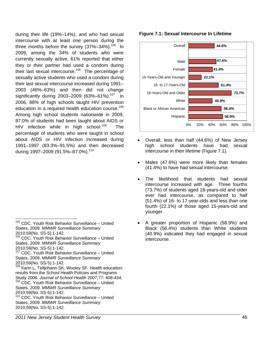during their life (19%–14%), and who had sexual intercourse with at least one person during the three months before the survey  $(37\%-34\%)$ .<sup>105</sup> In 2009, among the 34% of students who were currently sexually active, 61% reported that either they or their partner had used a condom during their last sexual intercourse.<sup>106</sup> The percentage of sexually active students who used a condom during their last sexual intercourse increased during 1991– 2003 (46%–63%) and then did not change significantly during 2003–2009 (63%–61%).<sup>107</sup> In 2006, 88% of high schools taught HIV prevention education in a required health education course.<sup>108</sup> Among high school students nationwide in 2009, 87.0% of students had been taught about AIDS or HIV infection while in high school.<sup>109</sup> The percentage of students who were taught in school about AIDS or HIV infection increased during 1991–1997 (83.3%–91.5%) and then decreased during 1997-2009 (91.5%-87.0%).<sup>110</sup>

## **Figure 7.1: Sexual Intercourse In Lifetime**



- Overall, less than half (44.6%) of New Jersey high school students have had sexual intercourse in their lifetime (Figure 7.1).
- Males (47.6%) were more likely than females (41.4%) to have had sexual intercourse.
- The likelihood that students had sexual intercourse increased with age. Three fourths (73.7%) of students aged 18-years-old and older ever had intercourse, as compared to half (51.4%) of 16- to 17-year-olds and less than one fourth (22.1%) of those aged 15-years-old and younger.
- A greater proportion of Hispanic (58.9%) and Black (56.4%) students than White students (40.9%) indicated they had engaged in sexual intercourse.

 $\overline{a}$ <sup>105</sup> CDC. Youth Risk Behavior Surveillance - United States, 2009. *MMWR Surveillance Summary*  2010;59(No. SS-5):1-142.

<sup>&</sup>lt;sup>106</sup> CDC. Youth Risk Behavior Surveillance - United States, 2009. *MMWR Surveillance Summary*  2010;59(No. SS-5):1-142.

<sup>107</sup> CDC. Youth Risk Behavior Surveillance – United States, 2009. *MMWR Surveillance Summary*  2010;59(No. SS-5):1-142.

<sup>&</sup>lt;sup>108</sup> Kann L, Telljohann SK, Wooley SF. Health education: results from the School Health Policies and Programs Study 2006. *Journal of School Health* 2007;77: 408-434. <sup>109</sup> CDC. Youth Risk Behavior Surveillance - United States, 2009. *MMWR Surveillance Summary*  2010;59(No. SS-5):1-142.

<sup>&</sup>lt;sup>110</sup> CDC. Youth Risk Behavior Surveillance - United States, 2009. *MMWR Surveillance Summary*  2010;59(No. SS-5):1-142.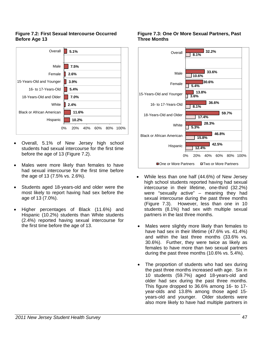## **Figure 7.2: First Sexual Intercourse Occurred Before Age 13**



- Overall, 5.1% of New Jersey high school students had sexual intercourse for the first time before the age of 13 (Figure 7.2).
- Males were more likely than females to have had sexual intercourse for the first time before the age of 13 (7.5% vs. 2.6%).
- Students aged 18-years-old and older were the most likely to report having had sex before the age of 13 (7.0%).
- Higher percentages of Black (11.6%) and Hispanic (10.2%) students than White students (2.4%) reported having sexual intercourse for the first time before the age of 13.

## **Figure 7.3: One Or More Sexual Partners, Past Three Months**



- While less than one half (44.6%) of New Jersey high school students reported having had sexual intercourse in their lifetime, one-third (32.2%) were "sexually active" – meaning they had sexual intercourse during the past three months (Figure 7.3). However, less than one in 10 students (8.1%) had sex with multiple sexual partners in the last three months.
- Males were slightly more likely than females to have had sex in their lifetime (47.6% vs. 41.4%) and within the last three months (33.6% vs. 30.6%). Further, they were twice as likely as females to have more than two sexual partners during the past three months (10.6% vs. 5.4%).
- The proportion of students who had sex during the past three months increased with age. Six in 10 students (59.7%) aged 18-years-old and older had sex during the past three months. This figure dropped to 36.6% among 16- to 17 year-olds and 13.8% among those aged 15 years-old and younger. Older students were also more likely to have had multiple partners in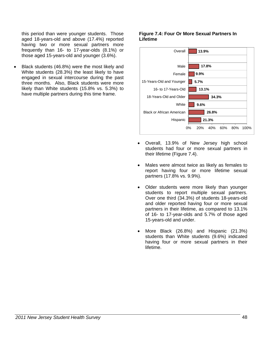this period than were younger students. Those aged 18-years-old and above (17.4%) reported having two or more sexual partners more frequently than 16- to 17-year-olds (8.1%) or those aged 15-years-old and younger (3.6%).

• Black students (46.8%) were the most likely and White students (28.3%) the least likely to have engaged in sexual intercourse during the past three months. Also, Black students were more likely than White students (15.8% vs. 5.3%) to have multiple partners during this time frame.

## **Figure 7.4: Four Or More Sexual Partners In Lifetime**



- Overall, 13.9% of New Jersey high school students had four or more sexual partners in their lifetime (Figure 7.4).
- Males were almost twice as likely as females to report having four or more lifetime sexual partners (17.8% vs. 9.9%).
- Older students were more likely than younger students to report multiple sexual partners. Over one third (34.3%) of students 18-years-old and older reported having four or more sexual partners in their lifetime, as compared to 13.1% of 16- to 17-year-olds and 5.7% of those aged 15-years-old and under.
- More Black (26.8%) and Hispanic (21.3%) students than White students (9.6%) indicated having four or more sexual partners in their lifetime.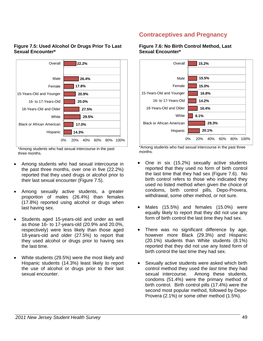

## **Figure 7.5: Used Alcohol Or Drugs Prior To Last Sexual Encounter\***

\*Among students who had sexual intercourse in the past three months.

- Among students who had sexual intercourse in the past three months, over one in five (22.2%) reported that they used drugs or alcohol prior to their last sexual encounter (Figure 7.5).
- Among sexually active students, a greater proportion of males (26.4%) than females (17.8%) reported using alcohol or drugs when last having sex.
- Students aged 15-years-old and under as well as those 16- to 17-years-old (20.9% and 20.0%, respectively) were less likely than those aged 18-years-old and older (27.5%) to report that they used alcohol or drugs prior to having sex the last time.
- White students (29.5%) were the most likely and Hispanic students (14.3%) least likely to report the use of alcohol or drugs prior to their last sexual encounter.

# **Contraceptives and Pregnancy**

## **Figure 7.6: No Birth Control Method, Last Sexual Encounter\***



\*Among students who had sexual intercourse in the past three months.

- One in six (15.2%) sexually active students reported that they used no form of birth control the last time that they had sex (Figure 7.6). No birth control refers to those who indicated they used no listed method when given the choice of condoms, birth control pills, Depo-Provera, withdrawal, some other method, or not sure.
- Males (15.5%) and females (15.0%) were equally likely to report that they did not use any form of birth control the last time they had sex.
- There was no significant difference by age, however more Black (29.3%) and Hispanic (20.1%) students than White students (8.1%) reported that they did not use any listed form of birth control the last time they had sex.
- Sexually active students were asked which birth control method they used the *last* time they had sexual intercourse. Among these students, condoms (51.4%) were the primary method of birth control. Birth control pills (17.4%) were the second most popular method, followed by Depo-Provera (2.1%) or some other method (1.5%).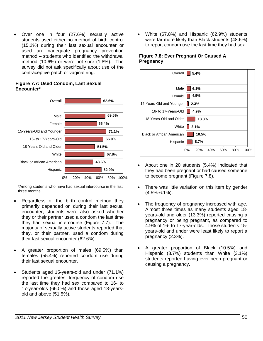• Over one in four (27.6%) sexually active students used either no method of birth control (15.2%) during their last sexual encounter or used an inadequate pregnancy prevention method – students who identified the withdrawal method (10.6%) or were not sure (1.8%). The survey did not ask specifically about use of the contraceptive patch or vaginal ring.

#### **62.9% 48.6% 67.8% 51.5% 66.0% 71.1% 55.4% 69.5% 62.6%** 0% 20% 40% 60% 80% 100% Hispanic Black or African American White 18-Years-Old and Older 16- to 17-Years-Old 15-Years-Old and Younger Female Male **Overall**

**Figure 7.7: Used Condom, Last Sexual Encounter\*** 

\*Among students who have had sexual intercourse in the last three months.

- Regardless of the birth control method they primarily depended on during their last sexual encounter, students were also asked whether they or their partner used a condom the last time they had sexual intercourse (Figure 7.7). The majority of sexually active students reported that they, or their partner, used a condom during their last sexual encounter (62.6%).
- A greater proportion of males (69.5%) than females (55.4%) reported condom use during their last sexual encounter.
- Students aged 15-years-old and under (71.1%) reported the greatest frequency of condom use the last time they had sex compared to 16- to 17-year-olds (66.0%) and those aged 18-yearsold and above (51.5%).

• White (67.8%) and Hispanic (62.9%) students were far more likely than Black students (48.6%) to report condom use the last time they had sex.

## **Figure 7.8: Ever Pregnant Or Caused A Pregnancy**



- About one in 20 students (5.4%) indicated that they had been pregnant or had caused someone to become pregnant (Figure 7.8).
- There was little variation on this item by gender (4.5%-6.1%).
- The frequency of pregnancy increased with age. Almost three times as many students aged 18 years-old and older (13.3%) reported causing a pregnancy or being pregnant, as compared to 4.9% of 16- to 17-year-olds. Those students 15 years-old and under were least likely to report a pregnancy (2.3%).
- A greater proportion of Black (10.5%) and Hispanic (8.7%) students than White (3.1%) students reported having ever been pregnant or causing a pregnancy.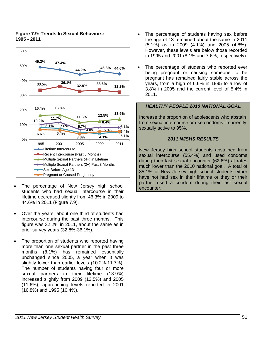

## **Figure 7.9: Trends In Sexual Behaviors: 1995 - 2011**

- The percentage of New Jersey high school students who had sexual intercourse in their lifetime decreased slightly from 46.3% in 2009 to 44.6% in 2011 (Figure 7.9).
- Over the years, about one third of students had intercourse during the past three months. This figure was 32.2% in 2011, about the same as in prior survey years (32.8%-36.1%).
- The proportion of students who reported having more than one sexual partner in the past three months (8.1%) has remained essentially unchanged since 2005, a year when it was slightly lower than earlier levels (10.2%-11.7%). The number of students having four or more sexual partners in their lifetime (13.9%) increased slightly from 2009 (12.5%) and 2005 (11.6%), approaching levels reported in 2001 (16.8%) and 1995 (16.4%).
- The percentage of students having sex before the age of 13 remained about the same in 2011 (5.1%) as in 2009 (4.1%) and 2005 (4.8%). However, these levels are below those recorded in 1995 and 2001 (8.1% and 7.6%, respectively).
- The percentage of students who reported ever being pregnant or causing someone to be pregnant has remained fairly stable across the years, from a high of 6.6% in 1995 to a low of 3.8% in 2005 and the current level of 5.4% in 2011.

## *HEALTHY PEOPLE 2010 NATIONAL GOAL*

Increase the proportion of adolescents who abstain from sexual intercourse or use condoms if currently sexually active to 95%.

## *2011 NJSHS RESULTS*

New Jersey high school students abstained from sexual intercourse (55.4%) and used condoms during their last sexual encounter (62.6%) at rates much lower than the 2010 national goal. A total of 85.1% of New Jersey high school students either have not had sex in their lifetime or they or their partner used a condom during their last sexual encounter.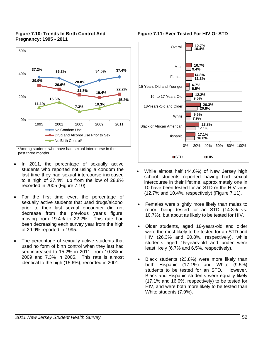## **Figure 7.10: Trends In Birth Control And Pregnancy: 1995 - 2011**



<sup>\*</sup>Among students who have had sexual intercourse in the past three months.

- In 2011, the percentage of sexually active students who reported not using a condom the last time they had sexual intercourse increased to a high of 37.4%, up from the low of 28.8% recorded in 2005 (Figure 7.10).
- For the first time ever, the percentage of sexually active students that used drugs/alcohol prior to their last sexual encounter did not decrease from the previous year's figure, moving from 19.4% to 22.2%. This rate had been decreasing each survey year from the high of 29.9% reported in 1995.
- The percentage of sexually active students that used no form of birth control when they last had sex increased to 15.2% in 2011, from 10.3% in 2009 and 7.3% in 2005. This rate is almost identical to the high (15.6%), recorded in 2001.

## **Figure 7.11: Ever Tested For HIV Or STD**



- While almost half (44.6%) of New Jersey high school students reported having had sexual intercourse in their lifetime, approximately one in 10 have been tested for an STD or the HIV virus (12.7% and 10.4%, respectively) (Figure 7.11).
- Females were slightly more likely than males to report being tested for an STD (14.8% vs. 10.7%), but about as likely to be tested for HIV.
- Older students, aged 18-years-old and older were the most likely to be tested for an STD and HIV (26.3% and 20.8%, respectively), while students aged 15-years-old and under were least likely (6.7% and 6.5%, respectively).
- Black students (23.8%) were more likely than both Hispanic (17.1%) and White (9.5%) students to be tested for an STD. However, Black and Hispanic students were equally likely (17.1% and 16.0%, respectively) to be tested for HIV, and were both more likely to be tested than White students (7.9%).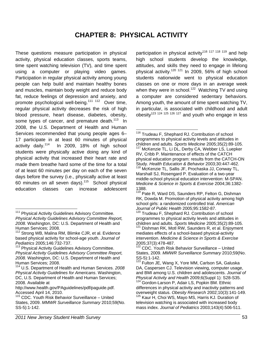# **CHAPTER 8: PHYSICAL ACTIVITY**

 $\overline{a}$ 

These questions measure participation in physical activity, physical education classes, sports teams, time spent watching television (TV), and time spent using a computer or playing video games. Participation in regular physical activity among young people can help build and maintain healthy bones and muscles, maintain body weight and reduce body fat, reduce feelings of depression and anxiety, and promote psychological well-being.<sup>111 112</sup> Over time, regular physical activity decreases the risk of high blood pressure, heart disease, diabetes, obesity, some types of cancer, and premature death.<sup>113</sup> In 2008, the U.S. Department of Health and Human Services recommended that young people ages 6– 17 participate in at least 60 minutes of physical activity daily.114 In 2009, 18% of high school students were physically active doing any kind of physical activity that increased their heart rate and made them breathe hard some of the time for a total of at least 60 minutes per day on each of the seven days before the survey (i.e., physically active at least 60 minutes on all seven days). $115$  School physical education classes can increase adolescent participation in physical activity<sup>116 117</sup> <sup>118</sup> 119 and help high school students develop the knowledge, attitudes, and skills they need to engage in lifelong physical activity.120 121 In 2009, 56% of high school students nationwide went to physical education classes on one or more days in an average week when they were in school.<sup>122</sup> Watching TV and using a computer are considered sedentary behaviors. Among youth, the amount of time spent watching TV, in particular, is associated with childhood and adult  $\frac{1}{2}$  obesity<sup>123 124</sup> 125 126 127 and youth who engage in less

<sup>120</sup> Trudeau F, Shephard RJ. Contribution of school programmes to physical activity levels and attitudes in children and adults. *Sports Medicine* 2005;35(2):89-105. 121 Dishman RK, Motl RW, Saunders R, et al. Enjoyment

mediates effects of a school-based physical-activity intervention. *Medicine & Science in Sports & Exercise*  2005;37(3):478-487.

122 CDC. Youth Risk Behavior Surveillance – United States, 2009. *MMWR Surveillance Summary* 2010;59(No.  $SS-5$ ):1-142.

 $111$ Physical Activity Guidelines Advisory Committee. *Physical Activity Guidelines Advisory Committee Report, 2008.* Washington, DC: U.S. Department of Health and Human Services; 2008.112 Strong WB, Malina RM, Blimke CJR, et al. Evidence

based physical activity for school-age youth. *Journal of*<br>Pediatrics 2005;146:732-737.<br><sup>113</sup> Physical Activity Quideliace Advises C

**Physical Activity Guidelines Advisory Committee.** *Physical Activity Guidelines Advisory Committee Report, 2008.* Washington, DC: U.S. Department of Health and Human Services; 2008.114 U.S. Department of Health and Human Services. *<sup>2008</sup>*

*Physical Activity Guidelines for Americans*. Washington, DC, U.S. Department of Health and Human Services; 2008. Available at

http://www.health.gov/PAguidelines/pdf/paguide.pdf. Accessed April 14, 2010.

<sup>&</sup>lt;sup>115</sup> CDC. Youth Risk Behavior Surveillance - United States, 2009. *MMWR Surveillance Summary* 2010;59(No. SS-5):1-142.

<sup>&</sup>lt;sup>116</sup> Trudeau F, Shephard RJ. Contribution of school programmes to physical activity levels and attitudes in children and adults. *Sports Medicine* 2005;35(2):89-105. 117 McKenzie TL, Li DL, Derby CA, Webber LS, Luepker RV, Cribb P. Maintenance of effects of the CATCH physical education program: results from the CATCH-ON Study. *Health Education & Behavior* 2003;30:447-462. <sup>118</sup> McKenzie TL, Sallis JF, Prochaska JJ, Conway TL, Marshall SJ, Rosengard P. Evaluation of a two-year middle-school physical education intervention: M-SPAN. *Medicine & Science in Sports & Exercise* 2004;36:1382- 1388.

<sup>&</sup>lt;sup>119</sup> Pate R. Ward DS, Saunders RP, Felton G, Dishman RK, Dowda M. Promotion of physical activity among high school girls: a randomized controlled trial. *American Journal of Public Health* 2005;95:1582-87.

Fulton JE, Wang X, Yore MM, Carlson SA, Galuska DA, Caspersen CJ. Television viewing, computer usage, and BMI among U.S. children and adolescents. *Journal of*  <sup>124</sup> Gordon-Larson P, Adair LS, Popkin BM. Ethnic differences in physical activity and inactivity patterns and<br>overweight status. Obesity Research 2002;10(3):141-149. <sup>125</sup> Kaur H, Choi WS, Mayo MS, Harris KJ. Duration of television watching is associated with increased body mass index. *Journal of Pediatrics* 2003;143(4):506-511.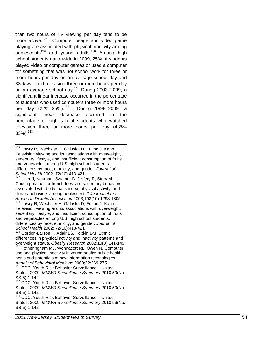than two hours of TV viewing per day tend to be more active. $128$  Computer usage and video game playing are associated with physical inactivity among adolescents<sup>129</sup> and young adults.<sup>130</sup> Among high school students nationwide in 2009, 25% of students played video or computer games or used a computer for something that was not school work for three or more hours per day on an average school day and 33% watched television three or more hours per day on an average school day.<sup>131</sup> During 2003–2009, a significant linear increase occurred in the percentage of students who used computers three or more hours per day  $(22\% - 25\%)$ .<sup>132</sup> During 1999–2009, a significant linear decrease occurred in the percentage of high school students who watched television three or more hours per day (43%– 33%).<sup>133</sup>

-<sup>126</sup> Lowry R, Wechsler H, Galuska D, Fulton J, Kann L. Television viewing and its associations with overweight, sedentary lifestyle, and insufficient consumption of fruits and vegetables among U.S. high school students: differences by race, ethnicity, and gender. *Journal of School Health* 2002; 72(10):413-421.<br><sup>127</sup> Utter J, Neumark-Sztainer D, Jeffery R, Story M.

Couch potatoes or french fries: are sedentary behaviors associated with body mass index, physical activity, and dietary behaviors among adolescents? *Journal of the American Dietetic Association* 2003;103(10):1298-1305. 128 Lowry R, Wechsler H, Galuska D, Fulton J, Kann L.

Television viewing and its associations with overweight, sedentary lifestyle, and insufficient consumption of fruits and vegetables among U.S. high school students: differences by race, ethnicity, and gender. *Journal of School Health* 2002; 72(10):413-421. 129 Gordon-Larson P, Adair LS, Popkin BM. Ethnic

differences in physical activity and inactivity patterns and overweight status. *Obesity Research* 2002;10(3):141-149.<br><sup>130</sup> Fotheringham MJ, Wonnacott RL, Owen N. Computer

use and physical inactivity in young adults: public health perils and potentials of new information technologies. *Annals of Behavioral Medicine* 2000;22:269-275.

<sup>131</sup> CDC. Youth Risk Behavior Surveillance - United States, 2009. *MMWR Surveillance Summary* 2010;59(No. SS-5):1-142.

 $132$  CDC. Youth Risk Behavior Surveillance – United States, 2009. *MMWR Surveillance Summary* 2010;59(No. SS-5):1-142.

 $133$  CDC. Youth Risk Behavior Surveillance – United States, 2009. *MMWR Surveillance Summary* 2010;59(No. SS-5):1-142.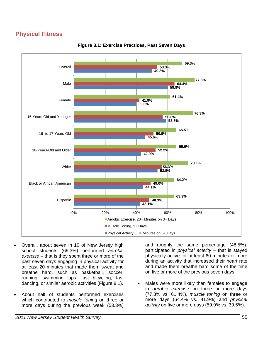# **Physical Fitness**



**Figure 8.1: Exercise Practices, Past Seven Days** 

- Overall, about seven in 10 of New Jersey high school students (69.3%) performed *aerobic exercise* – that is they spent three or more of the past seven days engaging in physical activity for at least 20 minutes that made them sweat and breathe hard, such as basketball, soccer, running, swimming laps, fast bicycling, fast dancing, or similar aerobic activities (Figure 8.1).
- About half of students performed exercises which contributed to *muscle toning* on three or more days during the previous week (53.3%)

and roughly the same percentage (48.5%). participated in *physical activity* – that is stayed physically active for at least 60 minutes or more during an activity that increased their heart rate and made them breathe hard some of the time on five or more of the previous seven days.

Males were more likely than females to engage in *aerobic exercise* on three or more days (77.3% vs. 61.4%), *muscle toning* on three or more days (64.4% vs. 41.9%) and *physical activity* on five or more days (59.9% vs. 39.6%).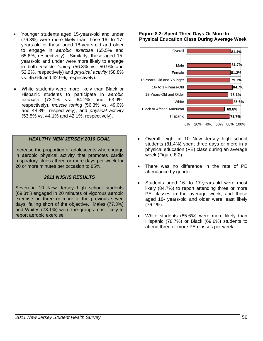- Younger students aged 15-years-old and under (76.3%) were more likely than those 16- to 17 years-old or those aged 18-years-old and older to engage in *aerobic exercise* (65.5% and 65.6%, respectively). Similarly, those aged 15 years-old and under were more likely to engage in both *muscle toning* (56.8% vs. 50.9% and 52.2%, respectively) and *physical activity* (58.8% vs. 45.6% and 42.9%, respectively).
- White students were more likely than Black or Hispanic students to participate in *aerobic exercise* (73.1% vs. 64.2% and 63.9%, respectively), *muscle toning* (56.3% vs. 49.0% and 48.3%, respectively), and *physical activity* (53.5% vs. 44.1% and 42.1%, respectively).

## *HEALTHY NEW JERSEY 2010 GOAL*

Increase the proportion of adolescents who engage in aerobic physical activity that promotes cardio respiratory fitness three or more days per week for 20 or more minutes per occasion to 85%.

### *2011 NJSHS RESULTS*

Seven in 10 New Jersey high school students (69.3%) engaged in 20 minutes of vigorous aerobic exercise on three or more of the previous seven days, falling short of the objective. Males (77.3%) and Whites (73.1%) were the groups most likely to report aerobic exercise.

### **Figure 8.2: Spent Three Days Or More In Physical Education Class During Average Week**



- Overall, eight in 10 New Jersey high school students (81.4%) spent three days or more in a physical education (PE) class during an average week (Figure 8.2).
- There was no difference in the rate of PE attendance by gender.
- Students aged 16- to 17-years-old were most likely (84.7%) to report attending three or more PE classes in the average week, and those aged 18- years-old and older were least likely (76.1%).
- White students (85.6%) were more likely than Hispanic (78.7%) or Black (69.6%) students to attend three or more PE classes per week.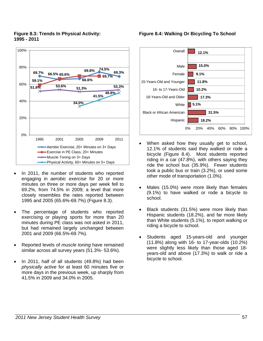## **Figure 8.3: Trends In Physical Activity: 1995 - 2011**



- In 2011, the number of students who reported engaging in *aerobic exercise* for 20 or more minutes on three or more days per week fell to 69.2%, from 74.5% in 2009; a level that more closely resembles the rates reported between 1995 and 2005 (65.6%-69.7%) (Figure 8.3).
- The percentage of students who reported exercising or playing sports for more than 20 minutes during PE class was not asked in 2011, but had remained largely unchanged between 2001 and 2009 (66.5%-69.7%).
- Reported levels of *muscle toning* have remained similar across all survey years (51.3%- 53.6%).
- In 2011, half of all students (49.8%) had been *physically active* for at least 60 minutes five or more days in the previous week, up sharply from 41.5% in 2009 and 34.0% in 2005.

## **Figure 8.4: Walking Or Bicycling To School**



- When asked how they usually get to school, 12.1% of students said they walked or rode a bicycle (Figure 8.4). Most students reported riding in a car (47.8%), with others saying they ride the school bus (35.9%). Fewer students took a public bus or train (3.2%), or used some other mode of transportation (1.0%).
- Males (15.0%) were more likely than females (9.1%) to have walked or rode a bicycle to school.
- Black students (31.5%) were more likely than Hispanic students (18.2%), and far more likely than White students (5.1%), to report walking or riding a bicycle to school.
- Students aged 15-years-old and younger (11.8%) along with 16- to 17-year-olds (10.2%) were slightly less likely than those aged 18 years-old and above (17.3%) to walk or ride a bicycle to school.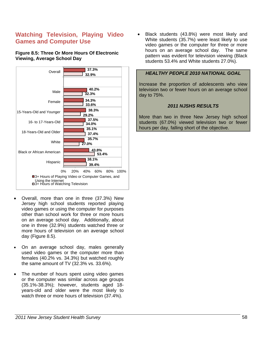# **Watching Television, Playing Video Games and Computer Use**

## **Figure 8.5: Three Or More Hours Of Electronic Viewing, Average School Day**



- Overall, more than one in three (37.3%) New Jersey high school students reported playing video games or using the computer for purposes other than school work for three or more hours on an average school day. Additionally, about one in three (32.9%) students watched three or more hours of television on an average school day (Figure 8.5).
- On an average school day, males generally used video games or the computer more than females (40.2% vs. 34.3%) but watched roughly the same amount of TV (32.3% vs. 33.6%).
- The number of hours spent using video games or the computer was similar across age groups (35.1%-38.3%); however, students aged 18 years-old and older were the most likely to watch three or more hours of television (37.4%).

• Black students (43.8%) were most likely and White students (35.7%) were least likely to use video games or the computer for three or more hours on an average school day. The same pattern was evident for television viewing (Black students 53.4% and White students 27.0%).

## *HEALTHY PEOPLE 2010 NATIONAL GOAL*

Increase the proportion of adolescents who view television two or fewer hours on an average school day to 75%.

## *2011 NJSHS RESULTS*

More than two in three New Jersey high school students (67.0%) viewed television two or fewer hours per day, falling short of the objective.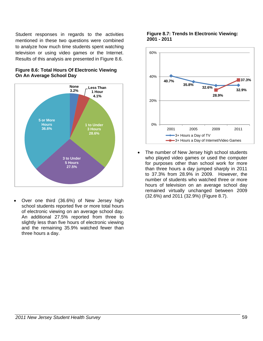Student responses in regards to the activities mentioned in these two questions were combined to analyze how much time students spent watching television or using video games or the Internet. Results of this analysis are presented in Figure 8.6.



## **Figure 8.6: Total Hours Of Electronic Viewing On An Average School Day**

• Over one third (36.6%) of New Jersey high school students reported five or more total hours of electronic viewing on an average school day. An additional 27.5% reported from three to slightly less than five hours of electronic viewing and the remaining 35.9% watched fewer than three hours a day.

## **Figure 8.7: Trends In Electronic Viewing: 2001 - 2011**



• The number of New Jersey high school students who played video games or used the computer for purposes other than school work for more than three hours a day jumped sharply in 2011 to 37.3% from 28.9% in 2009. However, the number of students who watched three or more hours of television on an average school day remained virtually unchanged between 2009 (32.6%) and 2011 (32.9%) (Figure 8.7).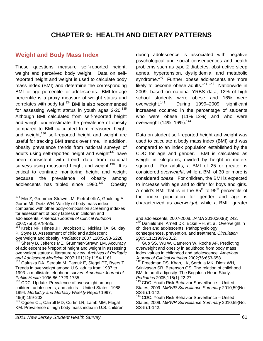# **Weight and Body Mass Index**

These questions measure self-reported height, weight and perceived body weight. Data on selfreported height and weight is used to calculate body mass index (BMI) and determine the corresponding BMI-for-age percentile for adolescents. BMI-for-age percentile is a proxy measure of weight status and correlates with body fat. $134$  BMI is also recommended for assessing weight status in youth ages  $2-20$ .<sup>135</sup> Although BMI calculated from self-reported height and weight underestimate the prevalence of obesity compared to BMI calculated from measured height and weight,<sup>136</sup> self-reported height and weight are useful for tracking BMI trends over time. In addition, obesity prevalence trends from national surveys of adults using self-reported height and weight $137$  have been consistent with trend data from national surveys using measured height and weight.<sup>138</sup> It is critical to continue monitoring height and weight because the prevalence of obesity among adolescents has tripled since  $1980.<sup>139</sup>$  Obesity

during adolescence is associated with negative psychological and social consequences and health problems such as type 2 diabetes, obstructive sleep apnea, hypertension, dyslipidemia, and metabolic syndrome.<sup>140</sup> Further, obese adolescents are more likely to become obese adults.<sup>141 142</sup> Nationwide in 2009, based on national YRBS data, 12% of high school students were obese and 16% were overweight.143 During 1999–2009, significant increases occurred in the percentage of students who were obese (11%–12%) and who were overweight (14%–16%).<sup>144</sup>

Data on student self-reported height and weight was used to calculate a body mass index (BMI) and was compared to an index population established by the CDC for age and gender. BMI is calculated as weight in kilograms, divided by height in meters squared. For adults, a BMI of 25 or greater is considered *overweight*, while a BMI of 30 or more is considered *obese*. For children, the BMI is expected to increase with age and to differ for boys and girls. A child's BMI that is in the  $85<sup>th</sup>$  to  $95<sup>th</sup>$  percentile of the index population for gender and age is characterized as *overweight*, while a BMI greater

 <sup>134</sup> Mei Z, Grummer-Strawn LM, Pietrobelli A, Goulding A, Goran MI, Dietz WH. Validity of body mass index compared with other body-composition screening indexes for assessment of body fatness in children and adolescents. *American Journal of Clinical Nutrition* 2002;75(6):978-985.

<sup>135</sup> Krebs NF, Himes JH, Jacobson D, Nicklas TA, Guilday P, Styne D. Assessment of child and adolescent overweight and obesity. *Pediatrics* 2007;120:S193-S228. 136 Sherry B**,** Jefferds ME**,** Grummer-Strawn LM**.** Accuracy

of adolescent self-report of height and weight in assessing overweight status: a literature review. *Archives of Pediatric and Adolescent Medicine* 2007;161(12):1154-1161. 137 Galuska DA, Serdula M, Pamuk E, Siegel PZ, Byers T.

Trends in overweight among U.S. adults from 1987 to 1993: a multistate telephone survey. *American Journal of Public Health* 1996;86:1729-1735.

<sup>&</sup>lt;sup>138</sup> CDC. Update: Prevalence of overweight among children, adolescents, and adults – United States, 1988- 1994. *Morbidity and Mortality Weekly Report* 1997; 46(9):199-202.

<sup>&</sup>lt;sup>139</sup> Ogden CL, Carroll MD, Curtin LR, Lamb MM, Flegal KM. Prevalence of high body mass index in U.S. children

 and adolescents, 2007-2008. *JAMA* 2010;303(3):242.<br><sup>140</sup> Daniels SR, Arnett DK, Eckel RH, et. al. Overweight in children and adolescents: Pathophysiology, consequences, prevention, and treatment. *Circulation*  2005;111:1999-2012.

<sup>&</sup>lt;sup>141</sup> Guo SS, Wu W, Cameron W, Roche AF. Predicting overweight and obesity in adulthood from body mass index values in childhood and adolescence. *American Journal of Clinical Nutrition* 2002;76:653-658.

Freedman DS, Khan, LK, Serdula MK, Dietz WH, Srinivasan SR, Berenson GS. The relation of childhood BMI to adult adiposity: The Bogalusa Heart Study.<br>Pediatrics 2005;115(1):22-27.

<sup>&</sup>lt;sup>143</sup> CDC. Youth Risk Behavior Surveillance – United States, 2009. *MMWR Surveillance Summary* 2010;59(No. SS-5):1-142.

 $144$  CDC. Youth Risk Behavior Surveillance - United States, 2009. *MMWR Surveillance Summary* 2010;59(No. SS-5):1-142.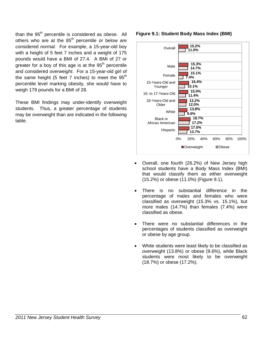than the 95th percentile is considered as *obese.* All others who are at the  $85<sup>th</sup>$  percentile or below are considered *normal.* For example, a 15-year-old boy with a height of 5 feet 7 inches and a weight of 175 pounds would have a BMI of 27.4. A BMI of 27 or greater for a boy of this age is at the  $95<sup>th</sup>$  percentile and considered *overweight.* For a 15-year-old girl of the same height (5 feet 7 inches) to meet the  $95<sup>th</sup>$ percentile level marking obesity, she would have to weigh 179 pounds for a BMI of 28.

These BMI findings may under-identify overweight students. Thus, a greater percentage of students may be overweight than are indicated in the following table.

## **Figure 9.1: Student Body Mass Index (BMI)**



- Overall, one fourth (26.2%) of New Jersey high school students have a Body Mass Index (BMI) that would classify them as either overweight (15.2%) or obese (11.0%) (Figure 9.1).
- There is no substantial difference in the percentage of males and females who were classified as overweight (15.3% vs. 15.1%), but more males (14.7%) than females (7.4%) were classified as obese.
- There were no substantial differences in the percentages of students classified as overweight or obese by age group.
- White students were least likely to be classified as overweight (13.8%) or obese (9.6%), while Black students were most likely to be overweight (18.7%) or obese (17.2%).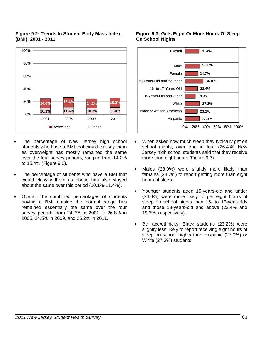

## **Figure 9.2: Trends In Student Body Mass Index (BMI): 2001 - 2011**

- The percentage of New Jersey high school students who have a BMI that would classify them as overweight has mostly remained the same over the four survey periods, ranging from 14.2% to 15.4% (Figure 9.2).
- The percentage of students who have a BMI that would classify them as obese has also stayed about the same over this period (10.1%-11.4%).
- Overall, the combined percentages of students having a BMI outside the normal range has remained essentially the same over the four survey periods from 24.7% in 2001 to 26.8% in 2005, 24.5% in 2009, and 26.2% in 2011.

## **Figure 9.3: Gets Eight Or More Hours Of Sleep On School Nights**



- When asked how much sleep they typically get on school nights, over one in four (26.4%) New Jersey high school students said that they receive more than eight hours (Figure 9.3).
- Males (28.0%) were slightly more likely than females (24.7%) to report getting more than eight hours of sleep.
- Younger students aged 15-years-old and under (34.0%) were more likely to get eight hours of sleep on school nights than 16- to 17-year-olds and those 18-years-old and above (23.4% and 19.3%, respectively).
- By race/ethnicity, Black students (23.2%) were slightly less likely to report receiving eight hours of sleep on school nights than Hispanic (27.0%) or White (27.3%) students.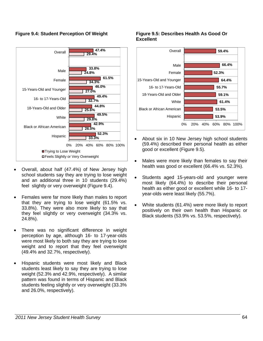



- Overall, about half (47.4%) of New Jersey high school students say they are trying to lose weight and an additional three in 10 students (29.4%) feel slightly or very overweight (Figure 9.4).
- Females were far more likely than males to report that they are trying to lose weight (61.5% vs. 33.8%). They were also more likely to say that they feel slightly or very overweight (34.3% vs. 24.8%).
- There was no significant difference in weight perception by age, although 16- to 17-year-olds were most likely to both say they are trying to lose weight and to report that they feel overweight (49.4% and 32.7%, respectively).
- Hispanic students were most likely and Black students least likely to say they are trying to lose weight (52.3% and 42.9%, respectively). A similar pattern was found in terms of Hispanic and Black students feeling slightly or very overweight (33.3% and 26.0%, respectively).

## **Figure 9.5: Describes Health As Good Or Excellent**



- About six in 10 New Jersey high school students (59.4%) described their personal health as either good or excellent (Figure 9.5).
- Males were more likely than females to say their health was good or excellent (66.4% vs. 52.3%).
- Students aged 15-years-old and younger were most likely (64.4%) to describe their personal health as either good or excellent while 16- to 17 year-olds were least likely (55.7%).
- White students (61.4%) were more likely to report positively on their own health than Hispanic or Black students (53.9% vs. 53.5%, respectively).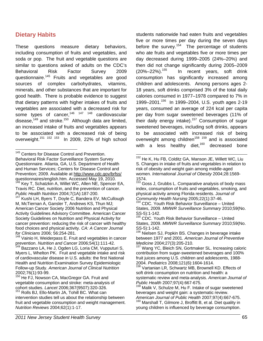# **Dietary Habits**

-

These questions measure dietary behaviors, including consumption of fruits and vegetables, and soda or pop. The fruit and vegetable questions are similar to questions asked of adults on the CDC's Behavioral Risk Factor Survey 2009 questionnaire.<sup>145</sup> Fruits and vegetables are good sources of complex carbohydrates, vitamins, minerals, and other substances that are important for good health. There is probable evidence to suggest that dietary patterns with higher intakes of fruits and vegetables are associated with a decreased risk for some types of cancer.<sup>146 147 148</sup> cardiovascular disease, $149$  and stroke.<sup>150</sup> Although data are limited, an increased intake of fruits and vegetables appears to be associated with a decreased risk of being overweight.<sup>151</sup> <sup>152</sup> 153 In 2009, 22% of high school students nationwide had eaten fruits and vegetables five or more times per day during the seven days before the survey.<sup>154</sup> The percentage of students who ate fruits and vegetables five or more times per day decreased during 1999–2005 (24%–20%) and then did not change significantly during 2005–2009  $(20\% - 22\%)$ <sup>155</sup> In recent years, soft drink consumption has significantly increased among children and adolescents. Among persons ages 2- 18 years, soft drinks comprised 3% of the total daily calories consumed in 1977–1978 compared to 7% in 1999–2001.156 In 1999–2004, U.S. youth ages 2-19 years, consumed an average of 224 kcal per capita per day from sugar sweetened beverages (11% of their daily energy intake).<sup>157</sup> Consumption of sugar sweetened beverages, including soft drinks, appears to be associated with increased risk of being overweight among children<sup>158 159</sup> and is associated with a less healthy diet, $160$  decreased bone

<sup>&</sup>lt;sup>145</sup> Centers for Disease Control and Prevention. Behavioral Risk Factor Surveillance System Survey Questionnaire. Atlanta, GA, U.S. Department of Health and Human Services; Centers for Disease Control and Prevention; 2009. Available at http://www.cdc.gov/brfss/ questionnaires/english.htm. Accessed May 19, 2010.<br><sup>146</sup> Key T, Schatzkin A, Willet WC, Allen NE, Spencer EA, Travis RC. Diet, nutrition, and the prevention of cancer.

*Public Health Nutrition* 2004;7(1A):187-200.<br><sup>147</sup> Kushi LH, Byers T, Doyle C, Bandera EV, McCullough M, McTiernan A, Gansler T, Andrews KS, Thun MJ; American Cancer Society 2006 Nutrition and Physical Activity Guidelines Advisory Committee. American Cancer Society Guidelines on Nutrition and Physical Activity for cancer prevention: reducing the risk of cancer with healthy food choices and physical activity. *CA: A Cancer Journal for Clinicians* 2006; 56:254-281.

<sup>&</sup>lt;sup>148</sup> Vainio H, Weiderpass E. Fruit and vegetables in cancer prevention. *Nutrition and Cancer* 2006;54(1):111-42.<br><sup>149</sup> Bazzano LA, He J, Ogden LG, Loria CM, Vupputuri S,

Myers L, Whelton PK. Fruit and vegetable intake and risk of cardiovascular disease in U.S. adults: the first National Health and Nutrition Examination Survey Epidemiologic Follow-up Study. *American Journal of Clinical Nutrition* 2002;76(1):93-99.

He FJ, Nowson CA, MacGregor GA. Fruit and vegetable consumption and stroke: meta-analysis of cohort studies. *Lancet* 2006;367(9507):320-326. 151 Rolls BJ, Ello-Martin JA, Tohill BC. What can

intervention studies tell us about the relationship between fruit and vegetable consumption and weight management. *Nutrition Reviews* 2004;62(1):1-17.

 <sup>152</sup> He K, Hu FB, Colditz GA, Manson JE, Willett WC, Liu S. Changes in intake of fruits and vegetables in relation to risk of obesity and weight gain among middle-aged women. *International Journal of Obesity* 2004;28:1569- 1574.

<sup>&</sup>lt;sup>153</sup> Goss J, Grubbs L. Comparative analysis of body mass index, consumption of fruits and vegetables, smoking, and physical activity among Florida residents. J*ournal of Community Health Nursing* 2005;22(1):37-46.<br><sup>154</sup> CDC. Youth Risk Behavior Surveillance – United

States, 2009. *MMWR Surveillance Summary* 2010;59(No. SS-5):1-142.

<sup>155</sup> CDC. Youth Risk Behavior Surveillance – United States, 2009. *MMWR Surveillance Summary* 2010;59(No. SS-5):1-142.

Nielsen SJ, Popkin BS. Changes in beverage intake between 1977 and 2001. *American Journal of Preventive* 

*Medicine* 2004;27(3):205-210.<br><sup>157</sup> Wang YC, Bleich SN, Gortmaker SL. Increasing caloric contribution from sugar-sweetened beverages and 100% fruit juices among U.S. children and adolescents, 1988-<br>2004. Pediatrics 2008;121(6):1604-1614.

<sup>&</sup>lt;sup>158</sup> Vartanian LR, Schwartz MB, Brownell KD. Effects of soft drink consumption on nutrition and health: a systematic review and meta-analysis. *American Journal of* 

<sup>&</sup>lt;sup>159</sup> Malik V, Schulze M, Hu F. Intake of sugar sweetened beverages and weight gain: a systematic review.<br>American Journal of Public Health 2007:97(4):667-675.

*American Journal of Public Health* 2007;97(4):667-675. 160 Marshall T, Gilmore J, Broffitt B, et al. Diet quality in young children is influenced by beverage consumption.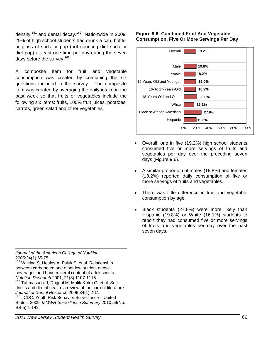density, $161$  and dental decay.<sup>162</sup> Nationwide in 2009, 29% of high school students had drunk a can, bottle, or glass of soda or pop (not counting diet soda or diet pop) at least one time per day during the seven days before the survey.163

A composite item for fruit and vegetable consumption was created by combining the six questions included in the survey. The composite item was created by averaging the daily intake in the past week so that fruits or vegetables include the following six items: fruits, 100% fruit juices, potatoes, carrots, green salad and other vegetables.

**Figure 9.6: Combined Fruit And Vegetable Consumption, Five Or More Servings Per Day** 



- Overall, one in five (19.2%) high school students consumed five or more servings of fruits and vegetables per day over the preceding seven days (Figure 9.6).
- A similar proportion of males (19.8%) and females (18.2%) reported daily consumption of five or more servings of fruits and vegetables.
- There was little difference in fruit and vegetable consumption by age.
- Black students (27.8%) were more likely than Hispanic (19.8%) or White (16.1%) students to report they had consumed five or more servings of fruits and vegetables per day over the past seven days.

 $\overline{a}$ *Journal of the American College of Nutrition* 2005;24(1):65-75.

Whiting S, Healey A, Psiuk S, et al. Relationship between carbonated and other low nutrient dense beverages and bone mineral content of adolescents.<br>Nutrition Research 2001; 21(8):1107-1115.

<sup>162</sup> Tahmassebi J, Duggal M, Malik-Kotru G, et al. Soft drinks and dental health: a review of the current literature. *Journal of Dental Research* 2006;34(1):2-11.<br><sup>163</sup> . CDC. Youth Risk Behavior Surveillance – United

States, 2009. *MMWR Surveillance Summary* 2010;59(No. SS-5):1-142.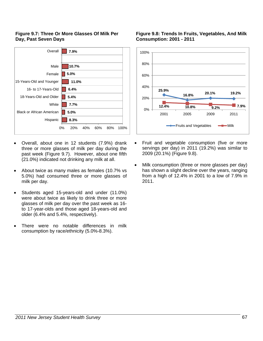## **Figure 9.7: Three Or More Glasses Of Milk Per Day, Past Seven Days**



- Overall, about one in 12 students (7.9%) drank three or more glasses of milk per day during the past week (Figure 9.7). However, about one fifth (21.0%) indicated not drinking any milk at all.
- About twice as many males as females (10.7% vs 5.0%) had consumed three or more glasses of milk per day.
- Students aged 15-years-old and under (11.0%) were about twice as likely to drink three or more glasses of milk per day over the past week as 16 to 17-year-olds and those aged 18-years-old and older (6.4% and 5.4%, respectively).
- There were no notable differences in milk consumption by race/ethnicity (5.0%-8.3%).

## **Figure 9.8: Trends In Fruits, Vegetables, And Milk Consumption: 2001 - 2011**



- Fruit and vegetable consumption (five or more servings per day) in 2011 (19.2%) was similar to 2009 (20.1%) (Figure 9.8).
- Milk consumption (three or more glasses per day) has shown a slight decline over the years, ranging from a high of 12.4% in 2001 to a low of 7.9% in 2011.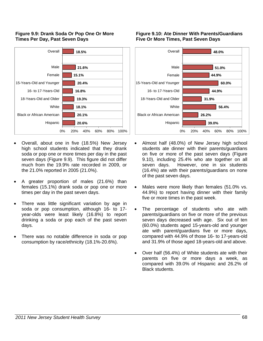## **Figure 9.9: Drank Soda Or Pop One Or More Times Per Day, Past Seven Days**



- Overall, about one in five (18.5%) New Jersey high school students indicated that they drank soda or pop one or more times per day in the past seven days (Figure 9.9). This figure did not differ much from the 19.9% rate recorded in 2009, or the 21.0% reported in 2005 (21.0%).
- A greater proportion of males (21.6%) than females (15.1%) drank soda or pop one or more times per day in the past seven days.
- There was little significant variation by age in soda or pop consumption, although 16- to 17 year-olds were least likely (16.8%) to report drinking a soda or pop each of the past seven days.
- There was no notable difference in soda or pop consumption by race/ethnicity (18.1%-20.6%).

### **Figure 9.10: Ate Dinner With Parents/Guardians Five Or More Times, Past Seven Days**



- Almost half (48.0%) of New Jersey high school students ate dinner with their parents/guardians on five or more of the past seven days (Figure 9.10), including 25.4% who ate together on all seven days. However, one in six students (16.4%) ate with their parents/guardians on none of the past seven days.
- Males were more likely than females (51.0% vs. 44.9%) to report having dinner with their family five or more times in the past week.
- The percentage of students who ate with parents/guardians on five or more of the previous seven days decreased with age. Six out of ten (60.0%) students aged 15-years-old and younger ate with parent/guardians five or more days, compared with 44.9% of those 16- to 17-years-old and 31.9% of those aged 18-years-old and above.
- Over half (56.4%) of White students ate with their parents on five or more days a week, as compared with 39.0% of Hispanic and 26.2% of Black students.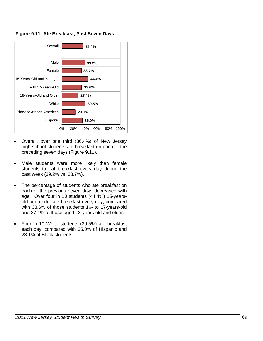

**Figure 9.11: Ate Breakfast, Past Seven Days** 

- Overall, over one third (36.4%) of New Jersey high school students ate breakfast on each of the preceding seven days (Figure 9.11).
- Male students were more likely than female students to eat breakfast every day during the past week (39.2% vs. 33.7%).
- The percentage of students who ate breakfast on each of the previous seven days decreased with age. Over four in 10 students (44.4%) 15-yearsold and under ate breakfast every day, compared with 33.6% of those students 16- to 17-years-old and 27.4% of those aged 18-years-old and older.
- Four in 10 White students (39.5%) ate breakfast each day, compared with 35.0% of Hispanic and 23.1% of Black students.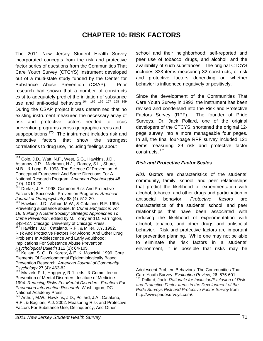# **CHAPTER 10: RISK FACTORS**

The 2011 New Jersey Student Health Survey incorporated concepts from the risk and protective factor series of questions from the Communities That Care Youth Survey (CTCYS) instrument developed out of a multi-state study funded by the Center for Substance Abuse Prevention (CSAP). Prior research had shown that a number of constructs exist to adequately predict the initiation of substance use and anti-social behaviors. <sup>164</sup> <sup>165</sup> <sup>166</sup> <sup>167</sup> <sup>168</sup> 169 During the CSAP project it was determined that no existing instrument measured the necessary array of risk and protective factors needed to focus prevention programs across geographic areas and subpopulations.<sup>170</sup> The instrument includes risk and protective factors that show the strongest correlations to drug use, including feelings about

<sup>165</sup> Durlak, J. A. 1998. Common Risk And Protective Factors In Successful Prevention Programs. *American Journal of Orthopsychiatry* 68 (4): 512-20.<br><sup>166</sup> Hawkins, J.D., Arthur, M.W., & Catalano, R.F. 1995.

Preventing substance abuse. In *Crime and justice: Vol. 19. Building A Safer Society: Strategic Approaches To Crime Prevention*, edited by M. Tonry and D. Farrington, 343-427. Chicago: University of Chicago Press.<br><sup>167</sup> Hawkins, J.D., Catalano, R.F., & Miller, J.Y. 1992. Risk And Protective Factors For Alcohol And Other Drug Problems In Adolescence And Early Adulthood: Implications For Substance Abuse Prevention. *Psychological Bulletin* 112 (1): 64-105.<br><sup>168</sup> Kellam, S. G., D. Koretz, & E. K. Moscicki. 1999. Core

Elements Of Developmental Epidemiologically Based Prevention Research. *American Journal of Community Psychology* 27 (4): 463-82.<br><sup>169</sup> Mrazek, P.J., Haggerty, R.J. eds., & Committee on

<sup>170</sup> Arthur, M.W., Hawkins, J.D., Pollard, J.A., Catalano, R.F., & Baglioni, A.J. 2002. Measuring Risk and Protective Factors For Substance Use, Delinquency, And Other

school and their neighborhood; self-reported and peer use of tobacco, drugs, and alcohol; and the availability of such substances. The original CTCYS includes 333 items measuring 32 constructs, or risk and protective factors depending on whether behavior is influenced negatively or positively.

Since the development of the Communities That Care Youth Survey in 1992, the instrument has been revised and condensed into the Risk and Protective Factors Survey (RPF). The founder of Pride Surveys, Dr. Jack Pollard, one of the original developers of the CTCYS, shortened the original 12 page survey into a more manageable four pages. In all, the final four-page RPF survey included 121 items measuring 29 risk and protective factor constructs. 171

## *Risk and Protective Factor Scales*

*Risk factors* are characteristics of the students' community, family, school, and peer relationships that predict the likelihood of experimentation with alcohol, tobacco, and other drugs and participation in antisocial behavior. *Protective factors* are characteristics of the students' school, and peer relationships that have been associated with reducing the likelihood of experimentation with alcohol, tobacco, and other drugs and antisocial behavior. Risk and protective factors are important for prevention planning. While one may not be able to eliminate the risk factors in a students' environment, it is possible that risks may be

Adolescent Problem Behaviors: The Communities That Care Youth Survey. *Evaluation Review*, 26, 575-601. <sup>171</sup> Pollard, Jack. *Rationale for Inclusion/Exclusion of Risk and Protective Factor Items in the Development of the Pride Surveys Risk and Protective Factor Survey* from http://www.pridesurveys.com/.

 <sup>164</sup> Coie, J.D., Watt, N.F., West, S.G., Hawkins, J.D., Asarnow, J.R., Markman, H.J., Ramey, S.L., Shure, M.B., & Long, B. 1993. The Science Of Prevention. A Conceptual Framework And Some Directions For A National Research Program. *American Psychologist* 48 (10): 1013-22.

Prevention of Mental Disorders, Institute of Medicine. 1994. *Reducing Risks For Mental Disorders: Frontiers For Prevention Intervention Research*. Washington, DC: National Academy Press.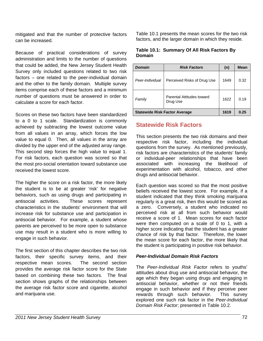mitigated and that the number of protective factors can be increased.

Because of practical considerations of survey administration and limits to the number of questions that could be added, the New Jersey Student Health Survey only included questions related to two risk factors – one related to the peer-individual domain and the other to the family domain. Multiple survey items comprise each of these factors and a minimum number of questions must be answered in order to calculate a score for each factor.

Scores on these two factors have been standardized to a 0 to 1 scale. Standardization is commonly achieved by subtracting the lowest outcome value from all values in an array, which forces the low value to equal 0. Then, all values in the array are divided by the upper end of the adjusted array range. This second step forces the high value to equal 1. For risk factors, each question was scored so that the most pro-social orientation toward substance use received the lowest score.

The higher the score on a risk factor, the more likely the student is to be at greater 'risk' for negative behaviors, such as using drugs and participating in antisocial activities. These scores represent characteristics in the students' environment that will increase risk for substance use and participation in antisocial behavior. For example, a student whose parents are perceived to be more open to substance use may result in a student who is more willing to engage in such behavior.

The first section of this chapter describes the two risk factors, their specific survey items, and their respective mean scores. The second section provides the average risk factor score for the State based on combining these two factors. The final section shows graphs of the relationships between the average risk factor score and cigarette, alcohol and marijuana use.

Table 10.1 presents the mean scores for the two risk factors, and the larger domain in which they reside.

| Domain          |                             |      |             |  |
|-----------------|-----------------------------|------|-------------|--|
| <b>Domain</b>   | <b>Risk Factors</b>         | (n)  | <b>Mean</b> |  |
| Peer-Individual | Perceived Risks of Drug Use | 1649 | 0.32        |  |

**Statewide Risk Factor Average 1619 | 0.25** 

Parental Attitudes toward 1622 0.19

### **Table 10.1: Summary Of All Risk Factors By Domain**

| <b>Statewide Risk Factors</b> |  |  |
|-------------------------------|--|--|
|                               |  |  |

**Family Parental Attitudes toward** 

This section presents the two risk domains and their respective risk factor, including the individual questions from the survey. As mentioned previously, risk factors are characteristics of the students' family or individual-peer relationships that have been associated with increasing the likelihood of experimentation with alcohol, tobacco, and other drugs and antisocial behavior.

Each question was scored so that the most positive beliefs received the lowest score. For example, if a student indicated that they think smoking marijuana regularly is a great risk, then this would be scored as a zero. Conversely, a student who indicated no perceived risk at all from such behavior would receive a score of 1. Mean scores for each factor were then computed on a scale of 0 to 1, with a higher score indicating that the student has a greater chance of risk by that factor. Therefore, the lower the mean score for each factor, the more likely that the student is participating in positive risk behavior.

## *Peer-Individual Domain Risk Factors*

The *Peer-Individual Risk Factor* refers to youths' attitudes about drug use and antisocial behavior, the age which they began using drugs and engaging in antisocial behavior, whether or not their friends engage in such behavior and if they perceive peer rewards through such behavior. This survey explored one such risk factor in the *Peer-Individual Domain Risk Factor*; presented in Table 10.2.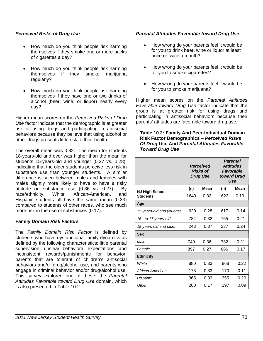## *Perceived Risks of Drug Use*

- How much do you think people risk harming themselves if they smoke one or more packs of cigarettes a day?
- How much do you think people risk harming themselves if they smoke marijuana regularly?
- How much do you think people risk harming themselves if they have one or two drinks of alcohol (beer, wine, or liquor) nearly every day?

Higher mean scores on the *Perceived Risks of Drug Use* factor indicate that the demographic is at greater risk of using drugs and participating in antisocial behaviors because they believe that using alcohol or other drugs presents little risk to their health.

The overall mean was 0.32. The mean for students 18-years-old and over was higher than the mean for students 15-years-old and younger (0.37 vs. 0.28), indicating that the older students perceive less risk in substance use than younger students. A similar difference is seen between males and females with males slightly more likely to have to have a risky attitude on substance use (0.36 vs. 0.27). By race/ethnicity, White, African-American, and Hispanic students all have the same mean (0.33) compared to students of other races, who see much more risk in the use of substances (0.17).

## **Family** *Domain Risk Factors*

The *Family Domain Risk Factor* is defined by students who have dysfunctional family dynamics as defined by the following characteristics: little parental supervision, unclear behavioral expectations, and inconsistent rewards/punishments for behavior, parents that are tolerant of children's antisocial behaviors and/or drug/alcohol use, and parents who engage in criminal behavior and/or drug/alcohol use. This survey explored one of these: the *Parental Attitudes Favorable toward Drug Use* domain, which is also presented in Table 10.2.

## *Parental Attitudes Favorable toward Drug Use*

- How wrong do your parents feel it would be for you to drink beer, wine or liquor at least once or twice a month?
- How wrong do your parents feel it would be for you to smoke cigarettes?
- How wrong do your parents feel it would be for you to smoke marijuana?

Higher mean scores on the *Parental Attitudes Favorable toward Drug Use* factor indicate that the group is at greater risk for using drugs and participating in antisocial behaviors because their parents' attitudes are favorable toward drug use.

### **Table 10.2: Family And Peer-Individual Domain Risk Factor Demographics –** *Perceived Risks Of Drug Use* **And** *Parental Attitudes Favorable Toward Drug Use*

|                          | <b>Perceived</b><br><b>Risks of</b><br><b>Drug Use</b> |      |      |      |  | <b>Parental</b><br><b>Attitudes</b><br><b>Favorable</b><br>toward Drug<br>Use |
|--------------------------|--------------------------------------------------------|------|------|------|--|-------------------------------------------------------------------------------|
| <b>NJ High School</b>    | (n)                                                    | Mean | (n)  | Mean |  |                                                                               |
| <b>Students</b>          | 1649                                                   | 0.32 | 1622 | 0.19 |  |                                                                               |
| Age                      |                                                        |      |      |      |  |                                                                               |
| 15-years-old and younger | 620                                                    | 0.28 | 617  | 0.14 |  |                                                                               |
| 16- to 17-years-old      | 784                                                    | 0.32 | 765  | 0.21 |  |                                                                               |
| 18-years-old and older   | 243                                                    | 0.37 | 237  | 0.24 |  |                                                                               |
| Sex                      |                                                        |      |      |      |  |                                                                               |
| Male                     | 749                                                    | 0.36 | 732  | 0.21 |  |                                                                               |
| Female                   | 897                                                    | 0.27 | 886  | 0.17 |  |                                                                               |
| <b>Ethnicity</b>         |                                                        |      |      |      |  |                                                                               |
| White                    | 880                                                    | 0.33 | 868  | 0.22 |  |                                                                               |
| African-American         | 173                                                    | 0.33 | 170  | 0.11 |  |                                                                               |
| Hispanic                 | 365                                                    | 0.33 | 355  | 0.20 |  |                                                                               |
| Other                    | 200                                                    | 0.17 | 197  | 0.09 |  |                                                                               |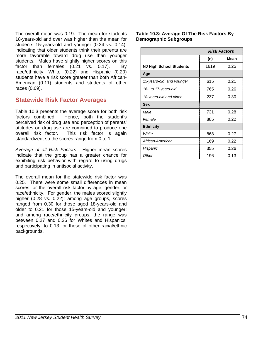The overall mean was 0.19. The mean for students 18-years-old and over was higher than the mean for students 15-years-old and younger (0.24 vs. 0.14), indicating that older students think their parents are more favorable toward drug use than younger students. Males have slightly higher scores on this factor than females (0.21 vs. 0.17). By race/ethnicity, White (0.22) and Hispanic (0.20) students have a risk score greater than both African-American (0.11) students and students of other races (0.09).

## **Statewide Risk Factor Averages**

Table 10.3 presents the average score for both risk factors combined. Hence, both the student's perceived risk of drug use and perception of parents' attitudes on drug use are combined to produce one overall risk factor. This risk factor is again standardized, so the scores range from 0 to 1.

*Average of all Risk Factors*: Higher mean scores indicate that the group has a greater chance for exhibiting risk behavior with regard to using drugs and participating in antisocial activity.

The overall mean for the statewide risk factor was 0.25. There were some small differences in mean scores for the overall risk factor by age, gender, or race/ethnicity. For gender, the males scored slightly higher (0.28 vs. 0.22); among age groups, scores ranged from 0.30 for those aged 18-years-old and older to 0.21 for those 15-years-old and younger; and among race/ethnicity groups, the range was between 0.27 and 0.26 for Whites and Hispanics, respectively, to 0.13 for those of other racial/ethnic backgrounds.

**Table 10.3: Average Of The Risk Factors By Demographic Subgroups**

|                          | <b>Risk Factors</b> |      |
|--------------------------|---------------------|------|
|                          | (n)                 | Mean |
| NJ High School Students  | 1619                | 0.25 |
| Age                      |                     |      |
| 15-years-old and younger | 615                 | 0.21 |
| 16- to 17-years-old      | 765                 | 0.26 |
| 18-years-old and older   | 237                 | 0.30 |
| <b>Sex</b>               |                     |      |
| Male                     | 731                 | 0.28 |
| Female                   | 885                 | 0.22 |
| <b>Ethnicity</b>         |                     |      |
| White                    | 868                 | 0.27 |
| African-American         | 169                 | 0.22 |
| Hispanic                 | 355                 | 0.26 |
| Other                    | 196                 | 0.13 |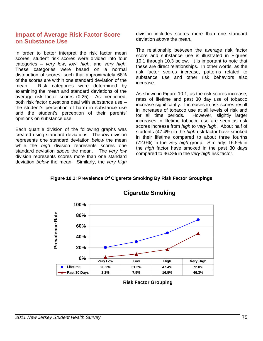## **Impact of Average Risk Factor Score on Substance Use**

In order to better interpret the risk factor mean scores, student risk scores were divided into four categories – *very low*, *low*, *high*, and *very high*. These categories were based on a normal distribution of scores, such that approximately 68% of the scores are within one standard deviation of the mean. Risk categories were determined by examining the mean and standard deviations of the average risk factor scores (0.25). As mentioned, both risk factor questions deal with substance use – the student's perception of harm in substance use and the student's perception of their parents' opinions on substance use.

Each quartile division of the following graphs was created using standard deviations. The *low* division represents one standard deviation *below* the mean while the *high* division represents scores one standard deviation *above* the mean. The *very low* division represents scores more than one standard deviation *below* the mean. Similarly, the *very high* division includes scores more than one standard deviation *above* the mean.

The relationship between the average risk factor score and substance use is illustrated in Figures 10.1 through 10.3 below. It is important to note that these are direct relationships. In other words, as the risk factor scores increase, patterns related to substance use and other risk behaviors also increase.

As shown in Figure 10.1, as the risk scores increase, rates of lifetime and past 30 day use of tobacco increase significantly. Increases in risk scores result in increases of tobacco use at all levels of risk and for all time periods. However, slightly larger increases in lifetime tobacco use are seen as risk scores increase from *high* to *very high*. About half of students (47.4%) in the *high* risk factor have smoked in their lifetime compared to about three fourths (72.0%) in the *very high* group. Similarly, 16.5% in the *high* factor have smoked in the past 30 days compared to 46.3% in the *very high* risk factor.

**Figure 10.1: Prevalence Of Cigarette Smoking By Risk Factor Groupings**



## **Cigarette Smoking**

**Risk Factor Grouping**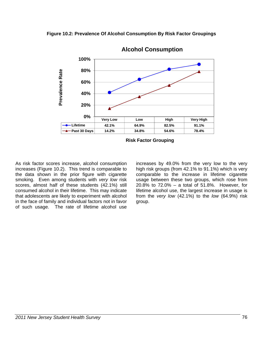



**Alcohol Consumption**

**Risk Factor Grouping**

As risk factor scores increase, alcohol consumption increases (Figure 10.2). This trend is comparable to the data shown in the prior figure with cigarette smoking. Even among students with *very low* risk scores, almost half of these students (42.1%) still consumed alcohol in their lifetime. This may indicate that adolescents are likely to experiment with alcohol in the face of family and individual factors not in favor of such usage. The rate of lifetime alcohol use increases by 49.0% from the very low to the very high risk groups (from 42.1% to 91.1%) which is very comparable to the increase in lifetime cigarette usage between these two groups, which rose from 20.8% to 72.0% – a total of 51.8%. However, for lifetime alcohol use, the largest increase in usage is from the *very low* (42.1%) to the *low* (64.9%) risk group.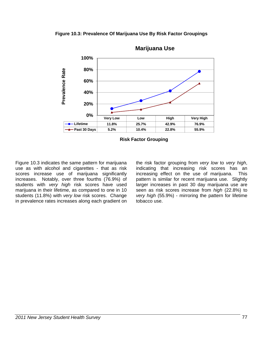**Figure 10.3: Prevalence Of Marijuana Use By Risk Factor Groupings**



**Marijuana Use**

**Risk Factor Grouping**

Figure 10.3 indicates the same pattern for marijuana use as with alcohol and cigarettes - that as risk scores increase use of marijuana significantly increases. Notably, over three fourths (76.9%) of students with *very high* risk scores have used marijuana in their lifetime, as compared to one in 10 students (11.8%) with *very low* risk scores. Change in prevalence rates increases along each gradient on

the risk factor grouping from *very low* to *very high*, indicating that increasing risk scores has an increasing effect on the use of marijuana. This pattern is similar for recent marijuana use. Slightly larger increases in past 30 day marijuana use are seen as risk scores increase from *high* (22.8%) to *very high* (55.9%) - mirroring the pattern for lifetime tobacco use.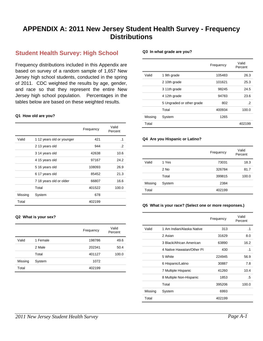# **APPENDIX A: 2011 New Jersey Student Health Survey - Frequency Distributions**

## **Student Health Survey: High School**

Frequency distributions included in this Appendix are based on survey of a random sample of 1,657 New Jersey high school students, conducted in the spring of 2011. CDC weighted the results by age, gender, and race so that they represent the entire New Jersey high school population. Percentages in the tables below are based on these weighted results.

#### **Q1 How old are you?**

|         |                           | Frequency | Valid<br>Percent |
|---------|---------------------------|-----------|------------------|
| Valid   | 1 12 years old or younger | 421       | $\cdot$ 1        |
|         | 2 13 years old            | 944       | $\cdot$ .2       |
|         | 3 14 years old            | 42638     | 10.6             |
|         | 4 15 years old            | 97167     | 24.2             |
|         | 5 16 years old            | 108093    | 26.9             |
|         | 6 17 years old            | 85452     | 21.3             |
|         | 7 18 years old or older   | 66807     | 16.6             |
|         | Total                     | 401522    | 100.0            |
| Missing | System                    | 678       |                  |
| Total   |                           | 402199    |                  |

#### **Q2 What is your sex?**

|         |          | Frequency | Valid<br>Percent |
|---------|----------|-----------|------------------|
| Valid   | 1 Female | 198786    | 49.6             |
|         | 2 Male   | 202341    | 50.4             |
|         | Total    | 401127    | 100.0            |
| Missing | System   | 1072      |                  |
| Total   |          | 402199    |                  |

#### **Q3 In what grade are you?**

|         |                           | Frequency | Valid<br>Percent |
|---------|---------------------------|-----------|------------------|
| Valid   | 1 9th grade               | 105483    | 26.3             |
|         | 2 10th grade              | 101621    | 25.3             |
|         | 3 11th grade              | 98245     | 24.5             |
|         | 4 12th grade              | 94783     | 23.6             |
|         | 5 Ungraded or other grade | 802       | .2               |
|         | Total                     | 400934    | 100.0            |
| Missing | System                    | 1265      |                  |
| Total   |                           |           | 402199           |

#### **Q4 Are you Hispanic or Latino?**

|         |        | Frequency | Valid<br>Percent |
|---------|--------|-----------|------------------|
| Valid   | 1 Yes  | 73031     | 18.3             |
|         | 2 No   | 326784    | 81.7             |
|         | Total  | 399815    | 100.0            |
| Missing | System | 2384      |                  |
| Total   |        | 402199    |                  |

#### **Q5 What is your race? (Select one or more responses.)**

|         |                            | Frequency | Valid<br>Percent |
|---------|----------------------------|-----------|------------------|
| Valid   | 1 Am Indian/Alaska Native  | 313       | $\cdot$ 1        |
|         | 2 Asian                    | 31629     | 8.0              |
|         | 3 Black/African American   | 63890     | 16.2             |
|         | 4 Native Hawaiian/Other PI | 430       | .1               |
|         | 5 White                    | 224945    | 56.9             |
|         | 6 Hispanic/Latino          | 30887     | 7.8              |
|         | 7 Multiple Hispanic        | 41260     | 10.4             |
|         | 8 Multiple Non-Hispanic    | 1853      | .5               |
|         | Total                      | 395206    | 100.0            |
| Missing | System                     | 6993      |                  |
| Total   |                            | 402199    |                  |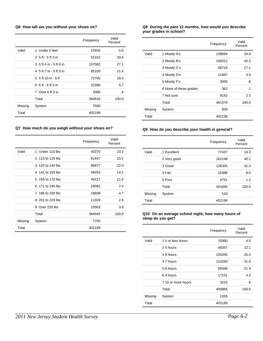#### **Q6 How tall are you without your shoes on?**

|         |                         | Frequency | Valid<br>Percent |
|---------|-------------------------|-----------|------------------|
| Valid   | 1 Under 5 feet          | 22935     | 5.8              |
|         | 2 5 ft - 5 ft 3 in      | 81315     | 20.6             |
|         | 3 5 ft 4 in - 5 ft 6 in | 107082    | 27.1             |
|         | 4 5 ft 7 in - 5 ft 9 in | 85109     | 21.6             |
|         | 5 5 ft 10 in - 6 ft     | 72705     | 18.4             |
|         | 6 6 ft - 6 ft 3 in      | 22386     | 5.7              |
|         | 7 Over 6 ft 3 in        | 3086      | .8               |
|         | Total                   | 394619    | 100.0            |
| Missing | System                  | 7580      |                  |
| Total   |                         | 402199    |                  |

#### **Q7 How much do you weigh without your shoes on?**

|         |                  | Frequency | Valid<br>Percent |
|---------|------------------|-----------|------------------|
| Valid   | 1 Under 110 lbs  | 40370     | 10.2             |
|         | 2 110 to 125 lbs | 91447     | 23.2             |
|         | 3 125 to 140 lbs | 86677     | 22.0             |
|         | 4 141 to 155 lbs | 56053     | 14.2             |
|         | 5 156 to 170 lbs | 45317     | 11.5             |
|         | 6 171 to 185 lbs | 29082     | 7.4              |
|         | 7 186 to 200 lbs | 18608     | 4.7              |
|         | 8 201 to 220 lbs | 11328     | 2.9              |
|         | 9 Over 220 lbs   | 15563     | 3.9              |
|         | Total            | 394445    | 100.0            |
| Missing | System           | 7755      |                  |
| Total   |                  | 402199    |                  |

#### **Q8 During the past 12 months, how would you describe your grades in school?**

|         |                        | Frequency | Valid<br>Percent |
|---------|------------------------|-----------|------------------|
| Valid   | 1 Mostly A's           | 138894    | 34.6             |
|         | 2 Mostly B's           | 169312    | 42.2             |
|         | 3 Mostly C's           | 68716     | 17.1             |
|         | 4 Mostly D's           | 11897     | 3.0              |
|         | 5 Mostly F's           | 3055      | .8               |
|         | 6 None of these grades | 362       | $\cdot$ 1        |
|         | 7 Not sure             | 9142      | 2.3              |
|         | Total                  | 401379    | 100.0            |
| Missing | System                 | 820       |                  |
| Total   |                        | 402199    |                  |

#### **Q9 How do you describe your health in general?**

|         |             | Frequency | Valid<br>Percent |
|---------|-------------|-----------|------------------|
| Valid   | 1 Excellent | 77437     | 19.3             |
|         | 2 Very good | 161149    | 40.1             |
|         | 3 Good      | 126355    | 31.5             |
|         | 4 Fair      | 31988     | 8.0              |
|         | 5 Poor      | 4751      | 1.2              |
|         | Total       | 401680    | 100.0            |
| Missing | System      | 519       |                  |
| Total   |             | 402199    |                  |

#### **Q10 On an average school night, how many hours of sleep do you get?**

|         |                    | Frequency | Valid<br>Percent |
|---------|--------------------|-----------|------------------|
| Valid   | 14 or less hours   | 15960     | 4.0              |
|         | 25 hours           | 48357     | 12.1             |
|         | 36 hours           | 106355    | 26.5             |
|         | 4 7 hours          | 124260    | 31.0             |
|         | 58 hours           | 85566     | 21.3             |
|         | 69 hours           | 17151     | 4.3              |
|         | 7 10 or more hours | 3215      | .8               |
|         | Total              | 400865    | 100.0            |
| Missing | System             | 1335      |                  |
| Total   |                    | 402199    |                  |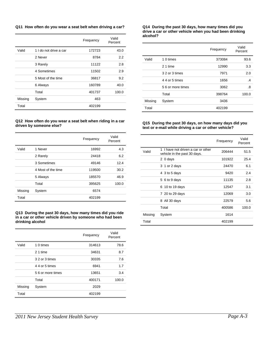#### **Q11 How often do you wear a seat belt when driving a car?**

|         |                        | Frequency | Valid<br>Percent |
|---------|------------------------|-----------|------------------|
| Valid   | 1 I do not drive a car | 172723    | 43.0             |
|         | 2 Never                | 8784      | $2.2\phantom{0}$ |
|         | 3 Rarely               | 11122     | 2.8              |
|         | 4 Sometimes            | 11502     | 2.9              |
|         | 5 Most of the time     | 36817     | 9.2              |
|         | 6 Always               | 160789    | 40.0             |
|         | Total                  | 401737    | 100.0            |
| Missing | System                 | 463       |                  |
| Total   |                        | 402199    |                  |

#### **Q12 How often do you wear a seat belt when riding in a car driven by someone else?**

|         |                    | Frequency | Valid<br>Percent |
|---------|--------------------|-----------|------------------|
| Valid   | 1 Never            | 16992     | 4.3              |
|         | 2 Rarely           | 24418     | 6.2              |
|         | 3 Sometimes        | 49146     | 12.4             |
|         | 4 Most of the time | 119500    | 30.2             |
|         | 5 Always           | 185570    | 46.9             |
|         | Total              | 395625    | 100.0            |
| Missing | System             | 6574      |                  |
| Total   |                    | 402199    |                  |

**Q13 During the past 30 days, how many times did you ride in a car or other vehicle driven by someone who had been drinking alcohol** 

|         |                   | Frequency | Valid<br>Percent |
|---------|-------------------|-----------|------------------|
| Valid   | 1 0 times         | 314613    | 78.6             |
|         | 21 time           | 34631     | 8.7              |
|         | 3 2 or 3 times    | 30335     | 7.6              |
|         | 4 4 or 5 times    | 6941      | 1.7              |
|         | 5.6 or more times | 13651     | 3.4              |
|         | Total             | 400171    | 100.0            |
| Missing | System            | 2029      |                  |
| Total   |                   | 402199    |                  |

#### **Q14 During the past 30 days, how many times did you drive a car or other vehicle when you had been drinking alcohol?**

|         |                   | Frequency | Valid<br>Percent |
|---------|-------------------|-----------|------------------|
| Valid   | 1 0 times         | 373084    | 93.6             |
|         | 2 1 time          | 12990     | 3.3              |
|         | 3 2 or 3 times    | 7971      | 2.0              |
|         | 4 4 or 5 times    | 1656      | $\cdot$          |
|         | 5 6 or more times | 3062      | .8               |
|         | Total             | 398764    | 100.0            |
| Missing | System            | 3436      |                  |
| Total   |                   | 402199    |                  |

#### **Q15 During the past 30 days, on how many days did you text or e-mail while driving a car or other vehicle?**

|         |                                                                    | Frequency | Valid<br>Percent |
|---------|--------------------------------------------------------------------|-----------|------------------|
| Valid   | 1 I have not driven a car or other<br>vehicle in the past 30 days. | 206444    | 51.5             |
|         | 2 0 days                                                           | 101922    | 25.4             |
|         | 3 1 or 2 days                                                      | 24470     | 6.1              |
|         | 4 3 to 5 days                                                      | 9420      | 2.4              |
|         | 5 6 to 9 days                                                      | 11135     | 2.8              |
|         | 6 10 to 19 days                                                    | 12547     | 3.1              |
|         | 7 20 to 29 days                                                    | 12069     | 3.0              |
|         | 8 All 30 days                                                      | 22579     | 5.6              |
|         | Total                                                              | 400586    | 100.0            |
| Missing | System                                                             | 1614      |                  |
| Total   |                                                                    | 402199    |                  |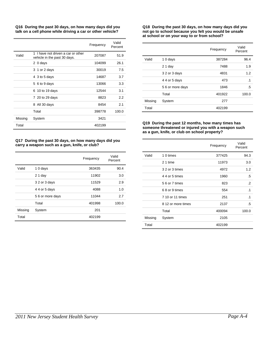**Q16 During the past 30 days, on how many days did you talk on a cell phone while driving a car or other vehicle?** 

| 1 I have not driven a car or other<br>Valid<br>207087<br>vehicle in the past 30 days.<br>2 0 days<br>104099<br>3 1 or 2 days<br>30019<br>4 3 to 5 days<br>14687<br>13066<br>5 6 to 9 days<br>6 10 to 19 days<br>12544<br>7 20 to 29 days<br>8823<br>8 All 30 days<br>8454<br>Total<br>398778<br>Missing<br>System<br>3421 |       | Frequency | Valid<br>Percent |
|---------------------------------------------------------------------------------------------------------------------------------------------------------------------------------------------------------------------------------------------------------------------------------------------------------------------------|-------|-----------|------------------|
|                                                                                                                                                                                                                                                                                                                           |       |           | 51.9             |
|                                                                                                                                                                                                                                                                                                                           |       |           | 26.1             |
|                                                                                                                                                                                                                                                                                                                           |       |           | 7.5              |
|                                                                                                                                                                                                                                                                                                                           |       |           | 3.7              |
|                                                                                                                                                                                                                                                                                                                           |       |           | 3.3              |
|                                                                                                                                                                                                                                                                                                                           |       |           | 3.1              |
|                                                                                                                                                                                                                                                                                                                           |       |           | $2.2\phantom{0}$ |
|                                                                                                                                                                                                                                                                                                                           |       |           | 2.1              |
|                                                                                                                                                                                                                                                                                                                           |       |           | 100.0            |
|                                                                                                                                                                                                                                                                                                                           |       |           |                  |
|                                                                                                                                                                                                                                                                                                                           | Total | 402199    |                  |

#### **Q17 During the past 30 days, on how many days did you carry a weapon such as a gun, knife, or club?**

|         |                 | Frequency | Valid<br>Percent |
|---------|-----------------|-----------|------------------|
| Valid   | 10 days         | 363435    | 90.4             |
|         | $21$ day        | 11902     | 3.0              |
|         | 3 2 or 3 days   | 11529     | 2.9              |
|         | 4 4 or 5 days   | 4088      | 1.0              |
|         | 56 or more days | 11044     | 2.7              |
|         | Total           | 401998    | 100.0            |
| Missing | System          | 201       |                  |
| Total   |                 | 402199    |                  |

#### **Q18 During the past 30 days, on how many days did you not go to school because you felt you would be unsafe at school or on your way to or from school?**

|         |                 | Frequency | Valid<br>Percent |
|---------|-----------------|-----------|------------------|
| Valid   | 10 days         | 387284    | 96.4             |
|         | $21$ day        | 7488      | 1.9              |
|         | 3 2 or 3 days   | 4831      | 1.2              |
|         | 4 4 or 5 days   | 473       | $\cdot$ 1        |
|         | 56 or more days | 1846      | .5               |
|         | Total           | 401922    | 100.0            |
| Missing | System          | 277       |                  |
| Total   |                 | 402199    |                  |

#### **Q19 During the past 12 months, how many times has someone threatened or injured you with a weapon such as a gun, knife, or club on school property?**

|         |                    | Frequency | Valid<br>Percent |
|---------|--------------------|-----------|------------------|
| Valid   | 1 0 times          | 377425    | 94.3             |
|         | 2 1 time           | 11973     | 3.0              |
|         | 3 2 or 3 times     | 4972      | 1.2              |
|         | 4 4 or 5 times     | 1960      | .5               |
|         | 5 6 or 7 times     | 823       | $\cdot$          |
|         | 68 or 9 times      | 554       | $\cdot$ 1        |
|         | 7 10 or 11 times   | 251       | $\cdot$ 1        |
|         | 8 12 or more times | 2137      | .5               |
|         | Total              | 400094    | 100.0            |
| Missing | System             | 2105      |                  |
| Total   |                    | 402199    |                  |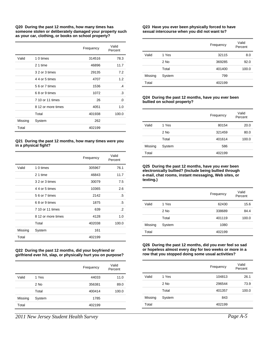**Q20 During the past 12 months, how many times has someone stolen or deliberately damaged your property such as your car, clothing, or books on school property?** 

|         |                    | Frequency | Valid<br>Percent |
|---------|--------------------|-----------|------------------|
| Valid   | 1 0 times          | 314516    | 78.3             |
|         | 2 1 time           | 46896     | 11.7             |
|         | 3 2 or 3 times     | 29135     | 7.2              |
|         | 4 4 or 5 times     | 4707      | 1.2              |
|         | 5 6 or 7 times     | 1536      | $\cdot$          |
|         | 68 or 9 times      | 1072      | .3               |
|         | 7 10 or 11 times   | 26        | .0               |
|         | 8 12 or more times | 4051      | 1.0              |
|         | Total              | 401938    | 100.0            |
| Missing | System             | 262       |                  |
| Total   |                    | 402199    |                  |

#### **Q21 During the past 12 months, how many times were you in a physical fight?**

|         |                    | Frequency | Valid<br>Percent |
|---------|--------------------|-----------|------------------|
| Valid   | 1 0 times          | 305967    | 76.1             |
|         | 2 1 time           | 46843     | 11.7             |
|         | 3 2 or 3 times     | 30079     | 7.5              |
|         | 4 4 or 5 times     | 10365     | 2.6              |
|         | 5 6 or 7 times     | 2142      | .5               |
|         | 68 or 9 times      | 1875      | .5               |
|         | 7 10 or 11 times   | 639       | $\cdot$          |
|         | 8 12 or more times | 4128      | 1.0              |
|         | Total              | 402038    | 100.0            |
| Missing | System             | 161       |                  |
| Total   |                    | 402199    |                  |

#### **Q22 During the past 12 months, did your boyfriend or girlfriend ever hit, slap, or physically hurt you on purpose?**

|         |        | Frequency | Valid<br>Percent |
|---------|--------|-----------|------------------|
| Valid   | 1 Yes  | 44033     | 11.0             |
|         | $2$ No | 356381    | 89.0             |
|         | Total  | 400414    | 100.0            |
| Missing | System | 1785      |                  |
| Total   |        | 402199    |                  |

#### **Q23 Have you ever been physically forced to have sexual intercourse when you did not want to?**

|         |        | Frequency | Valid<br>Percent |
|---------|--------|-----------|------------------|
| Valid   | 1 Yes  | 32115     | 8.0              |
|         | 2 No   | 369285    | 92.0             |
|         | Total  | 401400    | 100.0            |
| Missing | System | 799       |                  |
| Total   |        | 402199    |                  |

#### **Q24 During the past 12 months, have you ever been bullied on school property?**

|         |        | Frequency | Valid<br>Percent |
|---------|--------|-----------|------------------|
| Valid   | 1 Yes  | 80154     | 20.0             |
|         | 2 No   | 321459    | 80.0             |
|         | Total  | 401614    | 100.0            |
| Missing | System | 586       |                  |
| Total   |        | 402199    |                  |

**Q25 During the past 12 months, have you ever been electronically bullied? (Include being bullied through e-mail, chat rooms, instant messaging, Web sites, or texting.)** 

|         |        | Frequency | Valid<br>Percent |
|---------|--------|-----------|------------------|
| Valid   | 1 Yes  | 62430     | 15.6             |
|         | $2$ No | 338689    | 84.4             |
|         | Total  | 401119    | 100.0            |
| Missing | System | 1080      |                  |
| Total   |        | 402199    |                  |

#### **Q26 During the past 12 months, did you ever feel so sad or hopeless almost every day for two weeks or more in a row that you stopped doing some usual activities?**

|         |        | Frequency | Valid<br>Percent |
|---------|--------|-----------|------------------|
| Valid   | 1 Yes  | 104813    | 26.1             |
|         | 2 No   | 296544    | 73.9             |
|         | Total  | 401357    | 100.0            |
| Missing | System | 843       |                  |
| Total   |        | 402199    |                  |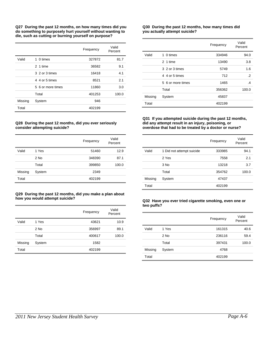**Q27 During the past 12 months, on how many times did you do something to purposely hurt yourself without wanting to die, such as cutting or burning yourself on purpose?** 

|         |                   | Frequency | Valid<br>Percent |
|---------|-------------------|-----------|------------------|
| Valid   | 1 0 times         | 327872    | 81.7             |
|         | 2 1 time          | 36582     | 9.1              |
|         | 3 2 or 3 times    | 16418     | 4.1              |
|         | 4 4 or 5 times    | 8521      | 2.1              |
|         | 5 6 or more times | 11860     | 3.0              |
|         | Total             | 401253    | 100.0            |
| Missing | System            | 946       |                  |
| Total   |                   | 402199    |                  |

#### **Q28 During the past 12 months, did you ever seriously consider attempting suicide?**

|         |        | Frequency | Valid<br>Percent |
|---------|--------|-----------|------------------|
| Valid   | 1 Yes  | 51460     | 12.9             |
|         | $2$ No | 348390    | 87.1             |
|         | Total  | 399850    | 100.0            |
| Missing | System | 2349      |                  |
| Total   |        | 402199    |                  |

#### **Q29 During the past 12 months, did you make a plan about how you would attempt suicide?**

|         |        | Frequency | Valid<br>Percent |
|---------|--------|-----------|------------------|
| Valid   | 1 Yes  | 43621     | 10.9             |
|         | $2$ No | 356997    | 89.1             |
|         | Total  | 400617    | 100.0            |
| Missing | System | 1582      |                  |
| Total   |        | 402199    |                  |

#### **Q30 During the past 12 months, how many times did you actually attempt suicide?**

|         |                   | Frequency | Valid<br>Percent |
|---------|-------------------|-----------|------------------|
| Valid   | 1 0 times         | 334946    | 94.0             |
|         | 2 1 time          | 13490     | 3.8              |
|         | 3 2 or 3 times    | 5749      | 1.6              |
|         | 4 4 or 5 times    | 712       | .2               |
|         | 5 6 or more times | 1465      | .4               |
|         | Total             | 356362    | 100.0            |
| Missing | System            | 45837     |                  |
| Total   |                   | 402199    |                  |

#### **Q31 If you attempted suicide during the past 12 months, did any attempt result in an injury, poisoning, or overdose that had to be treated by a doctor or nurse?**

|         |                           | Frequency | Valid<br>Percent |
|---------|---------------------------|-----------|------------------|
| Valid   | 1 Did not attempt suicide | 333985    | 94.1             |
|         | 2 Yes                     | 7558      | 2.1              |
|         | $3$ No                    | 13218     | 3.7              |
|         | Total                     | 354762    | 100.0            |
| Missing | System                    | 47437     |                  |
| Total   |                           | 402199    |                  |

#### **Q32 Have you ever tried cigarette smoking, even one or two puffs?**

|         |        | Frequency | Valid<br>Percent |
|---------|--------|-----------|------------------|
| Valid   | 1 Yes  | 161315    | 40.6             |
|         | $2$ No | 236116    | 59.4             |
|         | Total  | 397431    | 100.0            |
| Missing | System | 4768      |                  |
| Total   |        | 402199    |                  |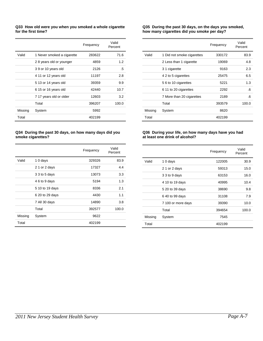#### **Q33 How old were you when you smoked a whole cigarette for the first time?**

|         |                            | Frequency | Valid<br>Percent |
|---------|----------------------------|-----------|------------------|
| Valid   | 1 Never smoked a cigarette | 283622    | 71.6             |
|         | 28 years old or younger    | 4859      | 1.2              |
|         | 39 or 10 years old         | 2126      | .5               |
|         | 4 11 or 12 years old       | 11197     | 2.8              |
|         | 5 13 or 14 years old       | 39359     | 9.9              |
|         | 6 15 or 16 years old       | 42440     | 10.7             |
|         | 7 17 years old or older    | 12603     | 3.2              |
|         | Total                      | 396207    | 100.0            |
| Missing | System                     | 5992      |                  |
| Total   |                            | 402199    |                  |

#### **Q34 During the past 30 days, on how many days did you smoke cigarettes?**

|         |                 | Frequency | Valid<br>Percent |
|---------|-----------------|-----------|------------------|
| Valid   | 10 days         | 329326    | 83.9             |
|         | 2 1 or 2 days   | 17327     | 4.4              |
|         | 3 3 to 5 days   | 13073     | 3.3              |
|         | 4 6 to 9 days   | 5194      | 1.3              |
|         | 5 10 to 19 days | 8336      | 2.1              |
|         | 6 20 to 29 days | 4430      | 1.1              |
|         | 7 All 30 days   | 14890     | 3.8              |
|         | Total           | 392577    | 100.0            |
| Missing | System          | 9622      |                  |
| Total   |                 | 402199    |                  |

#### **Q35 During the past 30 days, on the days you smoked, how many cigarettes did you smoke per day?**

|         |                            | Frequency | Valid<br>Percent |
|---------|----------------------------|-----------|------------------|
| Valid   | 1 Did not smoke cigarettes | 330172    | 83.9             |
|         | 2 Less than 1 cigarette    | 19069     | 4.8              |
|         | 3 1 cigarette              | 9163      | 2.3              |
|         | 4 2 to 5 cigarettes        | 25475     | 6.5              |
|         | 5 6 to 10 cigarettes       | 5221      | 1.3              |
|         | 6 11 to 20 cigarettes      | 2292      | .6               |
|         | 7 More than 20 cigarettes  | 2189      | .6               |
|         | Total                      | 393579    | 100.0            |
| Missing | System                     | 8620      |                  |
| Total   |                            | 402199    |                  |

#### **Q36 During your life, on how many days have you had at least one drink of alcohol?**

|         |                    | Frequency | Valid<br>Percent |
|---------|--------------------|-----------|------------------|
| Valid   | 10 days            | 122005    | 30.9             |
|         | 2 1 or 2 days      | 59313     | 15.0             |
|         | 3 3 to 9 days      | 63153     | 16.0             |
|         | 4 10 to 19 days    | 40995     | 10.4             |
|         | 5 20 to 39 days    | 38690     | 9.8              |
|         | 6 40 to 99 days    | 31108     | 7.9              |
|         | 7 100 or more days | 39390     | 10.0             |
|         | Total              | 394654    | 100.0            |
| Missing | System             | 7545      |                  |
| Total   |                    | 402199    |                  |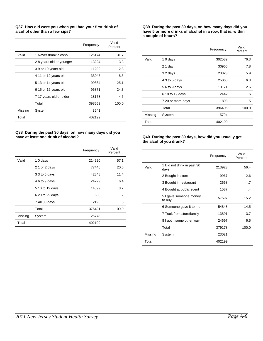#### **Q37 How old were you when you had your first drink of alcohol other than a few sips?**

|         |                         | Frequency | Valid<br>Percent |
|---------|-------------------------|-----------|------------------|
| Valid   | 1 Never drank alcohol   | 126174    | 31.7             |
|         | 28 years old or younger | 13224     | 3.3              |
|         | 39 or 10 years old      | 11202     | 2.8              |
|         | 4 11 or 12 years old    | 33045     | 8.3              |
|         | 5 13 or 14 years old    | 99864     | 25.1             |
|         | 6 15 or 16 years old    | 96871     | 24.3             |
|         | 7 17 years old or older | 18178     | 4.6              |
|         | Total                   | 398559    | 100.0            |
| Missing | System                  | 3641      |                  |
| Total   |                         | 402199    |                  |

#### **Q38 During the past 30 days, on how many days did you have at least one drink of alcohol?**

|         |                 | Frequency | Valid<br>Percent |
|---------|-----------------|-----------|------------------|
| Valid   | 10 days         | 214920    | 57.1             |
|         | 2 1 or 2 days   | 77446     | 20.6             |
|         | 3 3 to 5 days   | 42848     | 11.4             |
|         | 4 6 to 9 days   | 24229     | 6.4              |
|         | 5 10 to 19 days | 14099     | 3.7              |
|         | 6 20 to 29 days | 683       | $\cdot$          |
|         | 7 All 30 days   | 2195      | .6               |
|         | Total           | 376421    | 100.0            |
| Missing | System          | 25778     |                  |
| Total   |                 | 402199    |                  |

#### **Q39 During the past 30 days, on how many days did you have 5 or more drinks of alcohol in a row, that is, within a couple of hours?**

|         |                   | Frequency | Valid<br>Percent |
|---------|-------------------|-----------|------------------|
| Valid   | 10 days           | 302539    | 76.3             |
|         | $21$ day          | 30966     | 7.8              |
|         | 32 days           | 23323     | 5.9              |
|         | 4 3 to 5 days     | 25066     | 6.3              |
|         | 56 to 9 days      | 10171     | 2.6              |
|         | 6 10 to 19 days   | 2442      | .6               |
|         | 7 20 or more days | 1898      | .5               |
|         | Total             | 396405    | 100.0            |
| Missing | System            | 5794      |                  |
| Total   |                   | 402199    |                  |

#### **Q40 During the past 30 days, how did you usually get the alcohol you drank?**

|         |                                    | Frequency | Valid<br>Percent |
|---------|------------------------------------|-----------|------------------|
| Valid   | 1 Did not drink in past 30<br>days | 213923    | 56.4             |
|         | 2 Bought in store                  | 9967      | 2.6              |
|         | 3 Bought in restaurant             | 2668      | .7               |
|         | 4 Bought at public event           | 1587      | $\cdot$          |
|         | 5 I gave someone money<br>to buy   | 57597     | 15.2             |
|         | 6 Someone gave it to me            | 54848     | 14.5             |
|         | 7 Took from store/family           | 13891     | 3.7              |
|         | 8 I got it some other way          | 24697     | 6.5              |
|         | Total                              | 379178    | 100.0            |
| Missing | System                             | 23021     |                  |
| Total   |                                    | 402199    |                  |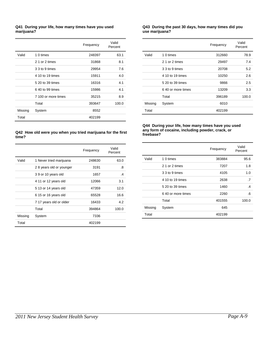#### **Q41 During your life, how many times have you used marijuana?**

|         |                     | Frequency | Valid<br>Percent |
|---------|---------------------|-----------|------------------|
| Valid   | 1 0 times           | 248397    | 63.1             |
|         | 2 1 or 2 times      | 31868     | 8.1              |
|         | 3 3 to 9 times      | 29954     | 7.6              |
|         | 4 10 to 19 times    | 15911     | 4.0              |
|         | 5 20 to 39 times    | 16316     | 4.1              |
|         | 6 40 to 99 times    | 15986     | 4.1              |
|         | 7 100 or more times | 35215     | 8.9              |
|         | Total               | 393647    | 100.0            |
| Missing | System              | 8552      |                  |
| Total   |                     | 402199    |                  |

#### **Q43 During the past 30 days, how many times did you use marijuana?**

|         |                    | Frequency | Valid<br>Percent |
|---------|--------------------|-----------|------------------|
| Valid   | 1 0 times          | 312660    | 78.9             |
|         | 2 1 or 2 times     | 29497     | 7.4              |
|         | 3 3 to 9 times     | 20708     | 5.2              |
|         | 4 10 to 19 times   | 10250     | 2.6              |
|         | 5 20 to 39 times   | 9866      | 2.5              |
|         | 6.40 or more times | 13209     | 3.3              |
|         | Total              | 396189    | 100.0            |
| Missing | System             | 6010      |                  |
| Total   |                    | 402199    |                  |

#### **Q44 During your life, how many times have you used any form of cocaine, including powder, crack, or freebase?**

|         |                    | Frequency | Valid<br>Percent |
|---------|--------------------|-----------|------------------|
| Valid   | 1 0 times          | 383884    | 95.6             |
|         | 2 1 or 2 times     | 7207      | 1.8              |
|         | 3 3 to 9 times     | 4105      | 1.0              |
|         | 4 10 to 19 times   | 2638      | .7               |
|         | 5 20 to 39 times   | 1460      | $\cdot$          |
|         | 6.40 or more times | 2260      | .6               |
|         | Total              | 401555    | 100.0            |
| Missing | System             | 645       |                  |
| Total   |                    | 402199    |                  |

#### **Q42 How old were you when you tried marijuana for the first time?**

|         |                         | Frequency | Valid<br>Percent |
|---------|-------------------------|-----------|------------------|
| Valid   | 1 Never tried marijuana | 248630    | 63.0             |
|         | 28 years old or younger | 3191      | .8               |
|         | 39 or 10 years old      | 1657      | $\cdot$          |
|         | 4 11 or 12 years old    | 12066     | 3.1              |
|         | 5 13 or 14 years old    | 47359     | 12.0             |
|         | 6 15 or 16 years old    | 65528     | 16.6             |
|         | 7 17 years old or older | 16433     | 4.2              |
|         | Total                   | 394864    | 100.0            |
| Missing | System                  | 7336      |                  |
| Total   |                         | 402199    |                  |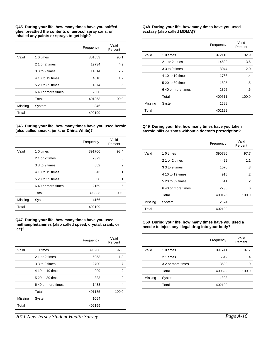**Q45 During your life, how many times have you sniffed glue, breathed the contents of aerosol spray cans, or inhaled any paints or sprays to get high?** 

|         |                    | Frequency | Valid<br>Percent |
|---------|--------------------|-----------|------------------|
| Valid   | 1 0 times          | 361553    | 90.1             |
|         | 2 1 or 2 times     | 19734     | 4.9              |
|         | 3 3 to 9 times     | 11014     | 2.7              |
|         | 4 10 to 19 times   | 4818      | 1.2              |
|         | 5 20 to 39 times   | 1874      | .5               |
|         | 6.40 or more times | 2360      | .6               |
|         | Total              | 401353    | 100.0            |
| Missing | System             | 846       |                  |
| Total   |                    | 402199    |                  |

#### **Q46 During your life, how many times have you used heroin (also called smack, junk, or China White)?**

|         |                    | Frequency | Valid<br>Percent |
|---------|--------------------|-----------|------------------|
| Valid   | 1 0 times          | 391706    | 98.4             |
|         | 2 1 or 2 times     | 2373      | .6               |
|         | 3 3 to 9 times     | 882       | $\cdot$ .2       |
|         | 4 10 to 19 times   | 343       | $\cdot$ 1        |
|         | 5 20 to 39 times   | 560       | $\cdot$ 1        |
|         | 6.40 or more times | 2169      | .5               |
|         | Total              | 398033    | 100.0            |
| Missing | System             | 4166      |                  |
| Total   |                    | 402199    |                  |

#### **Q47 During your life, how many times have you used methamphetamines (also called speed, crystal, crank, or ice)?**

|         |                    | Frequency | Valid<br>Percent |
|---------|--------------------|-----------|------------------|
| Valid   | 1 0 times          | 390206    | 97.3             |
|         | 2 1 or 2 times     | 5053      | 1.3              |
|         | 3 3 to 9 times     | 2700      | .7               |
|         | 4 10 to 19 times   | 909       | $\cdot$          |
|         | 5 20 to 39 times   | 833       | $\cdot$ .2       |
|         | 6.40 or more times | 1433      | $\cdot$ 4        |
|         | Total              | 401135    | 100.0            |
| Missing | System             | 1064      |                  |
| Total   |                    | 402199    |                  |

#### **Q48 During your life, how many times have you used ecstasy (also called MDMA)?**

|         |                    | Frequency | Valid<br>Percent |
|---------|--------------------|-----------|------------------|
| Valid   | 1 0 times          | 372110    | 92.9             |
|         | 2 1 or 2 times     | 14592     | 3.6              |
|         | 3 3 to 9 times     | 8044      | 2.0              |
|         | 4 10 to 19 times   | 1736      | $\cdot$          |
|         | 5 20 to 39 times   | 1805      | .5               |
|         | 6.40 or more times | 2325      | .6               |
|         | Total              | 400611    | 100.0            |
| Missing | System             | 1588      |                  |
| Total   |                    | 402199    |                  |

#### **Q49 During your life, how many times have you taken steroid pills or shots without a doctor's prescription?**

|         |                    | Frequency | Valid<br>Percent |
|---------|--------------------|-----------|------------------|
| Valid   | 1 0 times          | 390786    | 97.7             |
|         | 2 1 or 2 times     | 4499      | 1.1              |
|         | 3 3 to 9 times     | 1076      | .3               |
|         | 4 10 to 19 times   | 918       | .2               |
|         | 5 20 to 39 times   | 611       | $\cdot$ .2       |
|         | 6.40 or more times | 2236      | .6               |
|         | Total              | 400126    | 100.0            |
| Missing | System             | 2074      |                  |
| Total   |                    | 402199    |                  |

#### **Q50 During your life, how many times have you used a needle to inject any illegal drug into your body?**

|         |                   | Frequency | Valid<br>Percent |
|---------|-------------------|-----------|------------------|
| Valid   | 1 0 times         | 391741    | 97.7             |
|         | 2 1 times         | 5642      | 1.4              |
|         | 3 2 or more times | 3509      | .9               |
|         | Total             | 400892    | 100.0            |
| Missing | System            | 1308      |                  |
|         | Total             | 402199    |                  |

*2011 New Jersey Student Health Survey Page A-10*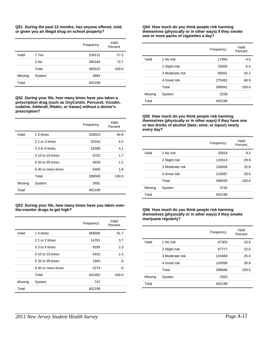**Q51 During the past 12 months, has anyone offered, sold, or given you an illegal drug on school property?**

|         |        | Frequency | Valid<br>Percent |
|---------|--------|-----------|------------------|
| Valid   | 1 Yes  | 109131    | 27.3             |
|         | 2 No   | 290184    | 72.7             |
|         | Total  | 399315    | 100.0            |
| Missing | System | 2884      |                  |
| Total   |        | 402199    |                  |

**Q52 During your life, how many times have you taken a prescription drug (such as OxyContin, Percocet, Vicodin, codeine, Adderall, Ritalin, or Xanax) without a doctor's prescription?**

|         |                    | Frequency | Valid<br>Percent |
|---------|--------------------|-----------|------------------|
| Valid   | 1 0 times          | 339023    | 84.9             |
|         | 2 1 or 2 times     | 26163     | 6.5              |
|         | 3 3 to 9 times     | 16286     | 4.1              |
|         | 4 10 to 19 times   | 6702      | 1.7              |
|         | 5 20 to 39 times   | 4929      | 1.2              |
|         | 6.40 or more times | 6405      | 1.6              |
|         | Total              | 399509    | 100.0            |
| Missing | System             | 2691      |                  |
| Total   |                    | 402199    |                  |

#### **Q53 During your life, how many times have you taken overthe-counter drugs to get high?**

|         |                    | Frequency | Valid<br>Percent |
|---------|--------------------|-----------|------------------|
| Valid   | 1 0 times          | 368006    | 91.7             |
|         | 2 1 or 2 times     | 14781     | 3.7              |
|         | 3 3 to 9 times     | 9295      | 2.3              |
|         | 4 10 to 19 times   | 5432      | 1.4              |
|         | 5 20 to 39 times   | 1665      | $\overline{.4}$  |
|         | 6.40 or more times | 2274      | .6               |
|         | Total              | 401452    | 100.0            |
| Missing | System             | 747       |                  |
| Total   |                    | 402199    |                  |

#### **Q54 How much do you think people risk harming themselves (physically or in other ways) if they smoke one or more packs of cigarettes a day?**

|         |                 | Frequency | Valid<br>Percent |
|---------|-----------------|-----------|------------------|
| Valid   | 1 No risk       | 17993     | 4.5              |
|         | 2 Slight risk   | 25655     | 6.4              |
|         | 3 Moderate risk | 80831     | 20.2             |
|         | 4 Great risk    | 275462    | 68.9             |
|         | Total           | 399941    | 100.0            |
| Missing | System          | 2259      |                  |
| Total   |                 | 402199    |                  |

**Q55 How much do you think people risk harming themselves (physically or in other ways) if they have one or two drinks of alcohol (beer, wine, or liquor) nearly every day?** 

|         |                 | Frequency | Valid<br>Percent |
|---------|-----------------|-----------|------------------|
| Valid   | 1 No risk       | 32818     | 8.2              |
|         | 2 Slight risk   | 119313    | 29.9             |
|         | 3 Moderate risk | 130656    | 32.8             |
|         | 4 Great risk    | 115667    | 29.0             |
|         | Total           | 398455    | 100.0            |
| Missing | System          | 3745      |                  |
| Total   |                 | 402199    |                  |

#### **Q56 How much do you think people risk harming themselves (physically or in other ways) if they smoke marijuana regularly?**

|         |                 | Frequency | Valid<br>Percent |
|---------|-----------------|-----------|------------------|
| Valid   | 1 No risk       | 67303     | 16.8             |
|         | 2 Slight risk   | 87777     | 22.0             |
|         | 3 Moderate risk | 101668    | 25.4             |
|         | 4 Great risk    | 143099    | 35.8             |
|         | Total           | 399846    | 100.0            |
| Missing | System          | 2353      |                  |
| Total   |                 | 402199    |                  |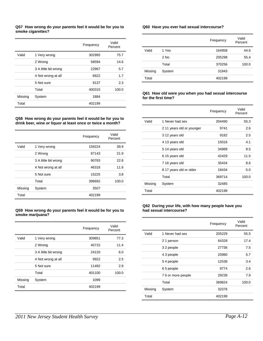#### **Q57 How wrong do your parents feel it would be for you to smoke cigarettes?**

|         |                      | Frequency | Valid<br>Percent |
|---------|----------------------|-----------|------------------|
| Valid   | 1 Very wrong         | 302995    | 75.7             |
|         | 2 Wrong              | 58594     | 14.6             |
|         | 3 A little bit wrong | 22967     | 5.7              |
|         | 4 Not wrong at all   | 6622      | 1.7              |
|         | 5 Not sure           | 9137      | 2.3              |
|         | Total                | 400315    | 100.0            |
| Missing | System               | 1884      |                  |
| Total   |                      | 402199    |                  |

**Q58 How wrong do your parents feel it would be for you to drink beer, wine or liquor at least once or twice a month?** 

|         |                      | Frequency | Valid<br>Percent |
|---------|----------------------|-----------|------------------|
| Valid   | 1 Very wrong         | 159224    | 39.9             |
|         | 2 Wrong              | 87143     | 21.9             |
|         | 3 A little bit wrong | 90783     | 22.8             |
|         | 4 Not wrong at all   | 46318     | 11.6             |
|         | 5 Not sure           | 15225     | 3.8              |
|         | Total                | 398692    | 100.0            |
| Missing | System               | 3507      |                  |
| Total   |                      | 402199    |                  |

#### **Q59 How wrong do your parents feel it would be for you to smoke marijuana?**

|         |                      | Frequency | Valid<br>Percent |
|---------|----------------------|-----------|------------------|
| Valid   | 1 Very wrong         | 309851    | 77.3             |
|         | 2 Wrong              | 45715     | 11.4             |
|         | 3 A little bit wrong | 24120     | 6.0              |
|         | 4 Not wrong at all   | 9922      | 2.5              |
|         | 5 Not sure           | 11492     | 2.9              |
|         | Total                | 401100    | 100.0            |
| Missing | System               | 1099      |                  |
| Total   |                      | 402199    |                  |

#### **Q60 Have you ever had sexual intercourse?**

|         |        | Frequency | Valid<br>Percent |
|---------|--------|-----------|------------------|
| Valid   | 1 Yes  | 164958    | 44.6             |
|         | $2$ No | 205298    | 55.4             |
|         | Total  | 370256    | 100.0            |
| Missing | System | 31943     |                  |
| Total   |        | 402199    |                  |

#### **Q61 How old were you when you had sexual intercourse for the first time?**

|         |                           | Frequency | Valid<br>Percent |
|---------|---------------------------|-----------|------------------|
| Valid   | 1 Never had sex           | 204490    | 55.3             |
|         | 2 11 years old or younger | 9741      | 2.6              |
|         | 3 12 years old            | 9182      | 2.5              |
|         | 4 13 years old            | 15016     | 4.1              |
|         | 5 14 years old            | 34989     | 9.5              |
|         | 6 15 years old            | 42429     | 11.5             |
|         | 7 16 years old            | 35434     | 9.6              |
|         | 8 17 years old or older   | 18434     | 5.0              |
|         | Total                     | 369714    | 100.0            |
| Missing | System                    | 32485     |                  |
| Total   |                           | 402199    |                  |

#### **Q62 During your life, with how many people have you had sexual intercourse?**

|         |                   | Frequency | Valid<br>Percent |
|---------|-------------------|-----------|------------------|
| Valid   | 1 Never had sex   | 205229    | 55.5             |
|         | 21 person         | 64328     | 17.4             |
|         | 32 people         | 27736     | 7.5              |
|         | 4 3 people        | 20980     | 5.7              |
|         | 54 people         | 12538     | 3.4              |
|         | 65 people         | 9774      | 2.6              |
|         | 76 or more people | 29239     | 7.9              |
|         | Total             | 369824    | 100.0            |
| Missing | System            | 32376     |                  |
| Total   |                   | 402199    |                  |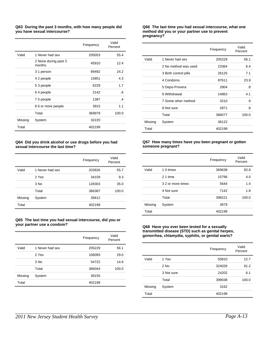#### **Q63 During the past 3 months, with how many people did you have sexual intercourse?**

|         |                                | Frequency | Valid<br>Percent |
|---------|--------------------------------|-----------|------------------|
| Valid   | 1 Never had sex                | 205053    | 55.4             |
|         | 2 None during past 3<br>months | 45910     | 12.4             |
|         | 3 1 person                     | 89492     | 24.2             |
|         | 4 2 people                     | 15851     | 4.3              |
|         | 53 people                      | 6229      | 1.7              |
|         | 64 people                      | 2142      | .6               |
|         | 75 people                      | 1387      | $\cdot$          |
|         | 8 6 or more people             | 3915      | 1.1              |
|         | Total                          | 369979    | 100.0            |
| Missing | System                         | 32220     |                  |
| Total   |                                | 402199    |                  |

#### **Q64 Did you drink alcohol or use drugs before you had sexual intercourse the last time?**

|         |                 | Frequency | Valid<br>Percent |
|---------|-----------------|-----------|------------------|
| Valid   | 1 Never had sex | 203926    | 55.7             |
|         | 2 Yes           | 34159     | 9.3              |
|         | $3$ No          | 128303    | 35.0             |
|         | Total           | 366387    | 100.0            |
| Missing | System          | 35812     |                  |
| Total   |                 | 402199    |                  |

#### **Q65 The last time you had sexual intercourse, did you or your partner use a condom?**

|         |                 | Frequency | Valid<br>Percent |
|---------|-----------------|-----------|------------------|
| Valid   | 1 Never had sex | 205229    | 56.1             |
|         | 2 Yes           | 106093    | 29.0             |
|         | $3$ No          | 54722     | 14.9             |
|         | Total           | 366044    | 100.0            |
| Missing | System          | 36155     |                  |
| Total   |                 | 402199    |                  |

#### **Q66 The last time you had sexual intercourse, what one method did you or your partner use to prevent pregnancy?**

|         |                       | Frequency | Valid<br>Percent |
|---------|-----------------------|-----------|------------------|
| Valid   | 1 Never had sex       | 205229    | 56.1             |
|         | 2 No method was used  | 23364     | 6.4              |
|         | 3 Birth control pills | 26125     | 7.1              |
|         | 4 Condoms             | 87611     | 23.9             |
|         | 5 Depo-Provera        | 2804      | .8               |
|         | 6 Withdrawal          | 14863     | 4.1              |
|         | 7 Some other method   | 3210      | .9               |
|         | 8 Not sure            | 2871      | .8               |
|         | Total                 | 366077    | 100.0            |
| Missing | System                | 36122     |                  |
| Total   |                       | 402199    |                  |

#### **Q67 How many times have you been pregnant or gotten someone pregnant?**

|         |                   | Frequency | Valid<br>Percent |
|---------|-------------------|-----------|------------------|
| Valid   | 1 0 times         | 369638    | 92.8             |
|         | 2 1 time          | 15796     | 4.0              |
|         | 3 2 or more times | 5644      | 1.4              |
|         | 4 Not sure        | 7142      | 1.8              |
|         | Total             | 398221    | 100.0            |
| Missing | System            | 3979      |                  |
| Total   |                   | 402199    |                  |

#### **Q68 Have you ever been tested for a sexually transmitted disease (STD) such as genital herpes, gonorrhea, chlamydia, syphilis, or genital warts?**

|         |            | Frequency | Valid<br>Percent |
|---------|------------|-----------|------------------|
| Valid   | 1 Yes      | 50810     | 12.7             |
|         | $2$ No     | 324026    | 81.2             |
|         | 3 Not sure | 24202     | 6.1              |
|         | Total      | 399038    | 100.0            |
| Missing | System     | 3162      |                  |
| Total   |            | 402199    |                  |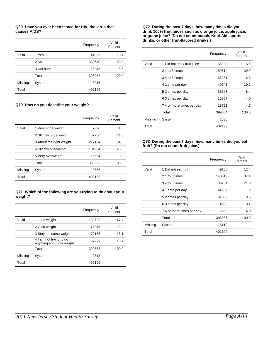#### **Q69 Have you ever been tested for HIV, the virus that causes AIDS?**

|         |            | Frequency | Valid<br>Percent |
|---------|------------|-----------|------------------|
| Valid   | 1 Yes      | 41399     | 10.4             |
|         | $2$ No     | 330640    | 83.0             |
|         | 3 Not sure | 26245     | 6.6              |
|         | Total      | 398284    | 100.0            |
| Missing | System     | 3916      |                  |
| Total   |            | 402199    |                  |

#### **Q70 How do you describe your weight?**

|         |                          | Frequency | Valid<br>Percent |
|---------|--------------------------|-----------|------------------|
| Valid   | 1 Very underweight       | 7090      | 1.8              |
|         | 2 Slightly underweight   | 57750     | 14.5             |
|         | 3 About the right weight | 217104    | 54.3             |
|         | 4 Slightly overweight    | 101934    | 25.5             |
|         | 5 Very overweight        | 15654     | 3.9              |
|         | Total                    | 399533    | 100.0            |
| Missing | System                   | 2666      |                  |
| Total   |                          | 402199    |                  |

#### **Q71 Which of the following are you trying to do about your weight?**

|         |                                                     | Frequency | Valid<br>Percent |
|---------|-----------------------------------------------------|-----------|------------------|
| Valid   | 1 Lose weight                                       | 189722    | 47.4             |
|         | 2 Gain weight                                       | 75046     | 18.8             |
|         | 3 Stay the same weight                              | 72185     | 18.1             |
|         | 4 I am not trying to do<br>anything about my weight | 62929     | 15.7             |
|         | Total                                               | 399882    | 100.0            |
| Missing | System                                              | 2318      |                  |
| Total   |                                                     | 402199    |                  |

#### **Q72 During the past 7 days, how many times did you drink 100% fruit juices such as orange juice, apple juice, or grape juice? (Do not count punch, Kool-Aid, sports drinks, or other fruit-flavored drinks.)**

|         |                             | Frequency | Valid<br>Percent |
|---------|-----------------------------|-----------|------------------|
| Valid   | 1 Did not drink fruit juice | 65928     | 16.5             |
|         | 2 1 to 3 times              | 159614    | 39.9             |
|         | 34 to 6 times               | 65281     | 16.3             |
|         | 4 1 time per day            | 40641     | 10.2             |
|         | 52 times per day            | 33523     | 8.4              |
|         | 6 3 times per day           | 15857     | 4.0              |
|         | 74 or more times per day    | 18721     | 4.7              |
|         | Total                       | 399564    | 100.0            |
| Missing | System                      | 2635      |                  |
| Total   |                             | 402199    |                  |

#### **Q73 During the past 7 days, how many times did you eat fruit? (Do not count fruit juice.)**

|         |                           | Frequency | Valid<br>Percent |
|---------|---------------------------|-----------|------------------|
| Valid   | 1 Did not eat fruit       | 49150     | 12.4             |
|         | 2 1 to 3 times            | 148313    | 37.4             |
|         | 34 to 6 times             | 86254     | 21.8             |
|         | 4 1 time per day          | 44687     | 11.3             |
|         | 52 times per day          | 37509     | 9.5              |
|         | 63 times per day          | 14522     | 3.7              |
|         | 7 4 or more times per day | 15653     | 4.0              |
|         | Total                     | 396087    | 100.0            |
| Missing | System                    | 6112      |                  |
| Total   |                           | 402199    |                  |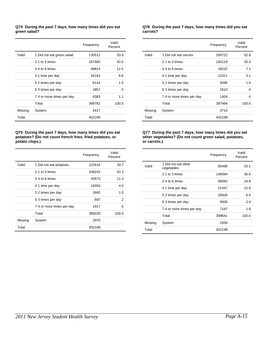#### **Q74 During the past 7 days, how many times did you eat green salad?**

|         |                           | Frequency | Valid<br>Percent |
|---------|---------------------------|-----------|------------------|
| Valid   | 1 Did not eat green salad | 135512    | 33.9             |
|         | 2 1 to 3 times            | 167900    | 42.0             |
|         | 34 to 6 times             | 49814     | 12.5             |
|         | 4 1 time per day          | 34183     | 8.6              |
|         | 52 times per day          | 6134      | 1.5              |
|         | 63 times per day          | 1857      | .5               |
|         | 74 or more times per day  | 4383      | 1.1              |
|         | Total                     | 399782    | 100.0            |
| Missing | System                    | 2417      |                  |
| Total   |                           | 402199    |                  |

#### **Q75 During the past 7 days, how many times did you eat potatoes? (Do not count french fries, fried potatoes, or potato chips.)**

|         |                           | Frequency | Valid<br>Percent |
|---------|---------------------------|-----------|------------------|
| Valid   | 1 Did not eat potatoes    | 122616    | 30.7             |
|         | 2 1 to 3 times            | 208242    | 52.2             |
|         | 34 to 6 times             | 45673     | 11.4             |
|         | 4 1 time per day          | 16093     | 4.0              |
|         | 52 times per day          | 3992      | 1.0              |
|         | 63 times per day          | 697       | $\cdot$          |
|         | 7 4 or more times per day | 1917      | .5               |
|         | Total                     | 399229    | 100.0            |
| Missing | System                    | 2970      |                  |
| Total   |                           | 402199    |                  |

#### **Q76 During the past 7 days, how many times did you eat carrots?**

|         |                          | Frequency | Valid<br>Percent |
|---------|--------------------------|-----------|------------------|
| Valid   | 1 Did not eat carrots    | 209722    | 52.8             |
|         | 2 1 to 3 times           | 140119    | 35.3             |
|         | 34 to 6 times            | 28222     | 7.1              |
|         | 4 1 time per day         | 12311     | 3.1              |
|         | 52 times per day         | 4096      | 1.0              |
|         | 63 times per day         | 1610      | .4               |
|         | 74 or more times per day | 1404      | .4               |
|         | Total                    | 397484    | 100.0            |
| Missing | System                   | 4715      |                  |
| Total   |                          | 402199    |                  |

#### **Q77 During the past 7 days, how many times did you eat other vegetables? (Do not count green salad, potatoes, or carrots.)**

|         |                                   | Frequency | Valid<br>Percent |
|---------|-----------------------------------|-----------|------------------|
| Valid   | 1 Did not eat other<br>vegetables | 60496     | 15.1             |
|         | 2 1 to 3 times                    | 146094    | 36.6             |
|         | 34 to 6 times                     | 99083     | 24.8             |
|         | 4 1 time per day                  | 51447     | 12.9             |
|         | 52 times per day                  | 25826     | 6.5              |
|         | 63 times per day                  | 9508      | 2.4              |
|         | 7 4 or more times per day         | 7187      | 1.8              |
|         | Total                             | 399641    | 100.0            |
| Missing | System                            | 2558      |                  |
| Total   |                                   | 402199    |                  |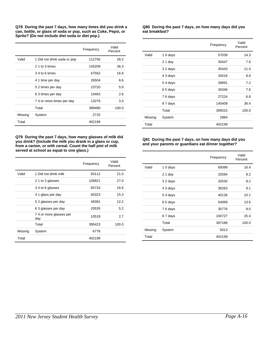**Q78 During the past 7 days, how many times did you drink a can, bottle, or glass of soda or pop, such as Coke, Pepsi, or Sprite? (Do not include diet soda or diet pop.)**

|         |                             | Frequency | Valid<br>Percent |
|---------|-----------------------------|-----------|------------------|
| Valid   | 1 Did not drink soda or pop | 112756    | 28.2             |
|         | 2 1 to 3 times              | 145209    | 36.3             |
|         | 34 to 6 times               | 67562     | 16.9             |
|         | 4 1 time per day            | 26504     | 6.6              |
|         | 5 2 times per day           | 23720     | 5.9              |
|         | 63 times per day            | 10463     | 2.6              |
|         | 74 or more times per day    | 13276     | 3.3              |
|         | Total                       | 399490    | 100.0            |
| Missing | System                      | 2710      |                  |
| Total   |                             | 402199    |                  |

**Q79 During the past 7 days, how many glasses of milk did you drink? (Include the milk you drank in a glass or cup, from a carton, or with cereal. Count the half pint of milk served at school as equal to one glass.)** 

|         |                               | Frequency | Valid<br>Percent |
|---------|-------------------------------|-----------|------------------|
| Valid   | 1 Did not drink milk          | 83112     | 21.0             |
|         | 2 1 to 3 glasses              | 106821    | 27.0             |
|         | 34 to 6 glasses               | 65733     | 16.6             |
|         | 4 1 glass per day             | 60323     | 15.3             |
|         | 52 glasses per day            | 48381     | 12.2             |
|         | 6 3 glasses per day           | 20535     | 5.2              |
|         | 74 or more glasses per<br>day | 10518     | 2.7              |
|         | Total                         | 395423    | 100.0            |
| Missing | System                        | 6776      |                  |
| Total   |                               | 402199    |                  |

**Q80 During the past 7 days, on how many days did you eat breakfast?**

|         |          | Frequency | Valid<br>Percent |
|---------|----------|-----------|------------------|
| Valid   | 10 days  | 57039     | 14.3             |
|         | $21$ day | 30447     | 7.6              |
|         | 32 days  | 45443     | 11.4             |
|         | 4 3 days | 34516     | 8.6              |
|         | 54 days  | 28891     | 7.2              |
|         | 65 days  | 30346     | 7.6              |
|         | 76 days  | 27224     | 6.8              |
|         | 87 days  | 145409    | 36.4             |
|         | Total    | 399315    | 100.0            |
| Missing | System   | 2884      |                  |
| Total   |          | 402199    |                  |

#### **Q81 During the past 7 days, on how many days did you and your parents or guardians eat dinner together?**

|         |          | Frequency | Valid<br>Percent |
|---------|----------|-----------|------------------|
| Valid   | 10 days  | 65099     | 16.4             |
|         | 21 day   | 32594     | 8.2              |
|         | 32 days  | 32530     | 8.2              |
|         | 4 3 days | 36263     | 9.1              |
|         | 54 days  | 40128     | 10.1             |
|         | 65 days  | 54069     | 13.6             |
|         | 76 days  | 35776     | 9.0              |
|         | 87 days  | 100727    | 25.4             |
|         | Total    | 397186    | 100.0            |
| Missing | System   | 5013      |                  |
| Total   |          | 402199    |                  |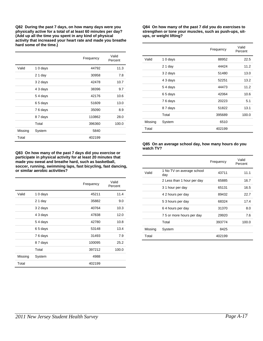**Q82 During the past 7 days, on how many days were you physically active for a total of at least 60 minutes per day? (Add up all the time you spent in any kind of physical activity that increased your heart rate and made you breathe hard some of the time.)**

|         |          | Frequency | Valid<br>Percent |
|---------|----------|-----------|------------------|
| Valid   | 10 days  | 44792     | 11.3             |
|         | 21 day   | 30958     | 7.8              |
|         | 32 days  | 42478     | 10.7             |
|         | 4 3 days | 38396     | 9.7              |
|         | 54 days  | 42176     | 10.6             |
|         | 65 days  | 51609     | 13.0             |
|         | 76 days  | 35090     | 8.9              |
|         | 87 days  | 110862    | 28.0             |
|         | Total    | 396360    | 100.0            |
| Missing | System   | 5840      |                  |
| Total   |          | 402199    |                  |

**Q83 On how many of the past 7 days did you exercise or participate in physical activity for at least 20 minutes that made you sweat and breathe hard, such as basketball, soccer, running, swimming laps, fast bicycling, fast dancing, or similar aerobic activities?**

|         |          | Frequency | Valid<br>Percent |
|---------|----------|-----------|------------------|
| Valid   | 10 days  | 45211     | 11.4             |
|         | 21 day   | 35882     | 9.0              |
|         | 32 days  | 40764     | 10.3             |
|         | 4 3 days | 47838     | 12.0             |
|         | 54 days  | 42780     | 10.8             |
|         | 65 days  | 53148     | 13.4             |
|         | 76 days  | 31493     | 7.9              |
|         | 87 days  | 100095    | 25.2             |
|         | Total    | 397212    | 100.0            |
| Missing | System   | 4988      |                  |
| Total   |          | 402199    |                  |

**Q84 On how many of the past 7 did you do exercises to strengthen or tone your muscles, such as push-ups, situps, or weight lifting?**

|         |          | Frequency | Valid<br>Percent |
|---------|----------|-----------|------------------|
| Valid   | 10 days  | 88952     | 22.5             |
|         | $21$ day | 44424     | 11.2             |
|         | 3 2 days | 51480     | 13.0             |
|         | 4 3 days | 52251     | 13.2             |
|         | 54 days  | 44473     | 11.2             |
|         | 65 days  | 42064     | 10.6             |
|         | 76 days  | 20223     | 5.1              |
|         | 87 days  | 51822     | 13.1             |
|         | Total    | 395689    | 100.0            |
| Missing | System   | 6510      |                  |
| Total   |          | 402199    |                  |

#### **Q85 On an average school day, how many hours do you watch TV?**

|         |                                  | Frequency | Valid<br>Percent |
|---------|----------------------------------|-----------|------------------|
| Valid   | 1 No TV on average school<br>day | 43711     | 11.1             |
|         | 2 Less than 1 hour per day       | 65885     | 16.7             |
|         | 31 hour per day                  | 65131     | 16.5             |
|         | 4 2 hours per day                | 89432     | 22.7             |
|         | 53 hours per day                 | 68324     | 17.4             |
|         | 64 hours per day                 | 31370     | 8.0              |
|         | 75 or more hours per day         | 29920     | 7.6              |
|         | Total                            | 393774    | 100.0            |
| Missing | System                           | 8425      |                  |
| Total   |                                  | 402199    |                  |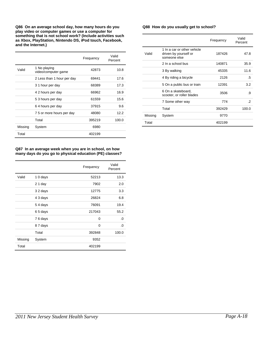**Q86 On an average school day, how many hours do you play video or computer games or use a computer for something that is not school work? (Include activities such as Xbox, PlayStation, Nintendo DS, iPod touch, Facebook, and the Internet.)** 

|         |                                     | Frequency | Valid<br>Percent |
|---------|-------------------------------------|-----------|------------------|
| Valid   | 1 No playing<br>video/computer game | 42873     | 10.8             |
|         | 2 Less than 1 hour per day          | 69441     | 17.6             |
|         | 3 1 hour per day                    | 68389     | 17.3             |
|         | 4 2 hours per day                   | 66962     | 16.9             |
|         | 53 hours per day                    | 61559     | 15.6             |
|         | 64 hours per day                    | 37915     | 9.6              |
|         | 75 or more hours per day            | 48080     | 12.2             |
|         | Total                               | 395219    | 100.0            |
| Missing | System                              | 6980      |                  |
| Total   |                                     | 402199    |                  |

#### **Q87 In an average week when you are in school, on how many days do you go to physical education (PE) classes?**

|         |          | Frequency | Valid<br>Percent |
|---------|----------|-----------|------------------|
| Valid   | 10 days  | 52213     | 13.3             |
|         | 21 day   | 7902      | 2.0              |
|         | 32 days  | 12775     | 3.3              |
|         | 4 3 days | 26824     | 6.8              |
|         | 54 days  | 76091     | 19.4             |
|         | 65 days  | 217043    | 55.2             |
|         | 76 days  | 0         | .0               |
|         | 87 days  | 0         | .0               |
|         | Total    | 392848    | 100.0            |
| Missing | System   | 9352      |                  |
| Total   |          | 402199    |                  |

#### **Q88 How do you usually get to school?**

|         |                                                                      | Frequency | Valid<br>Percent |
|---------|----------------------------------------------------------------------|-----------|------------------|
| Valid   | 1 In a car or other vehicle<br>driven by yourself or<br>someone else | 187426    | 47.8             |
|         | 2 In a school bus                                                    | 140871    | 35.9             |
|         | 3 By walking                                                         | 45335     | 11.6             |
|         | 4 By riding a bicycle                                                | 2126      | .5               |
|         | 5 On a public bus or train                                           | 12391     | 3.2              |
|         | 6 On a skateboard,<br>scooter, or roller blades                      | 3506      | .9               |
|         | 7 Some other way                                                     | 774       | .2               |
|         | Total                                                                | 392429    | 100.0            |
| Missing | System                                                               | 9770      |                  |
| Total   |                                                                      | 402199    |                  |